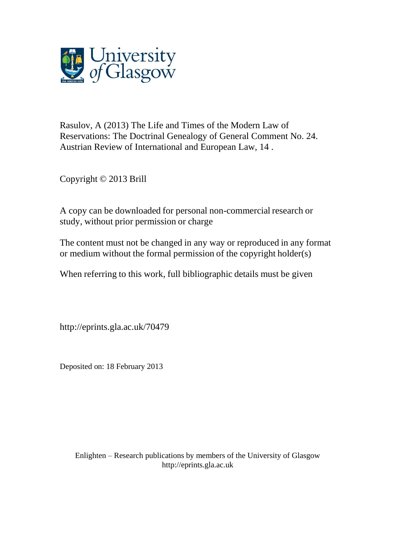

Rasulov, A (2013) The Life and Times of the Modern Law of Reservations: The Doctrinal Genealogy of General Comment No. 24. Austrian Review of International and European Law, 14 .

Copyright © 2013 Brill

A copy can be downloaded for personal non-commercial research or study, without prior permission or charge

The content must not be changed in any way or reproduced in any format or medium without the formal permission of the copyright holder(s)

When referring to this work, full bibliographic details must be given

http://eprints.gla.ac.uk/70479

Deposited on: 18 February 2013

Enlighten – Research publications by members of the University of Glasgo[w](http://eprints.gla.ac.uk/) [http://eprints.gla.ac.uk](http://eprints.gla.ac.uk/)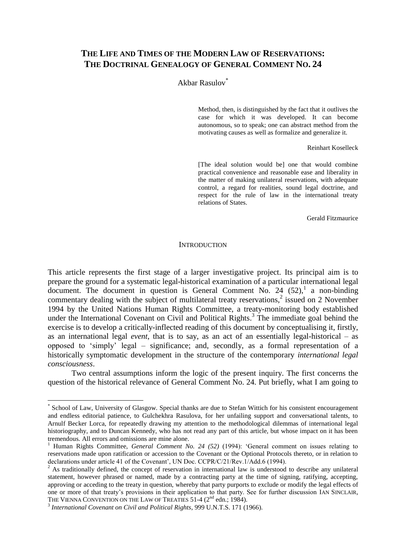# **THE LIFE AND TIMES OF THE MODERN LAW OF RESERVATIONS: THE DOCTRINAL GENEALOGY OF GENERAL COMMENT NO. 24**

## Akbar Rasulov\*

Method, then, is distinguished by the fact that it outlives the case for which it was developed. It can become autonomous, so to speak; one can abstract method from the motivating causes as well as formalize and generalize it.

#### Reinhart Koselleck

[The ideal solution would be] one that would combine practical convenience and reasonable ease and liberality in the matter of making unilateral reservations, with adequate control, a regard for realities, sound legal doctrine, and respect for the rule of law in the international treaty relations of States.

Gerald Fitzmaurice

#### **INTRODUCTION**

This article represents the first stage of a larger investigative project. Its principal aim is to prepare the ground for a systematic legal-historical examination of a particular international legal document. The document in question is General Comment No. 24  $(52)$ , a non-binding commentary dealing with the subject of multilateral treaty reservations,<sup>2</sup> issued on 2 November 1994 by the United Nations Human Rights Committee, a treaty-monitoring body established under the International Covenant on Civil and Political Rights.<sup>3</sup> The immediate goal behind the exercise is to develop a critically-inflected reading of this document by conceptualising it, firstly, as an international legal *event*, that is to say, as an act of an essentially legal-historical – as opposed to 'simply' legal – significance; and, secondly, as a formal representation of a historically symptomatic development in the structure of the contemporary *international legal consciousness*.

Two central assumptions inform the logic of the present inquiry. The first concerns the question of the historical relevance of General Comment No. 24. Put briefly, what I am going to

<sup>\*</sup> School of Law, University of Glasgow. Special thanks are due to Stefan Wittich for his consistent encouragement and endless editorial patience, to Gulchekhra Rasulova, for her unfailing support and conversational talents, to Arnulf Becker Lorca, for repeatedly drawing my attention to the methodological dilemmas of international legal historiography, and to Duncan Kennedy, who has not read any part of this article, but whose impact on it has been tremendous. All errors and omissions are mine alone.

<sup>1</sup> Human Rights Committee, *General Comment No. 24 (52)* (1994): 'General comment on issues relating to reservations made upon ratification or accession to the Covenant or the Optional Protocols thereto, or in relation to declarations under article 41 of the Covenant', UN Doc. CCPR/C/21/Rev.1/Add.6 (1994).

 $2$  As traditionally defined, the concept of reservation in international law is understood to describe any unilateral statement, however phrased or named, made by a contracting party at the time of signing, ratifying, accepting, approving or acceding to the treaty in question, whereby that party purports to exclude or modify the legal effects of one or more of that treaty's provisions in their application to that party. See for further discussion IAN SINCLAIR, THE VIENNA CONVENTION ON THE LAW OF TREATIES 51-4 (2<sup>nd</sup> edn.; 1984).

<sup>3</sup> *International Covenant on Civil and Political Rights*, 999 U.N.T.S. 171 (1966).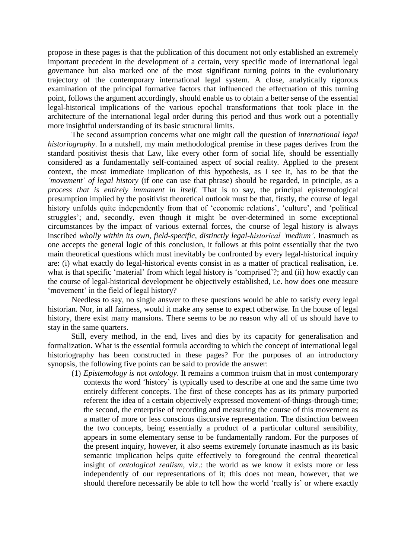propose in these pages is that the publication of this document not only established an extremely important precedent in the development of a certain, very specific mode of international legal governance but also marked one of the most significant turning points in the evolutionary trajectory of the contemporary international legal system. A close, analytically rigorous examination of the principal formative factors that influenced the effectuation of this turning point, follows the argument accordingly, should enable us to obtain a better sense of the essential legal-historical implications of the various epochal transformations that took place in the architecture of the international legal order during this period and thus work out a potentially more insightful understanding of its basic structural limits.

The second assumption concerns what one might call the question of *international legal historiography*. In a nutshell, my main methodological premise in these pages derives from the standard positivist thesis that Law, like every other form of social life, should be essentially considered as a fundamentally self-contained aspect of social reality*.* Applied to the present context, the most immediate implication of this hypothesis, as I see it, has to be that the *'movement' of legal history* (if one can use that phrase) should be regarded, in principle, as a *process that is entirely immanent in itself*. That is to say, the principal epistemological presumption implied by the positivist theoretical outlook must be that, firstly, the course of legal history unfolds quite independently from that of 'economic relations', 'culture', and 'political struggles'; and, secondly, even though it might be over-determined in some exceptional circumstances by the impact of various external forces, the course of legal history is always inscribed *wholly within its own, field-specific, distinctly legal-historical 'medium'*. Inasmuch as one accepts the general logic of this conclusion, it follows at this point essentially that the two main theoretical questions which must inevitably be confronted by every legal-historical inquiry are: (i) what exactly do legal-historical events consist in as a matter of practical realisation, i.e. what is that specific 'material' from which legal history is 'comprised'?; and (ii) how exactly can the course of legal-historical development be objectively established, i.e. how does one measure 'movement' in the field of legal history?

Needless to say, no single answer to these questions would be able to satisfy every legal historian. Nor, in all fairness, would it make any sense to expect otherwise. In the house of legal history, there exist many mansions. There seems to be no reason why all of us should have to stay in the same quarters.

Still, every method, in the end, lives and dies by its capacity for generalisation and formalization. What is the essential formula according to which the concept of international legal historiography has been constructed in these pages? For the purposes of an introductory synopsis, the following five points can be said to provide the answer:

(1) *Epistemology is not ontology*. It remains a common truism that in most contemporary contexts the word 'history' is typically used to describe at one and the same time two entirely different concepts. The first of these concepts has as its primary purported referent the idea of a certain objectively expressed movement-of-things-through-time; the second, the enterprise of recording and measuring the course of this movement as a matter of more or less conscious discursive representation. The distinction between the two concepts, being essentially a product of a particular cultural sensibility, appears in some elementary sense to be fundamentally random. For the purposes of the present inquiry, however, it also seems extremely fortunate inasmuch as its basic semantic implication helps quite effectively to foreground the central theoretical insight of *ontological realism*, viz.: the world as we know it exists more or less independently of our representations of it; this does not mean, however, that we should therefore necessarily be able to tell how the world 'really is' or where exactly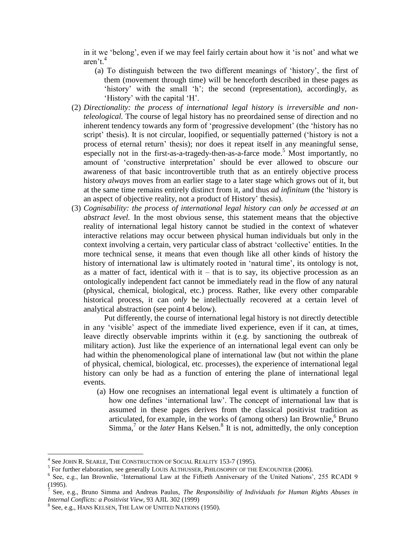in it we 'belong', even if we may feel fairly certain about how it 'is not' and what we aren't. 4

- (a) To distinguish between the two different meanings of 'history', the first of them (movement through time) will be henceforth described in these pages as 'history' with the small 'h'; the second (representation), accordingly, as 'History' with the capital 'H'.
- (2) *Directionality: the process of international legal history is irreversible and nonteleological.* The course of legal history has no preordained sense of direction and no inherent tendency towards any form of 'progressive development' (the 'history has no script' thesis). It is not circular, loopified, or sequentially patterned ('history is not a process of eternal return' thesis); nor does it repeat itself in any meaningful sense, especially not in the first-as-a-tragedy-then-as-a-farce mode.<sup>5</sup> Most importantly, no amount of 'constructive interpretation' should be ever allowed to obscure our awareness of that basic incontrovertible truth that as an entirely objective process history *always* moves from an earlier stage to a later stage which grows out of it, but at the same time remains entirely distinct from it, and thus *ad infinitum* (the 'history is an aspect of objective reality, not a product of History' thesis).
- (3) *Cognisability: the process of international legal history can only be accessed at an abstract level.* In the most obvious sense, this statement means that the objective reality of international legal history cannot be studied in the context of whatever interactive relations may occur between physical human individuals but only in the context involving a certain, very particular class of abstract 'collective' entities. In the more technical sense, it means that even though like all other kinds of history the history of international law is ultimately rooted in 'natural time', its ontology is not, as a matter of fact, identical with  $it - that$  is to say, its objective procession as an ontologically independent fact cannot be immediately read in the flow of any natural (physical, chemical, biological, etc.) process. Rather, like every other comparable historical process, it can *only* be intellectually recovered at a certain level of analytical abstraction (see point 4 below).

Put differently, the course of international legal history is not directly detectible in any 'visible' aspect of the immediate lived experience, even if it can, at times, leave directly observable imprints within it (e.g. by sanctioning the outbreak of military action). Just like the experience of an international legal event can only be had within the phenomenological plane of international law (but not within the plane of physical, chemical, biological, etc. processes), the experience of international legal history can only be had as a function of entering the plane of international legal events.

(a) How one recognises an international legal event is ultimately a function of how one defines 'international law'. The concept of international law that is assumed in these pages derives from the classical positivist tradition as articulated, for example, in the works of (among others) Ian Brownlie,  $6$  Bruno Simma,<sup>7</sup> or the *later* Hans Kelsen.<sup>8</sup> It is not, admittedly, the only conception

<sup>4</sup> See JOHN R. SEARLE, THE CONSTRUCTION OF SOCIAL REALITY 153-7 (1995).

<sup>&</sup>lt;sup>5</sup> For further elaboration, see generally LOUIS ALTHUSSER, PHILOSOPHY OF THE ENCOUNTER (2006).

<sup>&</sup>lt;sup>6</sup> See, e.g., Ian Brownlie, 'International Law at the Fiftieth Anniversary of the United Nations', 255 RCADI 9  $(1995)$ .

See, e.g., Bruno Simma and Andreas Paulus, *The Responsibility of Individuals for Human Rights Abuses in Internal Conflicts: a Positivist View*, 93 AJIL 302 (1999)

<sup>8</sup> See, e.g., HANS KELSEN, THE LAW OF UNITED NATIONS (1950).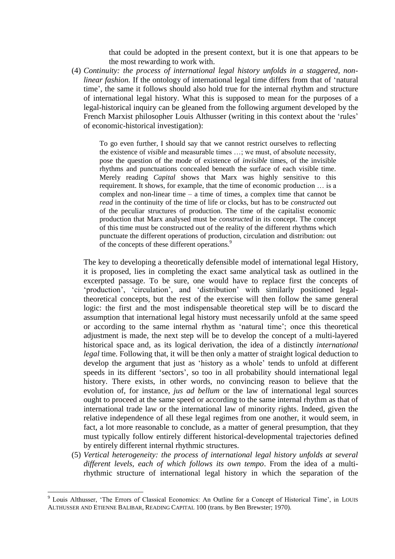that could be adopted in the present context, but it is one that appears to be the most rewarding to work with.

(4) *Continuity: the process of international legal history unfolds in a staggered, nonlinear fashion.* If the ontology of international legal time differs from that of 'natural time', the same it follows should also hold true for the internal rhythm and structure of international legal history. What this is supposed to mean for the purposes of a legal-historical inquiry can be gleaned from the following argument developed by the French Marxist philosopher Louis Althusser (writing in this context about the 'rules' of economic-historical investigation):

To go even further, I should say that we cannot restrict ourselves to reflecting the existence of *visible* and measurable times …; we must, of absolute necessity, pose the question of the mode of existence of *invisible* times, of the invisible rhythms and punctuations concealed beneath the surface of each visible time. Merely reading *Capital* shows that Marx was highly sensitive to this requirement. It shows, for example, that the time of economic production … is a complex and non-linear time – a time of times, a complex time that cannot be *read* in the continuity of the time of life or clocks, but has to be *constructed* out of the peculiar structures of production. The time of the capitalist economic production that Marx analysed must be *constructed* in its concept. The concept of this time must be constructed out of the reality of the different rhythms which punctuate the different operations of production, circulation and distribution: out of the concepts of these different operations.<sup>9</sup>

The key to developing a theoretically defensible model of international legal History, it is proposed, lies in completing the exact same analytical task as outlined in the excerpted passage. To be sure, one would have to replace first the concepts of 'production', 'circulation', and 'distribution' with similarly positioned legaltheoretical concepts, but the rest of the exercise will then follow the same general logic: the first and the most indispensable theoretical step will be to discard the assumption that international legal history must necessarily unfold at the same speed or according to the same internal rhythm as 'natural time'; once this theoretical adjustment is made, the next step will be to develop the concept of a multi-layered historical space and, as its logical derivation, the idea of a distinctly *international legal* time. Following that, it will be then only a matter of straight logical deduction to develop the argument that just as 'history as a whole' tends to unfold at different speeds in its different 'sectors', so too in all probability should international legal history. There exists, in other words, no convincing reason to believe that the evolution of, for instance, *jus ad bellum* or the law of international legal sources ought to proceed at the same speed or according to the same internal rhythm as that of international trade law or the international law of minority rights. Indeed, given the relative independence of all these legal regimes from one another, it would seem, in fact, a lot more reasonable to conclude, as a matter of general presumption, that they must typically follow entirely different historical-developmental trajectories defined by entirely different internal rhythmic structures.

(5) *Vertical heterogeneity: the process of international legal history unfolds at several different levels, each of which follows its own tempo*. From the idea of a multirhythmic structure of international legal history in which the separation of the

<sup>9</sup> Louis Althusser, 'The Errors of Classical Economics: An Outline for a Concept of Historical Time', in LOUIS ALTHUSSER AND ETIENNE BALIBAR, READING CAPITAL 100 (trans. by Ben Brewster; 1970).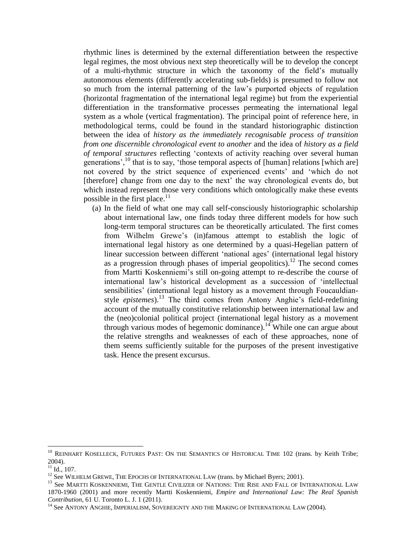rhythmic lines is determined by the external differentiation between the respective legal regimes, the most obvious next step theoretically will be to develop the concept of a multi-rhythmic structure in which the taxonomy of the field's mutually autonomous elements (differently accelerating sub-fields) is presumed to follow not so much from the internal patterning of the law's purported objects of regulation (horizontal fragmentation of the international legal regime) but from the experiential differentiation in the transformative processes permeating the international legal system as a whole (vertical fragmentation). The principal point of reference here, in methodological terms, could be found in the standard historiographic distinction between the idea of *history as the immediately recognisable process of transition from one discernible chronological event to another* and the idea of *history as a field of temporal structures* reflecting 'contexts of activity reaching over several human generations', $^{10}$  that is to say, 'those temporal aspects of [human] relations [which are] not covered by the strict sequence of experienced events' and 'which do not [therefore] change from one day to the next' the way chronological events do, but which instead represent those very conditions which ontologically make these events possible in the first place.<sup>11</sup>

(a) In the field of what one may call self-consciously historiographic scholarship about international law, one finds today three different models for how such long-term temporal structures can be theoretically articulated. The first comes from Wilhelm Grewe's (in)famous attempt to establish the logic of international legal history as one determined by a quasi-Hegelian pattern of linear succession between different 'national ages' (international legal history as a progression through phases of imperial geopolitics).<sup>12</sup> The second comes from Martti Koskenniemi's still on-going attempt to re-describe the course of international law's historical development as a succession of 'intellectual sensibilities' (international legal history as a movement through Foucauldianstyle *epistemes*).<sup>13</sup> The third comes from Antony Anghie's field-redefining account of the mutually constitutive relationship between international law and the (neo)colonial political project (international legal history as a movement through various modes of hegemonic dominance).<sup>14</sup> While one can argue about the relative strengths and weaknesses of each of these approaches, none of them seems sufficiently suitable for the purposes of the present investigative task. Hence the present excursus.

<sup>&</sup>lt;sup>10</sup> REINHART KOSELLECK, FUTURES PAST: ON THE SEMANTICS OF HISTORICAL TIME 102 (trans. by Keith Tribe; 2004).

 $11$  Id., 107.

<sup>&</sup>lt;sup>12</sup> See WILHELM GREWE, THE EPOCHS OF INTERNATIONAL LAW (trans. by Michael Byers; 2001).

<sup>&</sup>lt;sup>13</sup> See MARTTI KOSKENNIEMI, THE GENTLE CIVILIZER OF NATIONS: THE RISE AND FALL OF INTERNATIONAL LAW 1870-1960 (2001) and more recently Martti Koskenniemi, *Empire and International Law: The Real Spanish Contribution*, 61 U. Toronto L. J. 1 (2011).

<sup>&</sup>lt;sup>14</sup> See ANTONY ANGHIE, IMPERIALISM, SOVEREIGNTY AND THE MAKING OF INTERNATIONAL LAW (2004).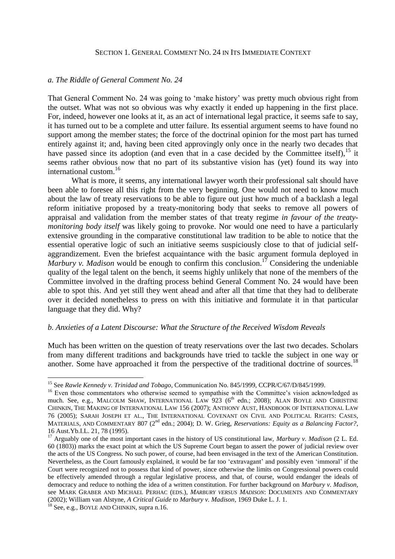#### SECTION 1. GENERAL COMMENT NO. 24 IN ITS IMMEDIATE CONTEXT

#### *a. The Riddle of General Comment No. 24*

That General Comment No. 24 was going to 'make history' was pretty much obvious right from the outset. What was not so obvious was why exactly it ended up happening in the first place. For, indeed, however one looks at it, as an act of international legal practice, it seems safe to say, it has turned out to be a complete and utter failure. Its essential argument seems to have found no support among the member states; the force of the doctrinal opinion for the most part has turned entirely against it; and, having been cited approvingly only once in the nearly two decades that have passed since its adoption (and even that in a case decided by the Committee itself),  $^{15}$  it seems rather obvious now that no part of its substantive vision has (yet) found its way into international custom.<sup>16</sup>

What is more, it seems, any international lawyer worth their professional salt should have been able to foresee all this right from the very beginning. One would not need to know much about the law of treaty reservations to be able to figure out just how much of a backlash a legal reform initiative proposed by a treaty-monitoring body that seeks to remove all powers of appraisal and validation from the member states of that treaty regime *in favour of the treatymonitoring body itself* was likely going to provoke. Nor would one need to have a particularly extensive grounding in the comparative constitutional law tradition to be able to notice that the essential operative logic of such an initiative seems suspiciously close to that of judicial selfaggrandizement. Even the briefest acquaintance with the basic argument formula deployed in *Marbury v. Madison* would be enough to confirm this conclusion.<sup>17</sup> Considering the undeniable quality of the legal talent on the bench, it seems highly unlikely that none of the members of the Committee involved in the drafting process behind General Comment No. 24 would have been able to spot this. And yet still they went ahead and after all that time that they had to deliberate over it decided nonetheless to press on with this initiative and formulate it in that particular language that they did. Why?

#### *b. Anxieties of a Latent Discourse: What the Structure of the Received Wisdom Reveals*

Much has been written on the question of treaty reservations over the last two decades. Scholars from many different traditions and backgrounds have tried to tackle the subject in one way or another. Some have approached it from the perspective of the traditional doctrine of sources.<sup>18</sup>

<sup>15</sup> See *Rawle Kennedy v. Trinidad and Tobago*, Communication No. 845/1999, CCPR/C/67/D/845/1999.

<sup>&</sup>lt;sup>16</sup> Even those commentators who otherwise seemed to sympathise with the Committee's vision acknowledged as much. See, e.g., MALCOLM SHAW, INTERNATIONAL LAW 923 (6<sup>th</sup> edn.; 2008); ALAN BOYLE AND CHRISTINE CHINKIN, THE MAKING OF INTERNATIONAL LAW 156 (2007); ANTHONY AUST, HANDBOOK OF INTERNATIONAL LAW 76 (2005); SARAH JOSEPH ET AL., THE INTERNATIONAL COVENANT ON CIVIL AND POLITICAL RIGHTS: CASES, MATERIALS, AND COMMENTARY 807 (2nd edn.; 2004); D. W. Grieg, *Reservations: Equity as a Balancing Factor?*, 16 Aust.Yb.I.L. 21, 78 (1995).

<sup>17</sup> Arguably one of the most important cases in the history of US constitutional law, *Marbury v. Madison* (2 L. Ed. 60 (1803)) marks the exact point at which the US Supreme Court began to assert the power of judicial review over the acts of the US Congress. No such power, of course, had been envisaged in the text of the American Constitution. Nevertheless, as the Court famously explained, it would be far too 'extravagant' and possibly even 'immoral' if the Court were recognized not to possess that kind of power, since otherwise the limits on Congressional powers could be effectively amended through a regular legislative process, and that, of course, would endanger the ideals of democracy and reduce to nothing the idea of a written constitution. For further background on *Marbury v. Madison*, see MARK GRABER AND MICHAEL PERHAC (EDS.), *MARBURY VERSUS MADISON*: DOCUMENTS AND COMMENTARY (2002); William van Alstyne, *A Critical Guide to Marbury v. Madison*, 1969 Duke L. J. 1.

 $18$  See, e.g., BOYLE AND CHINKIN, supra n.16.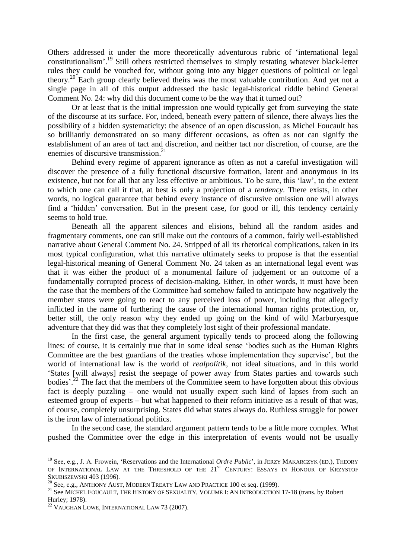Others addressed it under the more theoretically adventurous rubric of 'international legal constitutionalism'.<sup>19</sup> Still others restricted themselves to simply restating whatever black-letter rules they could be vouched for, without going into any bigger questions of political or legal theory.<sup>20</sup> Each group clearly believed theirs was the most valuable contribution. And yet not a single page in all of this output addressed the basic legal-historical riddle behind General Comment No. 24: why did this document come to be the way that it turned out?

Or at least that is the initial impression one would typically get from surveying the state of the discourse at its surface. For, indeed, beneath every pattern of silence, there always lies the possibility of a hidden systematicity: the absence of an open discussion, as Michel Foucault has so brilliantly demonstrated on so many different occasions, as often as not can signify the establishment of an area of tact and discretion, and neither tact nor discretion, of course, are the enemies of discursive transmission.<sup>21</sup>

Behind every regime of apparent ignorance as often as not a careful investigation will discover the presence of a fully functional discursive formation, latent and anonymous in its existence, but not for all that any less effective or ambitious. To be sure, this 'law', to the extent to which one can call it that, at best is only a projection of a *tendency*. There exists, in other words, no logical guarantee that behind every instance of discursive omission one will always find a 'hidden' conversation. But in the present case, for good or ill, this tendency certainly seems to hold true.

Beneath all the apparent silences and elisions, behind all the random asides and fragmentary comments, one can still make out the contours of a common, fairly well-established narrative about General Comment No. 24. Stripped of all its rhetorical complications, taken in its most typical configuration, what this narrative ultimately seeks to propose is that the essential legal-historical meaning of General Comment No. 24 taken as an international legal event was that it was either the product of a monumental failure of judgement or an outcome of a fundamentally corrupted process of decision-making. Either, in other words, it must have been the case that the members of the Committee had somehow failed to anticipate how negatively the member states were going to react to any perceived loss of power, including that allegedly inflicted in the name of furthering the cause of the international human rights protection, or, better still, the only reason why they ended up going on the kind of wild Marburyesque adventure that they did was that they completely lost sight of their professional mandate.

In the first case, the general argument typically tends to proceed along the following lines: of course, it is certainly true that in some ideal sense 'bodies such as the Human Rights Committee are the best guardians of the treaties whose implementation they supervise', but the world of international law is the world of *realpolitik*, not ideal situations, and in this world 'States [will always] resist the seepage of power away from States parties and towards such bodies'.<sup>22</sup> The fact that the members of the Committee seem to have forgotten about this obvious fact is deeply puzzling – one would not usually expect such kind of lapses from such an esteemed group of experts – but what happened to their reform initiative as a result of that was, of course, completely unsurprising. States did what states always do. Ruthless struggle for power is the iron law of international politics.

In the second case, the standard argument pattern tends to be a little more complex. What pushed the Committee over the edge in this interpretation of events would not be usually

<sup>&</sup>lt;sup>19</sup> See, e.g., J. A. Frowein, 'Reservations and the International *Ordre Public*', in JERZY MAKARCZYK (ED.), THEORY OF INTERNATIONAL LAW AT THE THRESHOLD OF THE 21<sup>ST</sup> CENTURY: ESSAYS IN HONOUR OF KRZYSTOF SKUBISZEWSKI 403 (1996).

<sup>&</sup>lt;sup>20</sup> See. e.g., ANTHONY AUST, MODERN TREATY LAW AND PRACTICE 100 et seq. (1999).

<sup>&</sup>lt;sup>21</sup> See MICHEL FOUCAULT, THE HISTORY OF SEXUALITY, VOLUME I: AN INTRODUCTION 17-18 (trans. by Robert Hurley; 1978).

<sup>22</sup> VAUGHAN LOWE, INTERNATIONAL LAW 73 (2007).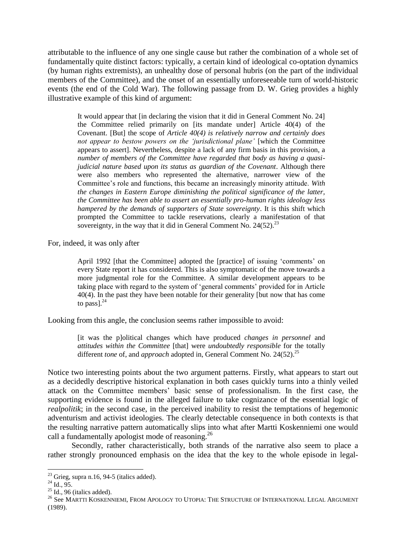attributable to the influence of any one single cause but rather the combination of a whole set of fundamentally quite distinct factors: typically, a certain kind of ideological co-optation dynamics (by human rights extremists), an unhealthy dose of personal hubris (on the part of the individual members of the Committee), and the onset of an essentially unforeseeable turn of world-historic events (the end of the Cold War). The following passage from D. W. Grieg provides a highly illustrative example of this kind of argument:

It would appear that [in declaring the vision that it did in General Comment No. 24] the Committee relied primarily on [its mandate under] Article 40(4) of the Covenant. [But] the scope of *Article 40(4) is relatively narrow and certainly does not appear to bestow powers on the 'jurisdictional plane'* [which the Committee appears to assert]. Nevertheless, despite a lack of any firm basis in this provision, a *number of members of the Committee have regarded that body as having a quasijudicial nature based upon its status as guardian of the Covenant*. Although there were also members who represented the alternative, narrower view of the Committee's role and functions, this became an increasingly minority attitude. *With the changes in Eastern Europe diminishing the political significance of the latter, the Committee has been able to assert an essentially pro-human rights ideology less hampered by the demands of supporters of State sovereignty*. It is this shift which prompted the Committee to tackle reservations, clearly a manifestation of that sovereignty, in the way that it did in General Comment No.  $24(52)$ .<sup>23</sup>

For, indeed, it was only after

April 1992 [that the Committee] adopted the [practice] of issuing 'comments' on every State report it has considered. This is also symptomatic of the move towards a more judgmental role for the Committee. A similar development appears to be taking place with regard to the system of 'general comments' provided for in Article 40(4). In the past they have been notable for their generality [but now that has come to pass $l^{24}$ 

Looking from this angle, the conclusion seems rather impossible to avoid:

[it was the p]olitical changes which have produced *changes in personnel* and *attitudes within the Committee* [that] were *undoubtedly responsible* for the totally different *tone* of, and *approach* adopted in, General Comment No. 24(52).<sup>25</sup>

Notice two interesting points about the two argument patterns. Firstly, what appears to start out as a decidedly descriptive historical explanation in both cases quickly turns into a thinly veiled attack on the Committee members' basic sense of professionalism. In the first case, the supporting evidence is found in the alleged failure to take cognizance of the essential logic of *realpolitik*; in the second case, in the perceived inability to resist the temptations of hegemonic adventurism and activist ideologies. The clearly detectable consequence in both contexts is that the resulting narrative pattern automatically slips into what after Martti Koskenniemi one would call a fundamentally apologist mode of reasoning.<sup>26</sup>

Secondly, rather characteristically, both strands of the narrative also seem to place a rather strongly pronounced emphasis on the idea that the key to the whole episode in legal-

<sup>&</sup>lt;u>.</u>  $23$  Grieg, supra n.16, 94-5 (italics added).

 $^{24}$  Id., 95.

 $^{25}$  Id., 96 (italics added).

<sup>&</sup>lt;sup>26</sup> See MARTTI KOSKENNIEMI, FROM APOLOGY TO UTOPIA: THE STRUCTURE OF INTERNATIONAL LEGAL ARGUMENT (1989).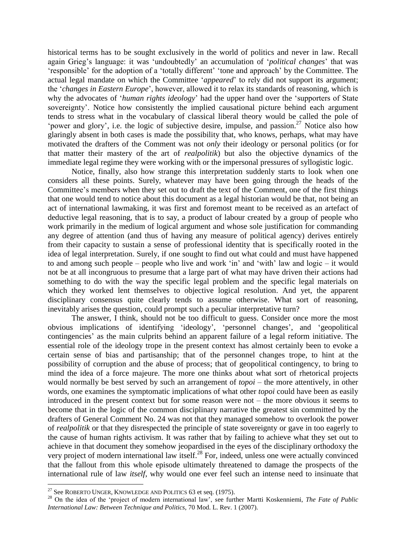historical terms has to be sought exclusively in the world of politics and never in law. Recall again Grieg's language: it was 'undoubtedly' an accumulation of '*political changes*' that was 'responsible' for the adoption of a 'totally different' 'tone and approach' by the Committee. The actual legal mandate on which the Committee '*appeared*' to rely did not support its argument; the '*changes in Eastern Europe*', however, allowed it to relax its standards of reasoning, which is why the advocates of '*human rights ideology*' had the upper hand over the 'supporters of State sovereignty'. Notice how consistently the implied causational picture behind each argument tends to stress what in the vocabulary of classical liberal theory would be called the pole of 'power and glory', i.e. the logic of subjective desire, impulse, and passion.<sup>27</sup> Notice also how glaringly absent in both cases is made the possibility that, who knows, perhaps, what may have motivated the drafters of the Comment was not *only* their ideology or personal politics (or for that matter their mastery of the art of *realpolitik*) but also the objective dynamics of the immediate legal regime they were working with or the impersonal pressures of syllogistic logic.

Notice, finally, also how strange this interpretation suddenly starts to look when one considers all these points. Surely, whatever may have been going through the heads of the Committee's members when they set out to draft the text of the Comment, one of the first things that one would tend to notice about this document as a legal historian would be that, not being an act of international lawmaking, it was first and foremost meant to be received as an artefact of deductive legal reasoning, that is to say, a product of labour created by a group of people who work primarily in the medium of logical argument and whose sole justification for commanding any degree of attention (and thus of having any measure of political agency) derives entirely from their capacity to sustain a sense of professional identity that is specifically rooted in the idea of legal interpretation. Surely, if one sought to find out what could and must have happened to and among such people – people who live and work 'in' and 'with' law and logic – it would not be at all incongruous to presume that a large part of what may have driven their actions had something to do with the way the specific legal problem and the specific legal materials on which they worked lent themselves to objective logical resolution. And yet, the apparent disciplinary consensus quite clearly tends to assume otherwise. What sort of reasoning, inevitably arises the question, could prompt such a peculiar interpretative turn?

The answer, I think, should not be too difficult to guess. Consider once more the most obvious implications of identifying 'ideology', 'personnel changes', and 'geopolitical contingencies' as the main culprits behind an apparent failure of a legal reform initiative. The essential role of the ideology trope in the present context has almost certainly been to evoke a certain sense of bias and partisanship; that of the personnel changes trope, to hint at the possibility of corruption and the abuse of process; that of geopolitical contingency, to bring to mind the idea of a force majeure. The more one thinks about what sort of rhetorical projects would normally be best served by such an arrangement of *topoi* – the more attentively, in other words, one examines the symptomatic implications of what other *topoi* could have been as easily introduced in the present context but for some reason were not – the more obvious it seems to become that in the logic of the common disciplinary narrative the greatest sin committed by the drafters of General Comment No. 24 was not that they managed somehow to overlook the power of *realpolitik* or that they disrespected the principle of state sovereignty or gave in too eagerly to the cause of human rights activism. It was rather that by failing to achieve what they set out to achieve in that document they somehow jeopardised in the eyes of the disciplinary orthodoxy the very project of modern international law itself.<sup>28</sup> For, indeed, unless one were actually convinced that the fallout from this whole episode ultimately threatened to damage the prospects of the international rule of law *itself*, why would one ever feel such an intense need to insinuate that

 $^{27}$  See ROBERTO UNGER, KNOWLEDGE AND POLITICS 63 et seq. (1975).

<sup>28</sup> On the idea of the 'project of modern international law', see further Martti Koskenniemi, *The Fate of Public International Law: Between Technique and Politics*, 70 Mod. L. Rev. 1 (2007).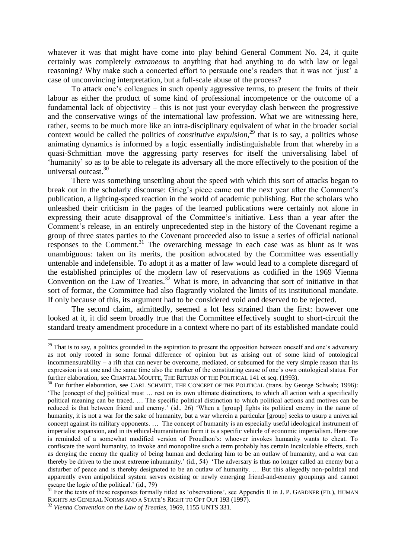whatever it was that might have come into play behind General Comment No. 24, it quite certainly was completely *extraneous* to anything that had anything to do with law or legal reasoning? Why make such a concerted effort to persuade one's readers that it was not 'just' a case of unconvincing interpretation, but a full-scale abuse of the process?

To attack one's colleagues in such openly aggressive terms, to present the fruits of their labour as either the product of some kind of professional incompetence or the outcome of a fundamental lack of objectivity – this is not just your everyday clash between the progressive and the conservative wings of the international law profession. What we are witnessing here, rather, seems to be much more like an intra-disciplinary equivalent of what in the broader social context would be called the politics of *constitutive expulsion*,<sup>29</sup> that is to say, a politics whose animating dynamics is informed by a logic essentially indistinguishable from that whereby in a quasi-Schmittian move the aggressing party reserves for itself the universalising label of 'humanity' so as to be able to relegate its adversary all the more effectively to the position of the universal outcast. 30

There was something unsettling about the speed with which this sort of attacks began to break out in the scholarly discourse: Grieg's piece came out the next year after the Comment's publication, a lighting-speed reaction in the world of academic publishing. But the scholars who unleashed their criticism in the pages of the learned publications were certainly not alone in expressing their acute disapproval of the Committee's initiative. Less than a year after the Comment's release, in an entirely unprecedented step in the history of the Covenant regime a group of three states parties to the Covenant proceeded also to issue a series of official national responses to the Comment.<sup>31</sup> The overarching message in each case was as blunt as it was unambiguous: taken on its merits, the position advocated by the Committee was essentially untenable and indefensible. To adopt it as a matter of law would lead to a complete disregard of the established principles of the modern law of reservations as codified in the 1969 Vienna Convention on the Law of Treaties.<sup>32</sup> What is more, in advancing that sort of initiative in that sort of format, the Committee had also flagrantly violated the limits of its institutional mandate. If only because of this, its argument had to be considered void and deserved to be rejected.

The second claim, admittedly, seemed a lot less strained than the first: however one looked at it, it did seem broadly true that the Committee effectively sought to short-circuit the standard treaty amendment procedure in a context where no part of its established mandate could

 $29$  That is to say, a politics grounded in the aspiration to present the opposition between oneself and one's adversary as not only rooted in some formal difference of opinion but as arising out of some kind of ontological incommensurability – a rift that can never be overcome, mediated, or subsumed for the very simple reason that its expression is at one and the same time also the marker of the constituting cause of one's own ontological status. For further elaboration, see CHANTAL MOUFFE, THE RETURN OF THE POLITICAL 141 et seq. (1993).

<sup>&</sup>lt;sup>30</sup> For further elaboration, see CARL SCHMITT, THE CONCEPT OF THE POLITICAL (trans. by George Schwab; 1996): 'The [concept of the] political must … rest on its own ultimate distinctions, to which all action with a specifically political meaning can be traced. … The specific political distinction to which political actions and motives can be reduced is that between friend and enemy.' (id., 26) 'When a [group] fights its political enemy in the name of humanity, it is not a war for the sake of humanity, but a war wherein a particular [group] seeks to usurp a universal concept against its military opponents. … The concept of humanity is an especially useful ideological instrument of imperialist expansion, and in its ethical-humanitarian form it is a specific vehicle of economic imperialism. Here one is reminded of a somewhat modified version of Proudhon's: whoever invokes humanity wants to cheat. To confiscate the word humanity, to invoke and monopolize such a term probably has certain incalculable effects, such as denying the enemy the quality of being human and declaring him to be an outlaw of humanity, and a war can thereby be driven to the most extreme inhumanity.' (id., 54) 'The adversary is thus no longer called an enemy but a disturber of peace and is thereby designated to be an outlaw of humanity. … But this allegedly non-political and apparently even antipolitical system serves existing or newly emerging friend-and-enemy groupings and cannot escape the logic of the political.' (id., 79)

 $31$  For the texts of these responses formally titled as 'observations', see Appendix II in J. P. GARDNER (ED.), HUMAN RIGHTS AS GENERAL NORMS AND A STATE'S RIGHT TO OPT OUT 193 (1997).

<sup>32</sup> *Vienna Convention on the Law of Treaties*, 1969, 1155 UNTS 331.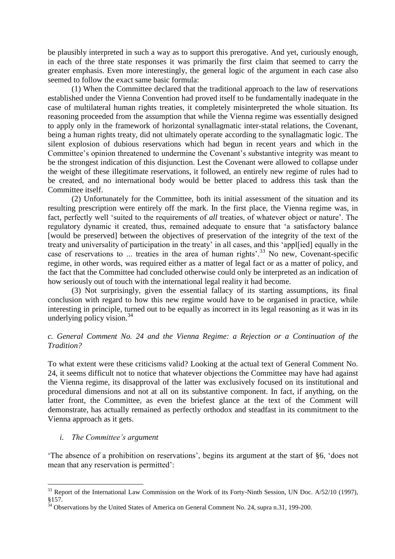be plausibly interpreted in such a way as to support this prerogative. And yet, curiously enough, in each of the three state responses it was primarily the first claim that seemed to carry the greater emphasis. Even more interestingly, the general logic of the argument in each case also seemed to follow the exact same basic formula:

(1) When the Committee declared that the traditional approach to the law of reservations established under the Vienna Convention had proved itself to be fundamentally inadequate in the case of multilateral human rights treaties, it completely misinterpreted the whole situation. Its reasoning proceeded from the assumption that while the Vienna regime was essentially designed to apply only in the framework of horizontal synallagmatic inter-statal relations, the Covenant, being a human rights treaty, did not ultimately operate according to the synallagmatic logic. The silent explosion of dubious reservations which had begun in recent years and which in the Committee's opinion threatened to undermine the Covenant's substantive integrity was meant to be the strongest indication of this disjunction. Lest the Covenant were allowed to collapse under the weight of these illegitimate reservations, it followed, an entirely new regime of rules had to be created, and no international body would be better placed to address this task than the Committee itself.

(2) Unfortunately for the Committee, both its initial assessment of the situation and its resulting prescription were entirely off the mark. In the first place, the Vienna regime was, in fact, perfectly well 'suited to the requirements of *all* treaties, of whatever object or nature'. The regulatory dynamic it created, thus, remained adequate to ensure that 'a satisfactory balance [would be preserved] between the objectives of preservation of the integrity of the text of the treaty and universality of participation in the treaty' in all cases, and this 'appl[ied] equally in the case of reservations to ... treaties in the area of human rights'.<sup>33</sup> No new, Covenant-specific regime, in other words, was required either as a matter of legal fact or as a matter of policy, and the fact that the Committee had concluded otherwise could only be interpreted as an indication of how seriously out of touch with the international legal reality it had become.

(3) Not surprisingly, given the essential fallacy of its starting assumptions, its final conclusion with regard to how this new regime would have to be organised in practice, while interesting in principle, turned out to be equally as incorrect in its legal reasoning as it was in its underlying policy vision. $34$ 

## *c. General Comment No. 24 and the Vienna Regime: a Rejection or a Continuation of the Tradition?*

To what extent were these criticisms valid? Looking at the actual text of General Comment No. 24, it seems difficult not to notice that whatever objections the Committee may have had against the Vienna regime, its disapproval of the latter was exclusively focused on its institutional and procedural dimensions and not at all on its substantive component. In fact, if anything, on the latter front, the Committee, as even the briefest glance at the text of the Comment will demonstrate, has actually remained as perfectly orthodox and steadfast in its commitment to the Vienna approach as it gets.

## *i. The Committee's argument*

<u>.</u>

'The absence of a prohibition on reservations', begins its argument at the start of §6, 'does not mean that any reservation is permitted':

<sup>&</sup>lt;sup>33</sup> Report of the International Law Commission on the Work of its Forty-Ninth Session, UN Doc. A/52/10 (1997), §157.

 $34$  Observations by the United States of America on General Comment No. 24, supra n.31, 199-200.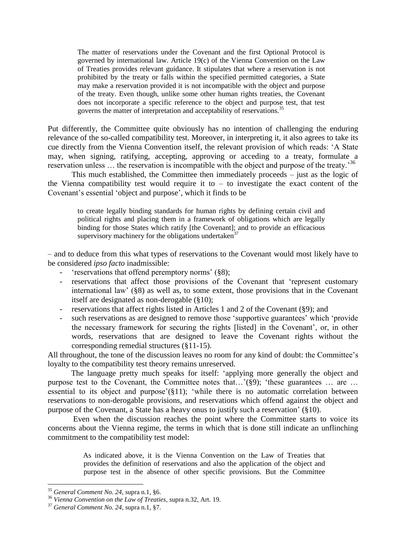The matter of reservations under the Covenant and the first Optional Protocol is governed by international law. Article 19(c) of the Vienna Convention on the Law of Treaties provides relevant guidance. It stipulates that where a reservation is not prohibited by the treaty or falls within the specified permitted categories, a State may make a reservation provided it is not incompatible with the object and purpose of the treaty. Even though, unlike some other human rights treaties, the Covenant does not incorporate a specific reference to the object and purpose test, that test governs the matter of interpretation and acceptability of reservations.<sup>35</sup>

Put differently, the Committee quite obviously has no intention of challenging the enduring relevance of the so-called compatibility test. Moreover, in interpreting it, it also agrees to take its cue directly from the Vienna Convention itself, the relevant provision of which reads: 'A State may, when signing, ratifying, accepting, approving or acceding to a treaty, formulate a reservation unless  $\ldots$  the reservation is incompatible with the object and purpose of the treaty.<sup>36</sup>

This much established, the Committee then immediately proceeds – just as the logic of the Vienna compatibility test would require it to  $-$  to investigate the exact content of the Covenant's essential 'object and purpose', which it finds to be

to create legally binding standards for human rights by defining certain civil and political rights and placing them in a framework of obligations which are legally binding for those States which ratify [the Covenant]; and to provide an efficacious supervisory machinery for the obligations undertaken<sup>37</sup>

– and to deduce from this what types of reservations to the Covenant would most likely have to be considered *ipso facto* inadmissible:

- 'reservations that offend peremptory norms' (§8);
- reservations that affect those provisions of the Covenant that 'represent customary international law' (§8) as well as, to some extent, those provisions that in the Covenant itself are designated as non-derogable (§10);
- reservations that affect rights listed in Articles 1 and 2 of the Covenant (§9); and
- such reservations as are designed to remove those 'supportive guarantees' which 'provide the necessary framework for securing the rights [listed] in the Covenant', or, in other words, reservations that are designed to leave the Covenant rights without the corresponding remedial structures (§11-15).

All throughout, the tone of the discussion leaves no room for any kind of doubt: the Committee's loyalty to the compatibility test theory remains unreserved.

The language pretty much speaks for itself: 'applying more generally the object and purpose test to the Covenant, the Committee notes that...'(§9); 'these guarantees ... are ... essential to its object and purpose'(§11); 'while there is no automatic correlation between reservations to non-derogable provisions, and reservations which offend against the object and purpose of the Covenant, a State has a heavy onus to justify such a reservation' (§10).

Even when the discussion reaches the point where the Committee starts to voice its concerns about the Vienna regime, the terms in which that is done still indicate an unflinching commitment to the compatibility test model:

> As indicated above, it is the Vienna Convention on the Law of Treaties that provides the definition of reservations and also the application of the object and purpose test in the absence of other specific provisions. But the Committee

<sup>35</sup> *General Comment No. 24*, supra n.1, §6.

<sup>36</sup> *Vienna Convention on the Law of Treaties*, supra n.32, Art. 19.

<sup>37</sup> *General Comment No. 24*, supra n.1, §7.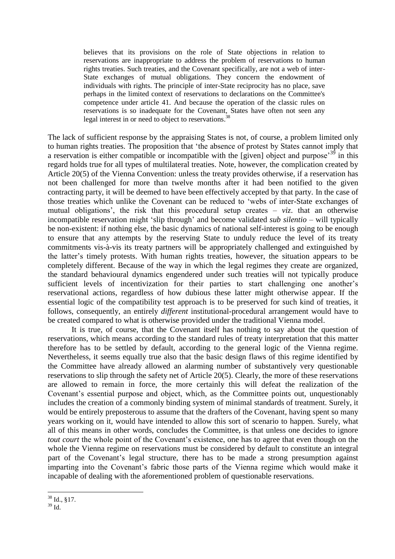believes that its provisions on the role of State objections in relation to reservations are inappropriate to address the problem of reservations to human rights treaties. Such treaties, and the Covenant specifically, are not a web of inter-State exchanges of mutual obligations. They concern the endowment of individuals with rights. The principle of inter-State reciprocity has no place, save perhaps in the limited context of reservations to declarations on the Committee's competence under article 41. And because the operation of the classic rules on reservations is so inadequate for the Covenant, States have often not seen any legal interest in or need to object to reservations.<sup>38</sup>

The lack of sufficient response by the appraising States is not, of course, a problem limited only to human rights treaties. The proposition that 'the absence of protest by States cannot imply that a reservation is either compatible or incompatible with the [given] object and purpose<sup> $39$ </sup> in this regard holds true for all types of multilateral treaties. Note, however, the complication created by Article 20(5) of the Vienna Convention: unless the treaty provides otherwise, if a reservation has not been challenged for more than twelve months after it had been notified to the given contracting party, it will be deemed to have been effectively accepted by that party. In the case of those treaties which unlike the Covenant can be reduced to 'webs of inter-State exchanges of mutual obligations', the risk that this procedural setup creates – *viz*. that an otherwise incompatible reservation might 'slip through' and become validated *sub silentio* – will typically be non-existent: if nothing else, the basic dynamics of national self-interest is going to be enough to ensure that any attempts by the reserving State to unduly reduce the level of its treaty commitments vis-à-vis its treaty partners will be appropriately challenged and extinguished by the latter's timely protests. With human rights treaties, however, the situation appears to be completely different. Because of the way in which the legal regimes they create are organized, the standard behavioural dynamics engendered under such treaties will not typically produce sufficient levels of incentivization for their parties to start challenging one another's reservational actions, regardless of how dubious these latter might otherwise appear. If the essential logic of the compatibility test approach is to be preserved for such kind of treaties, it follows, consequently, an entirely *different* institutional-procedural arrangement would have to be created compared to what is otherwise provided under the traditional Vienna model.

It is true, of course, that the Covenant itself has nothing to say about the question of reservations, which means according to the standard rules of treaty interpretation that this matter therefore has to be settled by default, according to the general logic of the Vienna regime. Nevertheless, it seems equally true also that the basic design flaws of this regime identified by the Committee have already allowed an alarming number of substantively very questionable reservations to slip through the safety net of Article 20(5). Clearly, the more of these reservations are allowed to remain in force, the more certainly this will defeat the realization of the Covenant's essential purpose and object, which, as the Committee points out, unquestionably includes the creation of a commonly binding system of minimal standards of treatment. Surely, it would be entirely preposterous to assume that the drafters of the Covenant, having spent so many years working on it, would have intended to allow this sort of scenario to happen. Surely, what all of this means in other words, concludes the Committee, is that unless one decides to ignore *tout court* the whole point of the Covenant's existence, one has to agree that even though on the whole the Vienna regime on reservations must be considered by default to constitute an integral part of the Covenant's legal structure, there has to be made a strong presumption against imparting into the Covenant's fabric those parts of the Vienna regime which would make it incapable of dealing with the aforementioned problem of questionable reservations.

<sup>1</sup>  $38$  Id., §17.

 $^{39}$  Id.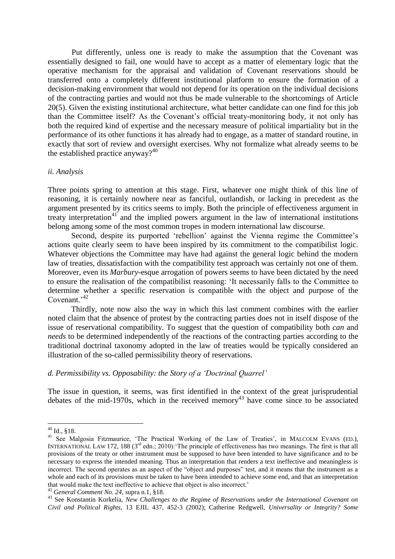Put differently, unless one is ready to make the assumption that the Covenant was essentially designed to fail, one would have to accept as a matter of elementary logic that the operative mechanism for the appraisal and validation of Covenant reservations should be transferred onto a completely different institutional platform to ensure the formation of a decision-making environment that would not depend for its operation on the individual decisions of the contracting parties and would not thus be made vulnerable to the shortcomings of Article 20(5). Given the existing institutional architecture, what better candidate can one find for this job than the Committee itself? As the Covenant's official treaty-monitoring body, it not only has both the required kind of expertise and the necessary measure of political impartiality but in the performance of its other functions it has already had to engage, as a matter of standard routine, in exactly that sort of review and oversight exercises. Why not formalize what already seems to be the established practice anyway? $40$ 

#### *ii. Analysis*

Three points spring to attention at this stage. First, whatever one might think of this line of reasoning, it is certainly nowhere near as fanciful, outlandish, or lacking in precedent as the argument presented by its critics seems to imply. Both the principle of effectiveness argument in treaty interpretation<sup>41</sup> and the implied powers argument in the law of international institutions belong among some of the most common tropes in modern international law discourse.

Second, despite its purported 'rebellion' against the Vienna regime the Committee's actions quite clearly seem to have been inspired by its commitment to the compatibilist logic. Whatever objections the Committee may have had against the general logic behind the modern law of treaties, dissatisfaction with the compatibility test approach was certainly not one of them. Moreover, even its *Marbury*-esque arrogation of powers seems to have been dictated by the need to ensure the realisation of the compatibilist reasoning: 'It necessarily falls to the Committee to determine whether a specific reservation is compatible with the object and purpose of the Covenant.<sup>42</sup>

Thirdly, note now also the way in which this last comment combines with the earlier noted claim that the absence of protest by the contracting parties does not in itself dispose of the issue of reservational compatibility. To suggest that the question of compatibility both *can* and *needs* to be determined independently of the reactions of the contracting parties according to the traditional doctrinal taxonomy adopted in the law of treaties would be typically considered an illustration of the so-called permissibility theory of reservations.

#### *d. Permissibility vs. Opposability: the Story of a 'Doctrinal Quarrel'*

The issue in question, it seems, was first identified in the context of the great jurisprudential debates of the mid-1970s, which in the received memory<sup>43</sup> have come since to be associated

 $40$  Id., §18.

<sup>&</sup>lt;sup>41</sup> See Malgosia Fitzmaurice, 'The Practical Working of the Law of Treaties', in MALCOLM EVANS (ED.), INTERNATIONAL LAW 172, 188 (3<sup>rd</sup> edn.; 2010): The principle of effectiveness has two meanings. The first is that all provisions of the treaty or other instrument must be supposed to have been intended to have significance and to be necessary to express the intended meaning. Thus an interpretation that renders a text ineffective and meaningless is incorrect. The second operates as an aspect of the "object and purposes" test, and it means that the instrument as a whole and each of its provisions must be taken to have been intended to achieve some end, and that an interpretation that would make the text ineffective to achieve that object is also incorrect.'

<sup>42</sup> *General Comment No. 24*, supra n.1, §18.

<sup>43</sup> See Konstantin Korkelia, *New Challenges to the Regime of Reservations under the International Covenant on Civil and Political Rights*, 13 EJIL 437, 452-3 (2002); Catherine Redgwell, *Universality or Integrity? Some*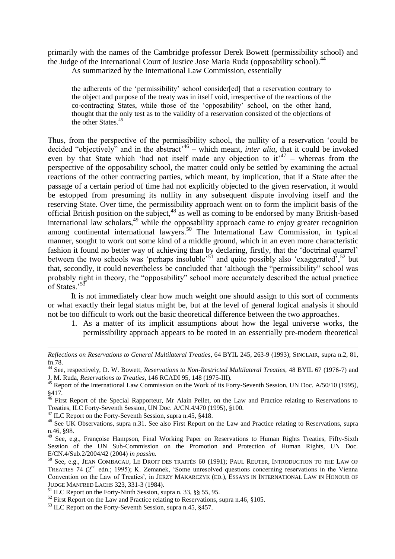primarily with the names of the Cambridge professor Derek Bowett (permissibility school) and the Judge of the International Court of Justice Jose Maria Ruda (opposability school).<sup>44</sup>

As summarized by the International Law Commission, essentially

the adherents of the 'permissibility' school consider[ed] that a reservation contrary to the object and purpose of the treaty was in itself void, irrespective of the reactions of the co-contracting States, while those of the 'opposability' school, on the other hand, thought that the only test as to the validity of a reservation consisted of the objections of the other States.<sup>45</sup>

Thus, from the perspective of the permissibility school, the nullity of a reservation 'could be decided "objectively" and in the abstract<sup>46</sup> – which meant, *inter alia*, that it could be invoked even by that State which 'had not itself made any objection to  $it^{47}$  – whereas from the perspective of the opposability school, the matter could only be settled by examining the actual reactions of the other contracting parties, which meant, by implication, that if a State after the passage of a certain period of time had not explicitly objected to the given reservation, it would be estopped from presuming its nullity in any subsequent dispute involving itself and the reserving State. Over time, the permissibility approach went on to form the implicit basis of the official British position on the subject, $48$  as well as coming to be endorsed by many British-based international law scholars,<sup>49</sup> while the opposability approach came to enjoy greater recognition among continental international lawyers.<sup>50</sup> The International Law Commission, in typical manner, sought to work out some kind of a middle ground, which in an even more characteristic fashion it found no better way of achieving than by declaring, firstly, that the 'doctrinal quarrel' between the two schools was 'perhaps insoluble'<sup>51</sup> and quite possibly also 'exaggerated',<sup>52</sup> but that, secondly, it could nevertheless be concluded that 'although the "permissibility" school was probably right in theory, the "opposability" school more accurately described the actual practice of States.'<sup>53</sup>

It is not immediately clear how much weight one should assign to this sort of comments or what exactly their legal status might be, but at the level of general logical analysis it should not be too difficult to work out the basic theoretical difference between the two approaches.

1. As a matter of its implicit assumptions about how the legal universe works, the permissibility approach appears to be rooted in an essentially pre-modern theoretical

*Reflections on Reservations to General Multilateral Treaties*, 64 BYIL 245, 263-9 (1993); SINCLAIR, supra n.2, 81, fn.78.

<sup>44</sup> See, respectively, D. W. Bowett, *Reservations to Non-Restricted Multilateral Treaties*, 48 BYIL 67 (1976-7) and J. M. Ruda, *Reservations to Treaties*, 146 RCADI 95, 148 (1975-III).

 $45$  Report of the International Law Commission on the Work of its Forty-Seventh Session, UN Doc. A/50/10 (1995), §417.

<sup>&</sup>lt;sup>46</sup> First Report of the Special Rapporteur, Mr Alain Pellet, on the Law and Practice relating to Reservations to Treaties, ILC Forty-Seventh Session, UN Doc. A/CN.4/470 (1995), §100.

<sup>&</sup>lt;sup>47</sup> ILC Report on the Forty-Seventh Session, supra n.45, §418.

<sup>&</sup>lt;sup>48</sup> See UK Observations, supra n.31. See also First Report on the Law and Practice relating to Reservations, supra n.46, §98.

<sup>&</sup>lt;sup>49</sup> See, e.g., Françoise Hampson, Final Working Paper on Reservations to Human Rights Treaties, Fifty-Sixth Session of the UN Sub-Commission on the Promotion and Protection of Human Rights, UN Doc. E/CN.4/Sub.2/2004/42 (2004) *in passim*.

<sup>&</sup>lt;sup>50</sup> See, e.g., JEAN COMBACAU, LE DROIT DES TRAITÉS 60 (1991); PAUL REUTER, INTRODUCTION TO THE LAW OF TREATIES 74 (2<sup>nd</sup> edn.; 1995); K. Zemanek, 'Some unresolved questions concerning reservations in the Vienna Convention on the Law of Treaties', in JERZY MAKARCZYK (ED.), ESSAYS IN INTERNATIONAL LAW IN HONOUR OF JUDGE MANFRED LACHS 323, 331-3 (1984).

 $^{51}$  ILC Report on the Forty-Ninth Session, supra n. 33, §§ 55, 95.

 $52$  First Report on the Law and Practice relating to Reservations, supra n.46, §105.

<sup>&</sup>lt;sup>53</sup> ILC Report on the Forty-Seventh Session, supra n.45, §457.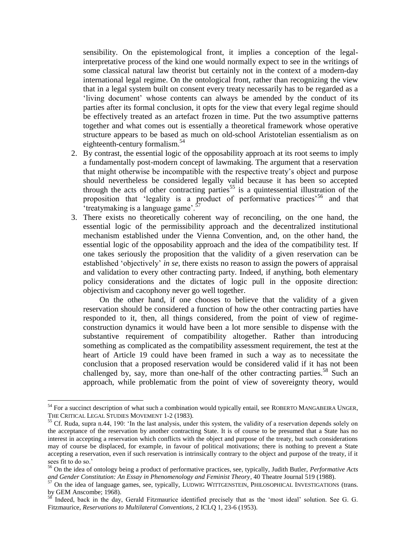sensibility. On the epistemological front, it implies a conception of the legalinterpretative process of the kind one would normally expect to see in the writings of some classical natural law theorist but certainly not in the context of a modern-day international legal regime. On the ontological front, rather than recognizing the view that in a legal system built on consent every treaty necessarily has to be regarded as a 'living document' whose contents can always be amended by the conduct of its parties after its formal conclusion, it opts for the view that every legal regime should be effectively treated as an artefact frozen in time. Put the two assumptive patterns together and what comes out is essentially a theoretical framework whose operative structure appears to be based as much on old-school Aristotelian essentialism as on eighteenth-century formalism.<sup>54</sup>

- 2. By contrast, the essential logic of the opposability approach at its root seems to imply a fundamentally post-modern concept of lawmaking. The argument that a reservation that might otherwise be incompatible with the respective treaty's object and purpose should nevertheless be considered legally valid because it has been so accepted through the acts of other contracting parties<sup>55</sup> is a quintessential illustration of the proposition that 'legality is a product of performative practices'<sup>56</sup> and that 'treatymaking is a language game'.<sup>5</sup>
- 3. There exists no theoretically coherent way of reconciling, on the one hand, the essential logic of the permissibility approach and the decentralized institutional mechanism established under the Vienna Convention, and, on the other hand, the essential logic of the opposability approach and the idea of the compatibility test. If one takes seriously the proposition that the validity of a given reservation can be established 'objectively' *in se*, there exists no reason to assign the powers of appraisal and validation to every other contracting party. Indeed, if anything, both elementary policy considerations and the dictates of logic pull in the opposite direction: objectivism and cacophony never go well together.

On the other hand, if one chooses to believe that the validity of a given reservation should be considered a function of how the other contracting parties have responded to it, then, all things considered, from the point of view of regimeconstruction dynamics it would have been a lot more sensible to dispense with the substantive requirement of compatibility altogether. Rather than introducing something as complicated as the compatibility assessment requirement, the test at the heart of Article 19 could have been framed in such a way as to necessitate the conclusion that a proposed reservation would be considered valid if it has not been challenged by, say, more than one-half of the other contracting parties.<sup>58</sup> Such an approach, while problematic from the point of view of sovereignty theory, would

<sup>&</sup>lt;sup>54</sup> For a succinct description of what such a combination would typically entail, see ROBERTO MANGABEIRA UNGER, THE CRITICAL LEGAL STUDIES MOVEMENT 1-2 (1983).

 $55$  Cf. Ruda, supra n.44, 190: 'In the last analysis, under this system, the validity of a reservation depends solely on the acceptance of the reservation by another contracting State. It is of course to be presumed that a State has no interest in accepting a reservation which conflicts with the object and purpose of the treaty, but such considerations may of course be displaced, for example, in favour of political motivations; there is nothing to prevent a State accepting a reservation, even if such reservation is intrinsically contrary to the object and purpose of the treaty, if it sees fit to do so.'

<sup>56</sup> On the idea of ontology being a product of performative practices, see, typically, Judith Butler, *Performative Acts and Gender Constitution: An Essay in Phenomenology and Feminist Theory*, 40 Theatre Journal 519 (1988).

<sup>&</sup>lt;sup>57</sup> On the idea of language games, see, typically, LUDWIG WITTGENSTEIN, PHILOSOPHICAL INVESTIGATIONS (trans. by GEM Anscombe; 1968).

<sup>&</sup>lt;sup>58</sup> Indeed, back in the day, Gerald Fitzmaurice identified precisely that as the 'most ideal' solution. See G. G. Fitzmaurice, *Reservations to Multilateral Conventions*, 2 ICLQ 1, 23-6 (1953).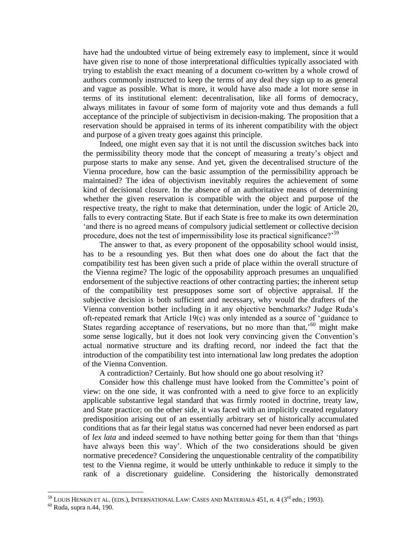have had the undoubted virtue of being extremely easy to implement, since it would have given rise to none of those interpretational difficulties typically associated with trying to establish the exact meaning of a document co-written by a whole crowd of authors commonly instructed to keep the terms of any deal they sign up to as general and vague as possible. What is more, it would have also made a lot more sense in terms of its institutional element: decentralisation, like all forms of democracy, always militates in favour of some form of majority vote and thus demands a full acceptance of the principle of subjectivism in decision-making. The proposition that a reservation should be appraised in terms of its inherent compatibility with the object and purpose of a given treaty goes against this principle.

Indeed, one might even say that it is not until the discussion switches back into the permissibility theory mode that the concept of measuring a treaty's object and purpose starts to make any sense. And yet, given the decentralised structure of the Vienna procedure, how can the basic assumption of the permissibility approach be maintained? The idea of objectivism inevitably requires the achievement of some kind of decisional closure. In the absence of an authoritative means of determining whether the given reservation is compatible with the object and purpose of the respective treaty, the right to make that determination, under the logic of Article 20, falls to every contracting State. But if each State is free to make its own determination 'and there is no agreed means of compulsory judicial settlement or collective decision procedure, does not the test of impermissibility lose its practical significance?<sup>59</sup>

The answer to that, as every proponent of the opposability school would insist, has to be a resounding yes. But then what does one do about the fact that the compatibility test has been given such a pride of place within the overall structure of the Vienna regime? The logic of the opposability approach presumes an unqualified endorsement of the subjective reactions of other contracting parties; the inherent setup of the compatibility test presupposes some sort of objective appraisal. If the subjective decision is both sufficient and necessary, why would the drafters of the Vienna convention bother including in it any objective benchmarks? Judge Ruda's oft-repeated remark that Article 19(c) was only intended as a source of 'guidance to States regarding acceptance of reservations, but no more than that,<sup> $60$ </sup> might make some sense logically, but it does not look very convincing given the Convention's actual normative structure and its drafting record, nor indeed the fact that the introduction of the compatibility test into international law long predates the adoption of the Vienna Convention.

A contradiction? Certainly. But how should one go about resolving it?

Consider how this challenge must have looked from the Committee's point of view: on the one side, it was confronted with a need to give force to an explicitly applicable substantive legal standard that was firmly rooted in doctrine, treaty law, and State practice; on the other side, it was faced with an implicitly created regulatory predisposition arising out of an essentially arbitrary set of historically accumulated conditions that as far their legal status was concerned had never been endorsed as part of *lex lata* and indeed seemed to have nothing better going for them than that 'things have always been this way'. Which of the two considerations should be given normative precedence? Considering the unquestionable centrality of the compatibility test to the Vienna regime, it would be utterly unthinkable to reduce it simply to the rank of a discretionary guideline. Considering the historically demonstrated

 $^{59}$  Louis Henkin et al. (eds.), International Law: Cases and Materials 451, n. 4 (3 $^{\rm rd}$  edn.; 1993).

 $60$  Ruda, supra n.44, 190.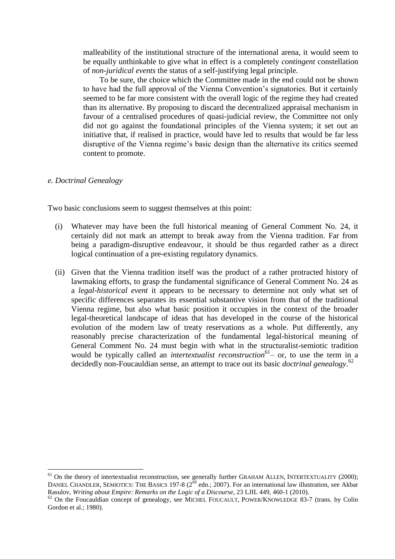malleability of the institutional structure of the international arena, it would seem to be equally unthinkable to give what in effect is a completely *contingent* constellation of *non-juridical events* the status of a self-justifying legal principle.

To be sure, the choice which the Committee made in the end could not be shown to have had the full approval of the Vienna Convention's signatories. But it certainly seemed to be far more consistent with the overall logic of the regime they had created than its alternative. By proposing to discard the decentralized appraisal mechanism in favour of a centralised procedures of quasi-judicial review, the Committee not only did not go against the foundational principles of the Vienna system; it set out an initiative that, if realised in practice, would have led to results that would be far less disruptive of the Vienna regime's basic design than the alternative its critics seemed content to promote.

#### *e. Doctrinal Genealogy*

<u>.</u>

Two basic conclusions seem to suggest themselves at this point:

- (i) Whatever may have been the full historical meaning of General Comment No. 24, it certainly did not mark an attempt to break away from the Vienna tradition. Far from being a paradigm-disruptive endeavour, it should be thus regarded rather as a direct logical continuation of a pre-existing regulatory dynamics.
- (ii) Given that the Vienna tradition itself was the product of a rather protracted history of lawmaking efforts, to grasp the fundamental significance of General Comment No. 24 as a *legal-historical event* it appears to be necessary to determine not only what set of specific differences separates its essential substantive vision from that of the traditional Vienna regime, but also what basic position it occupies in the context of the broader legal-theoretical landscape of ideas that has developed in the course of the historical evolution of the modern law of treaty reservations as a whole. Put differently, any reasonably precise characterization of the fundamental legal-historical meaning of General Comment No. 24 must begin with what in the structuralist-semiotic tradition would be typically called an *intertextualist reconstruction*<sup>61</sup> – or, to use the term in a decidedly non-Foucauldian sense, an attempt to trace out its basic *doctrinal genealogy*. 62

 $61$  On the theory of intertextualist reconstruction, see generally further GRAHAM ALLEN, INTERTEXTUALITY (2000); DANIEL CHANDLER, SEMIOTICS: THE BASICS 197-8 (2<sup>nd</sup> edn.; 2007). For an international law illustration, see Akbar Rasulov, *Writing about Empire: Remarks on the Logic of a Discourse*, 23 LJIL 449, 460-1 (2010).

<sup>&</sup>lt;sup>62</sup> On the Foucauldian concept of genealogy, see MICHEL FOUCAULT, POWER/KNOWLEDGE 83-7 (trans. by Colin Gordon et al.; 1980).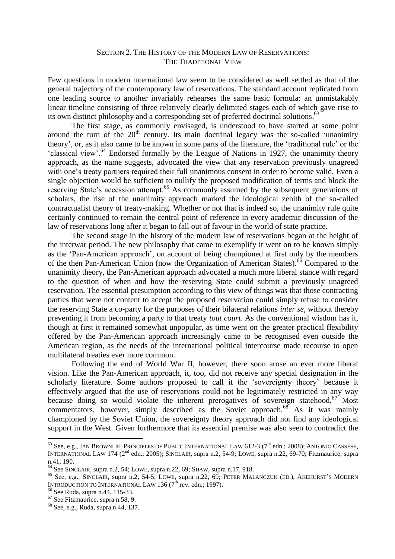## SECTION 2. THE HISTORY OF THE MODERN LAW OF RESERVATIONS: THE TRADITIONAL VIEW

Few questions in modern international law seem to be considered as well settled as that of the general trajectory of the contemporary law of reservations. The standard account replicated from one leading source to another invariably rehearses the same basic formula: an unmistakably linear timeline consisting of three relatively clearly delimited stages each of which gave rise to its own distinct philosophy and a corresponding set of preferred doctrinal solutions.<sup>63</sup>

The first stage, as commonly envisaged, is understood to have started at some point around the turn of the  $20<sup>th</sup>$  century. Its main doctrinal legacy was the so-called 'unanimity theory', or, as it also came to be known in some parts of the literature, the 'traditional rule' or the 'classical view'.<sup>64</sup> Endorsed formally by the League of Nations in 1927, the unanimity theory approach, as the name suggests, advocated the view that any reservation previously unagreed with one's treaty partners required their full unanimous consent in order to become valid. Even a single objection would be sufficient to nullify the proposed modification of terms and block the reserving State's accession attempt.<sup>65</sup> As commonly assumed by the subsequent generations of scholars, the rise of the unanimity approach marked the ideological zenith of the so-called contractualist theory of treaty-making. Whether or not that is indeed so, the unanimity rule quite certainly continued to remain the central point of reference in every academic discussion of the law of reservations long after it began to fall out of favour in the world of state practice.

The second stage in the history of the modern law of reservations began at the height of the interwar period. The new philosophy that came to exemplify it went on to be known simply as the 'Pan-American approach', on account of being championed at first only by the members of the then Pan-American Union (now the Organization of American States).<sup>66</sup> Compared to the unanimity theory, the Pan-American approach advocated a much more liberal stance with regard to the question of when and how the reserving State could submit a previously unagreed reservation. The essential presumption according to this view of things was that those contracting parties that were not content to accept the proposed reservation could simply refuse to consider the reserving State a co-party for the purposes of their bilateral relations *inter se*, without thereby preventing it from becoming a party to that treaty *tout court*. As the conventional wisdom has it, though at first it remained somewhat unpopular, as time went on the greater practical flexibility offered by the Pan-American approach increasingly came to be recognised even outside the American region, as the needs of the international political intercourse made recourse to open multilateral treaties ever more common.

Following the end of World War II, however, there soon arose an ever more liberal vision. Like the Pan-American approach, it, too, did not receive any special designation in the scholarly literature. Some authors proposed to call it the 'sovereignty theory' because it effectively argued that the use of reservations could not be legitimately restricted in any way because doing so would violate the inherent prerogatives of sovereign statehood.<sup>67</sup> Most commentators, however, simply described as the Soviet approach.<sup>68</sup> As it was mainly championed by the Soviet Union, the sovereignty theory approach did not find any ideological support in the West. Given furthermore that its essential premise was also seen to contradict the

 $^{63}$  See, e.g., IAN BROWNLIE, PRINCIPLES OF PUBLIC INTERNATIONAL LAW 612-3 ( $7<sup>th</sup>$  edn.; 2008); ANTONIO CASSESE, INTERNATIONAL LAW 174 (2nd edn.; 2005); SINCLAIR, supra n.2, 54-9; LOWE, supra n.22, 69-70; Fitzmaurice, supra n.41, 190.

<sup>64</sup> See SINCLAIR, supra n.2, 54; LOWE, supra n.22, 69; SHAW, supra n.17, 918.

<sup>&</sup>lt;sup>65</sup> See, e.g., SINCLAIR, supra n.2, 54-5; LOWE, supra n.22, 69; PETER MALANCZUK (ED.), AKEHURST'S MODERN INTRODUCTION TO INTERNATIONAL LAW 136  $(7<sup>th</sup>$  rev. edn.; 1997).

<sup>66</sup> See Ruda, supra n.44, 115-33.

<sup>67</sup> See Fitzmaurice, supra n.58, 9.

<sup>68</sup> See, e.g., Ruda, supra n.44, 137.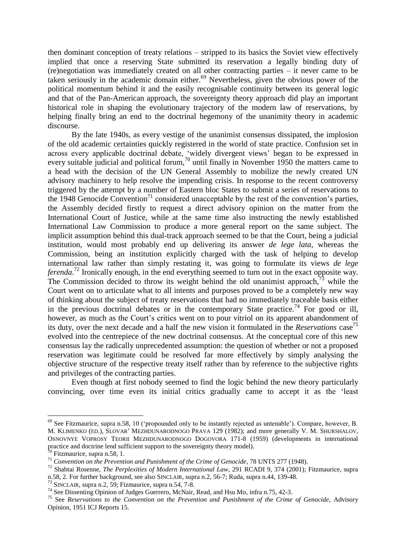then dominant conception of treaty relations – stripped to its basics the Soviet view effectively implied that once a reserving State submitted its reservation a legally binding duty of (re)negotiation was immediately created on all other contracting parties – it never came to be taken seriously in the academic domain either. $69$  Nevertheless, given the obvious power of the political momentum behind it and the easily recognisable continuity between its general logic and that of the Pan-American approach, the sovereignty theory approach did play an important historical role in shaping the evolutionary trajectory of the modern law of reservations, by helping finally bring an end to the doctrinal hegemony of the unanimity theory in academic discourse.

By the late 1940s, as every vestige of the unanimist consensus dissipated, the implosion of the old academic certainties quickly registered in the world of state practice. Confusion set in across every applicable doctrinal debate, 'widely divergent views' began to be expressed in every suitable judicial and political forum,<sup>70</sup> until finally in November 1950 the matters came to a head with the decision of the UN General Assembly to mobilize the newly created UN advisory machinery to help resolve the impending crisis. In response to the recent controversy triggered by the attempt by a number of Eastern bloc States to submit a series of reservations to the 1948 Genocide Convention<sup>71</sup> considered unacceptable by the rest of the convention's parties. the Assembly decided firstly to request a direct advisory opinion on the matter from the International Court of Justice, while at the same time also instructing the newly established International Law Commission to produce a more general report on the same subject. The implicit assumption behind this dual-track approach seemed to be that the Court, being a judicial institution, would most probably end up delivering its answer *de lege lata*, whereas the Commission, being an institution explicitly charged with the task of helping to develop international law rather than simply restating it, was going to formulate its views *de lege ferenda*. <sup>72</sup> Ironically enough, in the end everything seemed to turn out in the exact opposite way. The Commission decided to throw its weight behind the old unanimist approach,  $\frac{73}{12}$  while the Court went on to articulate what to all intents and purposes proved to be a completely new way of thinking about the subject of treaty reservations that had no immediately traceable basis either in the previous doctrinal debates or in the contemporary State practice.<sup>74</sup> For good or ill, however, as much as the Court's critics went on to pour vitriol on its apparent abandonment of its duty, over the next decade and a half the new vision it formulated in the *Reservations* case 75 evolved into the centrepiece of the new doctrinal consensus. At the conceptual core of this new consensus lay the radically unprecedented assumption: the question of whether or not a proposed reservation was legitimate could be resolved far more effectively by simply analysing the objective structure of the respective treaty itself rather than by reference to the subjective rights and privileges of the contracting parties.

Even though at first nobody seemed to find the logic behind the new theory particularly convincing, over time even its initial critics gradually came to accept it as the 'least

<sup>&</sup>lt;sup>69</sup> See Fitzmaurice, supra n.58, 10 ('propounded only to be instantly rejected as untenable'). Compare, however, B. M. KLIMENKO (ED.), SLOVAR' MEZHDUNARODNOGO PRAVA 129 (1982); and more generally V. M. SHURSHALOV, OSNOVNYE VOPROSY TEORII MEZHDUNARODNOGO DOGOVORA 171-8 (1959) (developments in international practice and doctrine lend sufficient support to the sovereignty theory model).

 $\frac{1}{20}$  Fitzmaurice, supra n.58, 1.

<sup>71</sup> *Convention on the Prevention and Punishment of the Crime of Genocide*, 78 UNTS 277 (1948).

<sup>72</sup> Shabtai Rosenne, *The Perplexities of Modern International Law*, 291 RCADI 9, 374 (2001); Fitzmaurice, supra n.58, 2. For further background, see also SINCLAIR, supra n.2, 56-7; Ruda, supra n.44, 139-48.

 $^{73}$  SINCLAIR, supra n.2, 59; Fizmaurice, supra n.54, 7-8.

<sup>&</sup>lt;sup>74</sup> See Dissenting Opinion of Judges Guerrero, McNair, Read, and Hsu Mo, infra n.75, 42-3.

<sup>75</sup> See *Reservations to the Convention on the Prevention and Punishment of the Crime of Genocide*, Advisory Opinion, 1951 ICJ Reports 15.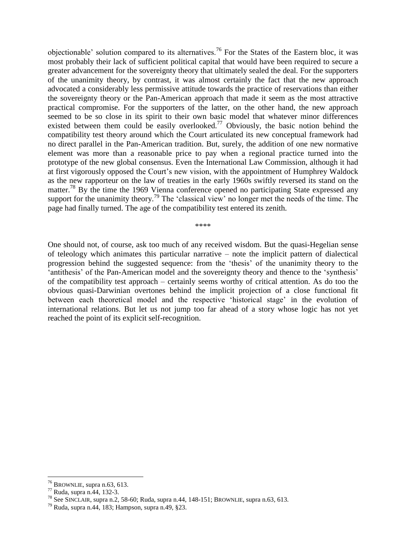objectionable' solution compared to its alternatives.<sup>76</sup> For the States of the Eastern bloc, it was most probably their lack of sufficient political capital that would have been required to secure a greater advancement for the sovereignty theory that ultimately sealed the deal. For the supporters of the unanimity theory, by contrast, it was almost certainly the fact that the new approach advocated a considerably less permissive attitude towards the practice of reservations than either the sovereignty theory or the Pan-American approach that made it seem as the most attractive practical compromise. For the supporters of the latter, on the other hand, the new approach seemed to be so close in its spirit to their own basic model that whatever minor differences existed between them could be easily overlooked.<sup>77</sup> Obviously, the basic notion behind the compatibility test theory around which the Court articulated its new conceptual framework had no direct parallel in the Pan-American tradition. But, surely, the addition of one new normative element was more than a reasonable price to pay when a regional practice turned into the prototype of the new global consensus. Even the International Law Commission, although it had at first vigorously opposed the Court's new vision, with the appointment of Humphrey Waldock as the new rapporteur on the law of treaties in the early 1960s swiftly reversed its stand on the matter.<sup>78</sup> By the time the 1969 Vienna conference opened no participating State expressed any support for the unanimity theory.<sup>79</sup> The 'classical view' no longer met the needs of the time. The page had finally turned. The age of the compatibility test entered its zenith.

\*\*\*\*

One should not, of course, ask too much of any received wisdom. But the quasi-Hegelian sense of teleology which animates this particular narrative – note the implicit pattern of dialectical progression behind the suggested sequence: from the 'thesis' of the unanimity theory to the 'antithesis' of the Pan-American model and the sovereignty theory and thence to the 'synthesis' of the compatibility test approach – certainly seems worthy of critical attention. As do too the obvious quasi-Darwinian overtones behind the implicit projection of a close functional fit between each theoretical model and the respective 'historical stage' in the evolution of international relations. But let us not jump too far ahead of a story whose logic has not yet reached the point of its explicit self-recognition.

 $76$  BROWNLIE, supra n.63, 613.

<sup>77</sup> Ruda, supra n.44, 132-3.

<sup>78</sup> See SINCLAIR, supra n.2, 58-60; Ruda, supra n.44, 148-151; BROWNLIE, supra n.63, 613.

<sup>79</sup> Ruda, supra n.44, 183; Hampson, supra n.49, §23.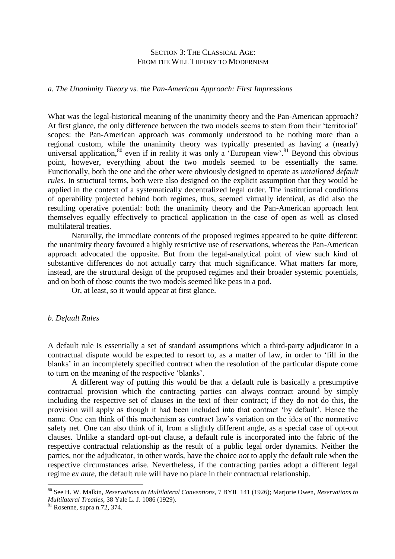## SECTION 3: THE CLASSICAL AGE: FROM THE WILL THEORY TO MODERNISM

#### *a. The Unanimity Theory vs. the Pan-American Approach: First Impressions*

What was the legal-historical meaning of the unanimity theory and the Pan-American approach? At first glance, the only difference between the two models seems to stem from their 'territorial' scopes: the Pan-American approach was commonly understood to be nothing more than a regional custom, while the unanimity theory was typically presented as having a (nearly) universal application,<sup>80</sup> even if in reality it was only a 'European view'.<sup>81</sup> Beyond this obvious point, however, everything about the two models seemed to be essentially the same. Functionally, both the one and the other were obviously designed to operate as *untailored default rules*. In structural terms, both were also designed on the explicit assumption that they would be applied in the context of a systematically decentralized legal order. The institutional conditions of operability projected behind both regimes, thus, seemed virtually identical, as did also the resulting operative potential: both the unanimity theory and the Pan-American approach lent themselves equally effectively to practical application in the case of open as well as closed multilateral treaties.

Naturally, the immediate contents of the proposed regimes appeared to be quite different: the unanimity theory favoured a highly restrictive use of reservations, whereas the Pan-American approach advocated the opposite. But from the legal-analytical point of view such kind of substantive differences do not actually carry that much significance. What matters far more, instead, are the structural design of the proposed regimes and their broader systemic potentials, and on both of those counts the two models seemed like peas in a pod.

Or, at least, so it would appear at first glance.

#### *b. Default Rules*

A default rule is essentially a set of standard assumptions which a third-party adjudicator in a contractual dispute would be expected to resort to, as a matter of law, in order to 'fill in the blanks' in an incompletely specified contract when the resolution of the particular dispute come to turn on the meaning of the respective 'blanks'.

A different way of putting this would be that a default rule is basically a presumptive contractual provision which the contracting parties can always contract around by simply including the respective set of clauses in the text of their contract; if they do not do this, the provision will apply as though it had been included into that contract 'by default'. Hence the name. One can think of this mechanism as contract law's variation on the idea of the normative safety net. One can also think of it, from a slightly different angle, as a special case of opt-out clauses. Unlike a standard opt-out clause, a default rule is incorporated into the fabric of the respective contractual relationship as the result of a public legal order dynamics. Neither the parties, nor the adjudicator, in other words, have the choice *not* to apply the default rule when the respective circumstances arise. Nevertheless, if the contracting parties adopt a different legal regime *ex ante*, the default rule will have no place in their contractual relationship.

<sup>80</sup> See H. W. Malkin, *Reservations to Multilateral Conventions*, 7 BYIL 141 (1926); Marjorie Owen, *Reservations to Multilateral Treaties*, 38 Yale L. J. 1086 (1929).

<sup>81</sup> Rosenne, supra n.72, 374.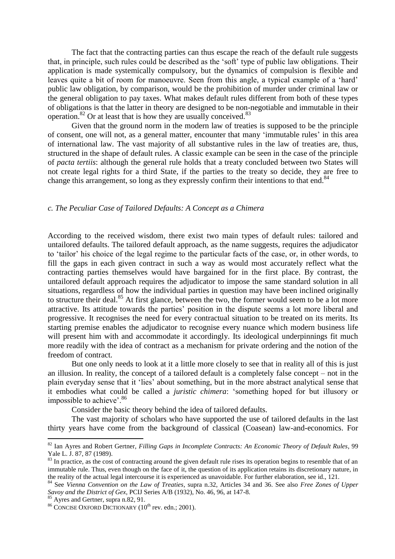The fact that the contracting parties can thus escape the reach of the default rule suggests that, in principle, such rules could be described as the 'soft' type of public law obligations. Their application is made systemically compulsory, but the dynamics of compulsion is flexible and leaves quite a bit of room for manoeuvre. Seen from this angle, a typical example of a 'hard' public law obligation, by comparison, would be the prohibition of murder under criminal law or the general obligation to pay taxes. What makes default rules different from both of these types of obligations is that the latter in theory are designed to be non-negotiable and immutable in their operation. $82$  Or at least that is how they are usually conceived. $83$ 

Given that the ground norm in the modern law of treaties is supposed to be the principle of consent, one will not, as a general matter, encounter that many 'immutable rules' in this area of international law. The vast majority of all substantive rules in the law of treaties are, thus, structured in the shape of default rules. A classic example can be seen in the case of the principle of *pacta tertiis*: although the general rule holds that a treaty concluded between two States will not create legal rights for a third State, if the parties to the treaty so decide, they are free to change this arrangement, so long as they expressly confirm their intentions to that end. $84$ 

## *c. The Peculiar Case of Tailored Defaults: A Concept as a Chimera*

According to the received wisdom, there exist two main types of default rules: tailored and untailored defaults. The tailored default approach, as the name suggests, requires the adjudicator to 'tailor' his choice of the legal regime to the particular facts of the case, or, in other words, to fill the gaps in each given contract in such a way as would most accurately reflect what the contracting parties themselves would have bargained for in the first place. By contrast, the untailored default approach requires the adjudicator to impose the same standard solution in all situations, regardless of how the individual parties in question may have been inclined originally to structure their deal.<sup>85</sup> At first glance, between the two, the former would seem to be a lot more attractive. Its attitude towards the parties' position in the dispute seems a lot more liberal and progressive. It recognises the need for every contractual situation to be treated on its merits. Its starting premise enables the adjudicator to recognise every nuance which modern business life will present him with and accommodate it accordingly. Its ideological underpinnings fit much more readily with the idea of contract as a mechanism for private ordering and the notion of the freedom of contract.

But one only needs to look at it a little more closely to see that in reality all of this is just an illusion. In reality, the concept of a tailored default is a completely false concept – not in the plain everyday sense that it 'lies' about something, but in the more abstract analytical sense that it embodies what could be called a *juristic chimera*: 'something hoped for but illusory or impossible to achieve'.<sup>86</sup>

Consider the basic theory behind the idea of tailored defaults.

The vast majority of scholars who have supported the use of tailored defaults in the last thirty years have come from the background of classical (Coasean) law-and-economics. For

<sup>82</sup> Ian Ayres and Robert Gertner, *Filling Gaps in Incomplete Contracts: An Economic Theory of Default Rules*, 99 Yale L. J. 87, 87 (1989).

<sup>&</sup>lt;sup>83</sup> In practice, as the cost of contracting around the given default rule rises its operation begins to resemble that of an immutable rule. Thus, even though on the face of it, the question of its application retains its discretionary nature, in the reality of the actual legal intercourse it is experienced as unavoidable. For further elaboration, see id., 121.

<sup>84</sup> See *Vienna Convention on the Law of Treaties*, supra n.32, Articles 34 and 36. See also *Free Zones of Upper Savoy and the District of Gex*, PCIJ Series A/B (1932), No. 46, 96, at 147-8.

 $\frac{85}{25}$  Avres and Gertner, supra n.82, 91.

 $86$  CONCISE OXFORD DICTIONARY (10<sup>th</sup> rev. edn.; 2001).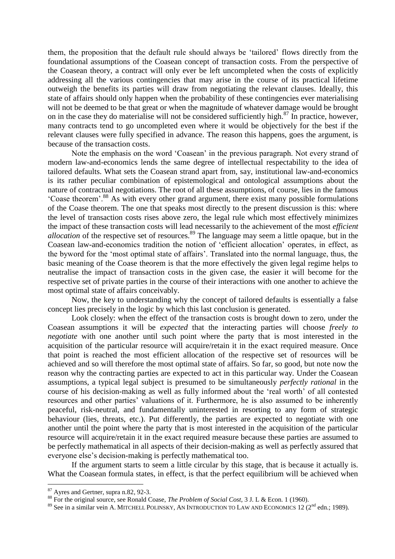them, the proposition that the default rule should always be 'tailored' flows directly from the foundational assumptions of the Coasean concept of transaction costs. From the perspective of the Coasean theory, a contract will only ever be left uncompleted when the costs of explicitly addressing all the various contingencies that may arise in the course of its practical lifetime outweigh the benefits its parties will draw from negotiating the relevant clauses. Ideally, this state of affairs should only happen when the probability of these contingencies ever materialising will not be deemed to be that great or when the magnitude of whatever damage would be brought on in the case they do materialise will not be considered sufficiently high.<sup>87</sup> In practice, however, many contracts tend to go uncompleted even where it would be objectively for the best if the relevant clauses were fully specified in advance. The reason this happens, goes the argument, is because of the transaction costs.

Note the emphasis on the word 'Coasean' in the previous paragraph. Not every strand of modern law-and-economics lends the same degree of intellectual respectability to the idea of tailored defaults. What sets the Coasean strand apart from, say, institutional law-and-economics is its rather peculiar combination of epistemological and ontological assumptions about the nature of contractual negotiations. The root of all these assumptions, of course, lies in the famous 'Coase theorem'.<sup>88</sup> As with every other grand argument, there exist many possible formulations of the Coase theorem. The one that speaks most directly to the present discussion is this: where the level of transaction costs rises above zero, the legal rule which most effectively minimizes the impact of these transaction costs will lead necessarily to the achievement of the most *efficient allocation* of the respective set of resources. <sup>89</sup> The language may seem a little opaque, but in the Coasean law-and-economics tradition the notion of 'efficient allocation' operates, in effect, as the byword for the 'most optimal state of affairs'. Translated into the normal language, thus, the basic meaning of the Coase theorem is that the more effectively the given legal regime helps to neutralise the impact of transaction costs in the given case, the easier it will become for the respective set of private parties in the course of their interactions with one another to achieve the most optimal state of affairs conceivably.

Now, the key to understanding why the concept of tailored defaults is essentially a false concept lies precisely in the logic by which this last conclusion is generated.

Look closely: when the effect of the transaction costs is brought down to zero, under the Coasean assumptions it will be *expected* that the interacting parties will choose *freely to negotiate* with one another until such point where the party that is most interested in the acquisition of the particular resource will acquire/retain it in the exact required measure. Once that point is reached the most efficient allocation of the respective set of resources will be achieved and so will therefore the most optimal state of affairs. So far, so good, but note now the reason why the contracting parties are expected to act in this particular way. Under the Coasean assumptions, a typical legal subject is presumed to be simultaneously *perfectly rational* in the course of his decision-making as well as fully informed about the 'real worth' of all contested resources and other parties' valuations of it. Furthermore, he is also assumed to be inherently peaceful, risk-neutral, and fundamentally uninterested in resorting to any form of strategic behaviour (lies, threats, etc.). Put differently, the parties are expected to negotiate with one another until the point where the party that is most interested in the acquisition of the particular resource will acquire/retain it in the exact required measure because these parties are assumed to be perfectly mathematical in all aspects of their decision-making as well as perfectly assured that everyone else's decision-making is perfectly mathematical too.

If the argument starts to seem a little circular by this stage, that is because it actually is. What the Coasean formula states, in effect, is that the perfect equilibrium will be achieved when

<sup>87</sup> Ayres and Gertner, supra n.82, 92-3.

<sup>88</sup> For the original source, see Ronald Coase, *The Problem of Social Cost*, 3 J. L & Econ. 1 (1960).

<sup>&</sup>lt;sup>89</sup> See in a similar vein A. MITCHELL POLINSKY, AN INTRODUCTION TO LAW AND ECONOMICS 12 ( $2<sup>nd</sup>$  edn.; 1989).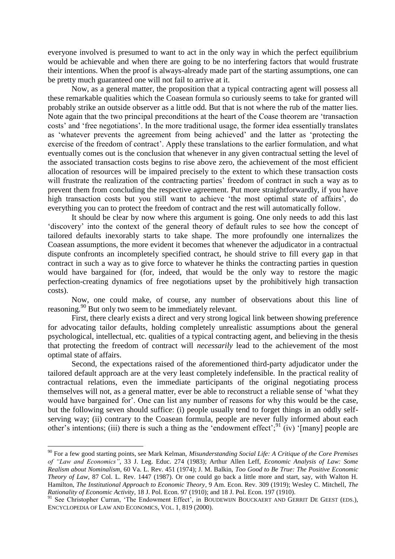everyone involved is presumed to want to act in the only way in which the perfect equilibrium would be achievable and when there are going to be no interfering factors that would frustrate their intentions. When the proof is always-already made part of the starting assumptions, one can be pretty much guaranteed one will not fail to arrive at it.

Now, as a general matter, the proposition that a typical contracting agent will possess all these remarkable qualities which the Coasean formula so curiously seems to take for granted will probably strike an outside observer as a little odd. But that is not where the rub of the matter lies. Note again that the two principal preconditions at the heart of the Coase theorem are 'transaction costs' and 'free negotiations'. In the more traditional usage, the former idea essentially translates as 'whatever prevents the agreement from being achieved' and the latter as 'protecting the exercise of the freedom of contract'. Apply these translations to the earlier formulation, and what eventually comes out is the conclusion that whenever in any given contractual setting the level of the associated transaction costs begins to rise above zero, the achievement of the most efficient allocation of resources will be impaired precisely to the extent to which these transaction costs will frustrate the realization of the contracting parties' freedom of contract in such a way as to prevent them from concluding the respective agreement. Put more straightforwardly, if you have high transaction costs but you still want to achieve 'the most optimal state of affairs', do everything you can to protect the freedom of contract and the rest will automatically follow.

It should be clear by now where this argument is going. One only needs to add this last 'discovery' into the context of the general theory of default rules to see how the concept of tailored defaults inexorably starts to take shape. The more profoundly one internalizes the Coasean assumptions, the more evident it becomes that whenever the adjudicator in a contractual dispute confronts an incompletely specified contract, he should strive to fill every gap in that contract in such a way as to give force to whatever he thinks the contracting parties in question would have bargained for (for, indeed, that would be the only way to restore the magic perfection-creating dynamics of free negotiations upset by the prohibitively high transaction costs).

Now, one could make, of course, any number of observations about this line of reasoning.<sup>90</sup> But only two seem to be immediately relevant.

First, there clearly exists a direct and very strong logical link between showing preference for advocating tailor defaults, holding completely unrealistic assumptions about the general psychological, intellectual, etc. qualities of a typical contracting agent, and believing in the thesis that protecting the freedom of contract will *necessarily* lead to the achievement of the most optimal state of affairs.

Second, the expectations raised of the aforementioned third-party adjudicator under the tailored default approach are at the very least completely indefensible. In the practical reality of contractual relations, even the immediate participants of the original negotiating process themselves will not, as a general matter, ever be able to reconstruct a reliable sense of 'what they would have bargained for'. One can list any number of reasons for why this would be the case, but the following seven should suffice: (i) people usually tend to forget things in an oddly selfserving way; (ii) contrary to the Coasean formula, people are never fully informed about each other's intentions; (iii) there is such a thing as the 'endowment effect';  $91$  (iv) '[many] people are

<sup>90</sup> For a few good starting points, see Mark Kelman, *Misunderstanding Social Life: A Critique of the Core Premises of "Law and Economics"*, 33 J. Leg. Educ. 274 (1983); Arthur Allen Leff, *Economic Analysis of Law: Some Realism about Nominalism*, 60 Va. L. Rev. 451 (1974); J. M. Balkin, *Too Good to Be True: The Positive Economic Theory of Law*, 87 Col. L. Rev. 1447 (1987). Or one could go back a little more and start, say, with Walton H. Hamilton, *The Institutional Approach to Economic Theory*, 9 Am. Econ. Rev. 309 (1919); Wesley C. Mitchell, *The Rationality of Economic Activity*, 18 J. Pol. Econ. 97 (1910); and 18 J. Pol. Econ. 197 (1910).

<sup>&</sup>lt;sup>91</sup> See Christopher Curran, 'The Endowment Effect', in BOUDEWIJN BOUCKAERT AND GERRIT DE GEEST (EDS.), ENCYCLOPEDIA OF LAW AND ECONOMICS, VOL. 1, 819 (2000).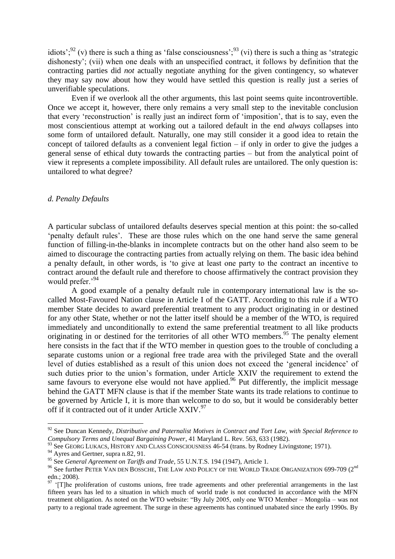idiots';<sup>92</sup> (v) there is such a thing as 'false consciousness';<sup>93</sup> (vi) there is such a thing as 'strategic dishonesty'; (vii) when one deals with an unspecified contract, it follows by definition that the contracting parties did *not* actually negotiate anything for the given contingency, so whatever they may say now about how they would have settled this question is really just a series of unverifiable speculations.

Even if we overlook all the other arguments, this last point seems quite incontrovertible. Once we accept it, however, there only remains a very small step to the inevitable conclusion that every 'reconstruction' is really just an indirect form of 'imposition', that is to say, even the most conscientious attempt at working out a tailored default in the end *always* collapses into some form of untailored default. Naturally, one may still consider it a good idea to retain the concept of tailored defaults as a convenient legal fiction – if only in order to give the judges a general sense of ethical duty towards the contracting parties – but from the analytical point of view it represents a complete impossibility. All default rules are untailored. The only question is: untailored to what degree?

#### *d. Penalty Defaults*

A particular subclass of untailored defaults deserves special mention at this point: the so-called 'penalty default rules'. These are those rules which on the one hand serve the same general function of filling-in-the-blanks in incomplete contracts but on the other hand also seem to be aimed to discourage the contracting parties from actually relying on them. The basic idea behind a penalty default, in other words, is 'to give at least one party to the contract an incentive to contract around the default rule and therefore to choose affirmatively the contract provision they would prefer.'<sup>94</sup>

A good example of a penalty default rule in contemporary international law is the socalled Most-Favoured Nation clause in Article I of the GATT. According to this rule if a WTO member State decides to award preferential treatment to any product originating in or destined for any other State, whether or not the latter itself should be a member of the WTO, is required immediately and unconditionally to extend the same preferential treatment to all like products originating in or destined for the territories of all other WTO members.<sup>95</sup> The penalty element here consists in the fact that if the WTO member in question goes to the trouble of concluding a separate customs union or a regional free trade area with the privileged State and the overall level of duties established as a result of this union does not exceed the 'general incidence' of such duties prior to the union's formation, under Article XXIV the requirement to extend the same favours to everyone else would not have applied.<sup>96</sup> Put differently, the implicit message behind the GATT MFN clause is that if the member State wants its trade relations to continue to be governed by Article I, it is more than welcome to do so, but it would be considerably better off if it contracted out of it under Article  $XXIV.<sup>97</sup>$ 

<sup>92</sup> See Duncan Kennedy, *Distributive and Paternalist Motives in Contract and Tort Law, with Special Reference to Compulsory Terms and Unequal Bargaining Power*, 41 Maryland L. Rev. 563, 633 (1982).

<sup>&</sup>lt;sup>93</sup> See GEORG LUKACS, HISTORY AND CLASS CONSCIOUSNESS 46-54 (trans. by Rodney Livingstone; 1971).

 $^{94}$  Ayres and Gertner, supra n.82, 91.

<sup>95</sup> See *General Agreement on Tariffs and Trade*, 55 U.N.T.S. 194 (1947), Article 1.

<sup>&</sup>lt;sup>96</sup> See further PETER VAN DEN BOSSCHE, THE LAW AND POLICY OF THE WORLD TRADE ORGANIZATION 699-709 (2<sup>nd</sup> edn.; 2008).

<sup>&</sup>lt;sup>97</sup> 'ITlhe proliferation of customs unions, free trade agreements and other preferential arrangements in the last fifteen years has led to a situation in which much of world trade is not conducted in accordance with the MFN treatment obligation. As noted on the WTO website: "By July 2005, only one WTO Member – Mongolia – was not party to a regional trade agreement. The surge in these agreements has continued unabated since the early 1990s. By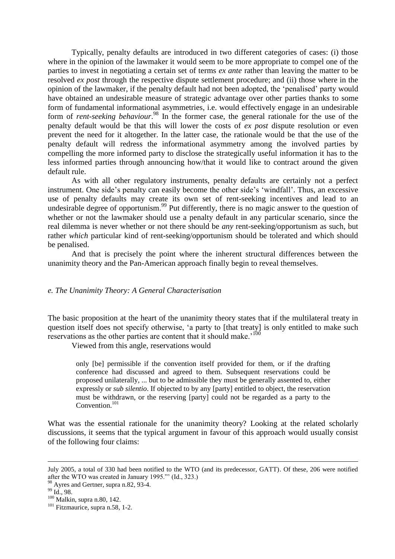Typically, penalty defaults are introduced in two different categories of cases: (i) those where in the opinion of the lawmaker it would seem to be more appropriate to compel one of the parties to invest in negotiating a certain set of terms *ex ante* rather than leaving the matter to be resolved *ex post* through the respective dispute settlement procedure; and (ii) those where in the opinion of the lawmaker, if the penalty default had not been adopted, the 'penalised' party would have obtained an undesirable measure of strategic advantage over other parties thanks to some form of fundamental informational asymmetries, i.e. would effectively engage in an undesirable form of *rent-seeking behaviour*. <sup>98</sup> In the former case, the general rationale for the use of the penalty default would be that this will lower the costs of *ex post* dispute resolution or even prevent the need for it altogether. In the latter case, the rationale would be that the use of the penalty default will redress the informational asymmetry among the involved parties by compelling the more informed party to disclose the strategically useful information it has to the less informed parties through announcing how/that it would like to contract around the given default rule.

As with all other regulatory instruments, penalty defaults are certainly not a perfect instrument. One side's penalty can easily become the other side's 'windfall'. Thus, an excessive use of penalty defaults may create its own set of rent-seeking incentives and lead to an undesirable degree of opportunism.<sup>99</sup> Put differently, there is no magic answer to the question of whether or not the lawmaker should use a penalty default in any particular scenario, since the real dilemma is never whether or not there should be *any* rent-seeking/opportunism as such, but rather *which* particular kind of rent-seeking/opportunism should be tolerated and which should be penalised.

And that is precisely the point where the inherent structural differences between the unanimity theory and the Pan-American approach finally begin to reveal themselves.

## *e. The Unanimity Theory: A General Characterisation*

The basic proposition at the heart of the unanimity theory states that if the multilateral treaty in question itself does not specify otherwise, 'a party to [that treaty] is only entitled to make such reservations as the other parties are content that it should make.<sup>'100</sup>

Viewed from this angle, reservations would

only [be] permissible if the convention itself provided for them, or if the drafting conference had discussed and agreed to them. Subsequent reservations could be proposed unilaterally, ... but to be admissible they must be generally assented to, either expressly or *sub silentio*. If objected to by any [party] entitled to object, the reservation must be withdrawn, or the reserving [party] could not be regarded as a party to the Convention.<sup>101</sup>

What was the essential rationale for the unanimity theory? Looking at the related scholarly discussions, it seems that the typical argument in favour of this approach would usually consist of the following four claims:

July 2005, a total of 330 had been notified to the WTO (and its predecessor, GATT). Of these, 206 were notified after the WTO was created in January 1995."' (Id., 323.)

<sup>98</sup> Avres and Gertner, supra n.82, 93-4.

<sup>99</sup> Id., 98.

<sup>100</sup> Malkin, supra n.80, 142.

<sup>&</sup>lt;sup>101</sup> Fitzmaurice, supra n.58, 1-2.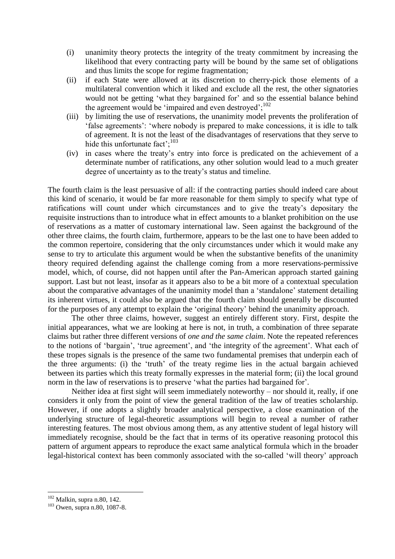- (i) unanimity theory protects the integrity of the treaty commitment by increasing the likelihood that every contracting party will be bound by the same set of obligations and thus limits the scope for regime fragmentation;
- (ii) if each State were allowed at its discretion to cherry-pick those elements of a multilateral convention which it liked and exclude all the rest, the other signatories would not be getting 'what they bargained for' and so the essential balance behind the agreement would be 'impaired and even destroyed';<sup>102</sup>
- (iii) by limiting the use of reservations, the unanimity model prevents the proliferation of 'false agreements': 'where nobody is prepared to make concessions, it is idle to talk of agreement. It is not the least of the disadvantages of reservations that they serve to hide this unfortunate fact':<sup>103</sup>
- (iv) in cases where the treaty's entry into force is predicated on the achievement of a determinate number of ratifications, any other solution would lead to a much greater degree of uncertainty as to the treaty's status and timeline.

The fourth claim is the least persuasive of all: if the contracting parties should indeed care about this kind of scenario, it would be far more reasonable for them simply to specify what type of ratifications will count under which circumstances and to give the treaty's depositary the requisite instructions than to introduce what in effect amounts to a blanket prohibition on the use of reservations as a matter of customary international law. Seen against the background of the other three claims, the fourth claim, furthermore, appears to be the last one to have been added to the common repertoire, considering that the only circumstances under which it would make any sense to try to articulate this argument would be when the substantive benefits of the unanimity theory required defending against the challenge coming from a more reservations-permissive model, which, of course, did not happen until after the Pan-American approach started gaining support. Last but not least, insofar as it appears also to be a bit more of a contextual speculation about the comparative advantages of the unanimity model than a 'standalone' statement detailing its inherent virtues, it could also be argued that the fourth claim should generally be discounted for the purposes of any attempt to explain the 'original theory' behind the unanimity approach.

The other three claims, however, suggest an entirely different story. First, despite the initial appearances, what we are looking at here is not, in truth, a combination of three separate claims but rather three different versions of *one and the same claim*. Note the repeated references to the notions of 'bargain', 'true agreement', and 'the integrity of the agreement'. What each of these tropes signals is the presence of the same two fundamental premises that underpin each of the three arguments: (i) the 'truth' of the treaty regime lies in the actual bargain achieved between its parties which this treaty formally expresses in the material form; (ii) the local ground norm in the law of reservations is to preserve 'what the parties had bargained for'.

Neither idea at first sight will seem immediately noteworthy – nor should it, really, if one considers it only from the point of view the general tradition of the law of treaties scholarship. However, if one adopts a slightly broader analytical perspective, a close examination of the underlying structure of legal-theoretic assumptions will begin to reveal a number of rather interesting features. The most obvious among them, as any attentive student of legal history will immediately recognise, should be the fact that in terms of its operative reasoning protocol this pattern of argument appears to reproduce the exact same analytical formula which in the broader legal-historical context has been commonly associated with the so-called 'will theory' approach

 $102$  Malkin, supra n.80, 142.

<sup>103</sup> Owen, supra n.80, 1087-8.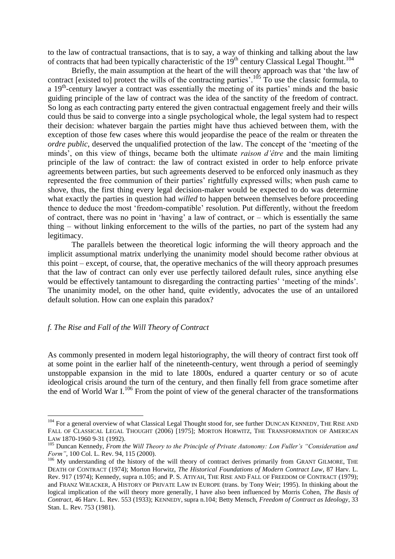to the law of contractual transactions, that is to say, a way of thinking and talking about the law of contracts that had been typically characteristic of the  $19<sup>th</sup>$  century Classical Legal Thought.<sup>104</sup>

Briefly, the main assumption at the heart of the will theory approach was that 'the law of contract [existed to] protect the wills of the contracting parties'.<sup>105</sup> To use the classic formula, to a 19<sup>th</sup>-century lawyer a contract was essentially the meeting of its parties' minds and the basic guiding principle of the law of contract was the idea of the sanctity of the freedom of contract. So long as each contracting party entered the given contractual engagement freely and their wills could thus be said to converge into a single psychological whole, the legal system had to respect their decision: whatever bargain the parties might have thus achieved between them, with the exception of those few cases where this would jeopardise the peace of the realm or threaten the *ordre public*, deserved the unqualified protection of the law. The concept of the 'meeting of the minds', on this view of things, became both the ultimate *raison d'être* and the main limiting principle of the law of contract: the law of contract existed in order to help enforce private agreements between parties, but such agreements deserved to be enforced only inasmuch as they represented the free communion of their parties' rightfully expressed wills; when push came to shove, thus, the first thing every legal decision-maker would be expected to do was determine what exactly the parties in question had *willed* to happen between themselves before proceeding thence to deduce the most 'freedom-compatible' resolution. Put differently, without the freedom of contract, there was no point in 'having' a law of contract, or – which is essentially the same thing – without linking enforcement to the wills of the parties, no part of the system had any legitimacy.

The parallels between the theoretical logic informing the will theory approach and the implicit assumptional matrix underlying the unanimity model should become rather obvious at this point – except, of course, that, the operative mechanics of the will theory approach presumes that the law of contract can only ever use perfectly tailored default rules, since anything else would be effectively tantamount to disregarding the contracting parties' 'meeting of the minds'. The unanimity model, on the other hand, quite evidently, advocates the use of an untailored default solution. How can one explain this paradox?

## *f. The Rise and Fall of the Will Theory of Contract*

<u>.</u>

As commonly presented in modern legal historiography, the will theory of contract first took off at some point in the earlier half of the nineteenth-century, went through a period of seemingly unstoppable expansion in the mid to late 1800s, endured a quarter century or so of acute ideological crisis around the turn of the century, and then finally fell from grace sometime after the end of World War I.<sup>106</sup> From the point of view of the general character of the transformations

<sup>&</sup>lt;sup>104</sup> For a general overview of what Classical Legal Thought stood for, see further DUNCAN KENNEDY, THE RISE AND FALL OF CLASSICAL LEGAL THOUGHT (2006) [1975]; MORTON HORWITZ, THE TRANSFORMATION OF AMERICAN LAW 1870-1960 9-31 (1992).

<sup>105</sup> Duncan Kennedy, *From the Will Theory to the Principle of Private Autonomy: Lon Fuller's "Consideration and Form"*, 100 Col. L. Rev. 94, 115 (2000).

<sup>&</sup>lt;sup>106</sup> My understanding of the history of the will theory of contract derives primarily from GRANT GILMORE, THE DEATH OF CONTRACT (1974); Morton Horwitz, *The Historical Foundations of Modern Contract Law*, 87 Harv. L. Rev. 917 (1974); Kennedy, supra n.105; and P. S. ATIYAH, THE RISE AND FALL OF FREEDOM OF CONTRACT (1979); and FRANZ WIEACKER, A HISTORY OF PRIVATE LAW IN EUROPE (trans. by Tony Weir; 1995). In thinking about the logical implication of the will theory more generally, I have also been influenced by Morris Cohen, *The Basis of Contract*, 46 Harv. L. Rev. 553 (1933); KENNEDY, supra n.104; Betty Mensch, *Freedom of Contract as Ideology*, 33 Stan. L. Rev. 753 (1981).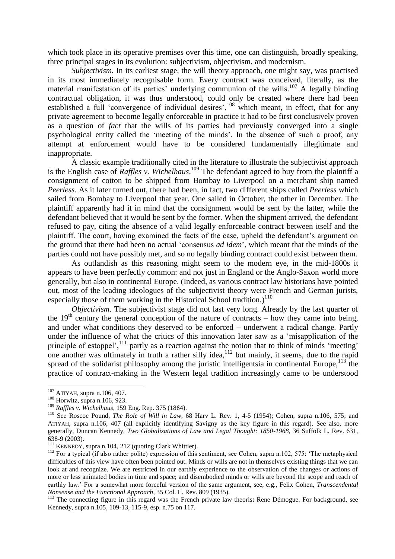which took place in its operative premises over this time, one can distinguish, broadly speaking, three principal stages in its evolution: subjectivism, objectivism, and modernism.

*Subjectivism.* In its earliest stage, the will theory approach, one might say, was practised in its most immediately recognisable form. Every contract was conceived, literally, as the material manifestation of its parties' underlying communion of the wills.<sup>107</sup> A legally binding contractual obligation, it was thus understood, could only be created where there had been established a full 'convergence of individual desires',<sup>108</sup> which meant, in effect, that for any private agreement to become legally enforceable in practice it had to be first conclusively proven as a question of *fact* that the wills of its parties had previously converged into a single psychological entity called the 'meeting of the minds'. In the absence of such a proof, any attempt at enforcement would have to be considered fundamentally illegitimate and inappropriate.

A classic example traditionally cited in the literature to illustrate the subjectivist approach is the English case of *Raffles v. Wichelhaus*. <sup>109</sup> The defendant agreed to buy from the plaintiff a consignment of cotton to be shipped from Bombay to Liverpool on a merchant ship named *Peerless*. As it later turned out, there had been, in fact, two different ships called *Peerless* which sailed from Bombay to Liverpool that year. One sailed in October, the other in December. The plaintiff apparently had it in mind that the consignment would be sent by the latter, while the defendant believed that it would be sent by the former. When the shipment arrived, the defendant refused to pay, citing the absence of a valid legally enforceable contract between itself and the plaintiff. The court, having examined the facts of the case, upheld the defendant's argument on the ground that there had been no actual 'consensus *ad idem*', which meant that the minds of the parties could not have possibly met, and so no legally binding contract could exist between them.

As outlandish as this reasoning might seem to the modern eye, in the mid-1800s it appears to have been perfectly common: and not just in England or the Anglo-Saxon world more generally, but also in continental Europe. (Indeed, as various contract law historians have pointed out, most of the leading ideologues of the subjectivist theory were French and German jurists, especially those of them working in the Historical School tradition.)<sup>110</sup>

*Objectivism*. The subjectivist stage did not last very long. Already by the last quarter of the  $19<sup>th</sup>$  century the general conception of the nature of contracts – how they came into being, and under what conditions they deserved to be enforced – underwent a radical change. Partly under the influence of what the critics of this innovation later saw as a 'misapplication of the principle of estoppel',<sup>111</sup> partly as a reaction against the notion that to think of minds 'meeting' one another was ultimately in truth a rather silly idea,  $12$  but mainly, it seems, due to the rapid spread of the solidarist philosophy among the juristic intelligentsia in continental Europe,  $^{113}$  the practice of contract-making in the Western legal tradition increasingly came to be understood

<sup>107</sup> ATIYAH, supra n.106, 407.

<sup>108</sup> Horwitz, supra n.106, 923.

<sup>109</sup> *Raffles v. Wichelhaus*, 159 Eng. Rep. 375 (1864).

<sup>&</sup>lt;sup>110</sup> See Roscoe Pound, *The Role of Will in Law*, 68 Harv L. Rev. 1, 4-5 (1954); Cohen, supra n.106, 575; and ATIYAH, supra n.106, 407 (all explicitly identifying Savigny as the key figure in this regard). See also, more generally, Duncan Kennedy, *Two Globalizations of Law and Legal Thought: 1850-1968*, 36 Suffolk L. Rev. 631, 638-9 (2003).

<sup>&</sup>lt;sup>111</sup> KENNEDY, supra n.104, 212 (quoting Clark Whittier).

 $112$  For a typical (if also rather polite) expression of this sentiment, see Cohen, supra n.102, 575: 'The metaphysical difficulties of this view have often been pointed out. Minds or wills are not in themselves existing things that we can look at and recognize. We are restricted in our earthly experience to the observation of the changes or actions of more or less animated bodies in time and space; and disembodied minds or wills are beyond the scope and reach of earthly law.' For a somewhat more forceful version of the same argument, see, e.g., Felix Cohen, *Transcendental Nonsense and the Functional Approach*, 35 Col. L. Rev. 809 (1935).

<sup>&</sup>lt;sup>113</sup> The connecting figure in this regard was the French private law theorist Rene Démogue. For background, see Kennedy, supra n.105, 109-13, 115-9, esp. n.75 on 117.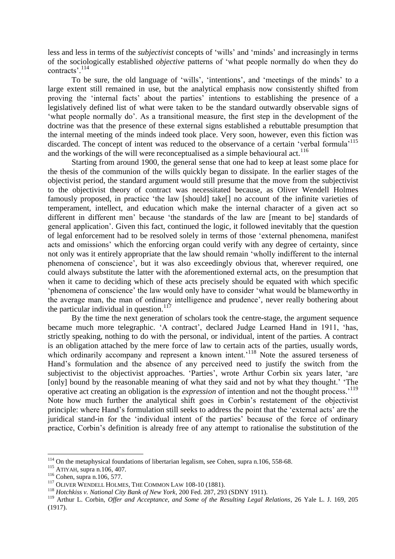less and less in terms of the *subjectivist* concepts of 'wills' and 'minds' and increasingly in terms of the sociologically established *objective* patterns of 'what people normally do when they do contracts'.<sup>114</sup>

To be sure, the old language of 'wills', 'intentions', and 'meetings of the minds' to a large extent still remained in use, but the analytical emphasis now consistently shifted from proving the 'internal facts' about the parties' intentions to establishing the presence of a legislatively defined list of what were taken to be the standard outwardly observable signs of 'what people normally do'. As a transitional measure, the first step in the development of the doctrine was that the presence of these external signs established a rebuttable presumption that the internal meeting of the minds indeed took place. Very soon, however, even this fiction was discarded. The concept of intent was reduced to the observance of a certain 'verbal formula'<sup>115</sup> and the workings of the will were reconceptualised as a simple behavioural act.<sup>116</sup>

Starting from around 1900, the general sense that one had to keep at least some place for the thesis of the communion of the wills quickly began to dissipate. In the earlier stages of the objectivist period, the standard argument would still presume that the move from the subjectivist to the objectivist theory of contract was necessitated because, as Oliver Wendell Holmes famously proposed, in practice 'the law [should] take[] no account of the infinite varieties of temperament, intellect, and education which make the internal character of a given act so different in different men' because 'the standards of the law are [meant to be] standards of general application'. Given this fact, continued the logic, it followed inevitably that the question of legal enforcement had to be resolved solely in terms of those 'external phenomena, manifest acts and omissions' which the enforcing organ could verify with any degree of certainty, since not only was it entirely appropriate that the law should remain 'wholly indifferent to the internal phenomena of conscience', but it was also exceedingly obvious that, wherever required, one could always substitute the latter with the aforementioned external acts, on the presumption that when it came to deciding which of these acts precisely should be equated with which specific 'phenomena of conscience' the law would only have to consider 'what would be blameworthy in the average man, the man of ordinary intelligence and prudence', never really bothering about the particular individual in question. $117$ 

By the time the next generation of scholars took the centre-stage, the argument sequence became much more telegraphic. 'A contract', declared Judge Learned Hand in 1911, 'has, strictly speaking, nothing to do with the personal, or individual, intent of the parties. A contract is an obligation attached by the mere force of law to certain acts of the parties, usually words, which ordinarily accompany and represent a known intent.<sup>118</sup> Note the assured terseness of Hand's formulation and the absence of any perceived need to justify the switch from the subjectivist to the objectivist approaches. 'Parties', wrote Arthur Corbin six years later, 'are [only] bound by the reasonable meaning of what they said and not by what they thought.' 'The operative act creating an obligation is the *expression* of intention and not the thought process.'<sup>119</sup> Note how much further the analytical shift goes in Corbin's restatement of the objectivist principle: where Hand's formulation still seeks to address the point that the 'external acts' are the juridical stand-in for the 'individual intent of the parties' because of the force of ordinary practice, Corbin's definition is already free of any attempt to rationalise the substitution of the

<sup>&</sup>lt;sup>114</sup> On the metaphysical foundations of libertarian legalism, see Cohen, supra n.106, 558-68.

<sup>115</sup> ATIYAH, supra n.106, 407.

<sup>116</sup> Cohen, supra n.106, 577.

<sup>&</sup>lt;sup>117</sup> OLIVER WENDELL HOLMES, THE COMMON LAW 108-10 (1881).

<sup>118</sup> *Hotchkiss v. National City Bank of New York*, 200 Fed. 287, 293 (SDNY 1911).

<sup>119</sup> Arthur L. Corbin, *Offer and Acceptance, and Some of the Resulting Legal Relations*, 26 Yale L. J. 169, 205 (1917).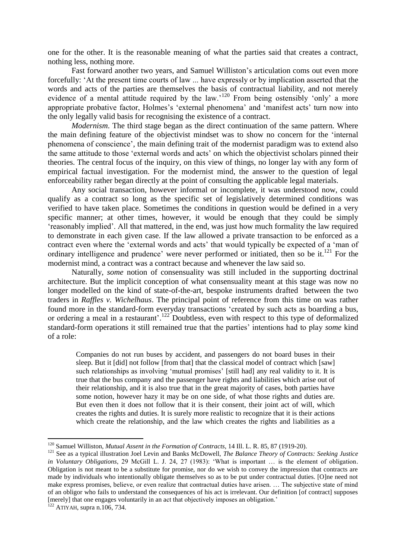one for the other. It is the reasonable meaning of what the parties said that creates a contract, nothing less, nothing more.

Fast forward another two years, and Samuel Williston's articulation coms out even more forcefully: 'At the present time courts of law ... have expressly or by implication asserted that the words and acts of the parties are themselves the basis of contractual liability, and not merely evidence of a mental attitude required by the law.'<sup>120</sup> From being ostensibly 'only' a more appropriate probative factor, Holmes's 'external phenomena' and 'manifest acts' turn now into the only legally valid basis for recognising the existence of a contract.

*Modernism*. The third stage began as the direct continuation of the same pattern. Where the main defining feature of the objectivist mindset was to show no concern for the 'internal phenomena of conscience', the main defining trait of the modernist paradigm was to extend also the same attitude to those 'external words and acts' on which the objectivist scholars pinned their theories. The central focus of the inquiry, on this view of things, no longer lay with any form of empirical factual investigation. For the modernist mind, the answer to the question of legal enforceability rather began directly at the point of consulting the applicable legal materials.

Any social transaction, however informal or incomplete, it was understood now, could qualify as a contract so long as the specific set of legislatively determined conditions was verified to have taken place. Sometimes the conditions in question would be defined in a very specific manner; at other times, however, it would be enough that they could be simply 'reasonably implied'. All that mattered, in the end, was just how much formality the law required to demonstrate in each given case. If the law allowed a private transaction to be enforced as a contract even where the 'external words and acts' that would typically be expected of a 'man of ordinary intelligence and prudence' were never performed or initiated, then so be it.<sup>121</sup> For the modernist mind, a contract was a contract because and whenever the law said so.

Naturally, *some* notion of consensuality was still included in the supporting doctrinal architecture. But the implicit conception of what consensuality meant at this stage was now no longer modelled on the kind of state-of-the-art, bespoke instruments drafted between the two traders in *Raffles v. Wichelhaus*. The principal point of reference from this time on was rather found more in the standard-form everyday transactions 'created by such acts as boarding a bus, or ordering a meal in a restaurant'.<sup>122</sup> Doubtless, even with respect to this type of deformalized standard-form operations it still remained true that the parties' intentions had to play *some* kind of a role:

Companies do not run buses by accident, and passengers do not board buses in their sleep. But it [did] not follow [from that] that the classical model of contract which [saw] such relationships as involving 'mutual promises' [still had] any real validity to it. It is true that the bus company and the passenger have rights and liabilities which arise out of their relationship, and it is also true that in the great majority of cases, both parties have some notion, however hazy it may be on one side, of what those rights and duties are. But even then it does not follow that it is their consent, their joint act of will, which creates the rights and duties. It is surely more realistic to recognize that it is their actions which create the relationship, and the law which creates the rights and liabilities as a

<sup>120</sup> Samuel Williston, *Mutual Assent in the Formation of Contracts*, 14 Ill. L. R. 85, 87 (1919-20).

<sup>121</sup> See as a typical illustration Joel Levin and Banks McDowell, *The Balance Theory of Contracts: Seeking Justice in Voluntary Obligations*, 29 McGill L. J. 24, 27 (1983): 'What is important … is the element of obligation. Obligation is not meant to be a substitute for promise, nor do we wish to convey the impression that contracts are made by individuals who intentionally obligate themselves so as to be put under contractual duties. [O]ne need not make express promises, believe, or even realize that contractual duties have arisen. … The subjective state of mind of an obligor who fails to understand the consequences of his act is irrelevant. Our definition [of contract] supposes [merely] that one engages voluntarily in an act that objectively imposes an obligation.'

 $122$  ATIYAH, supra n.106, 734.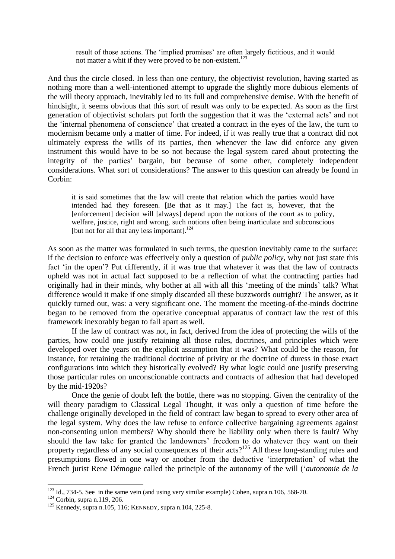result of those actions. The 'implied promises' are often largely fictitious, and it would not matter a whit if they were proved to be non-existent.<sup>123</sup>

And thus the circle closed. In less than one century, the objectivist revolution, having started as nothing more than a well-intentioned attempt to upgrade the slightly more dubious elements of the will theory approach, inevitably led to its full and comprehensive demise. With the benefit of hindsight, it seems obvious that this sort of result was only to be expected. As soon as the first generation of objectivist scholars put forth the suggestion that it was the 'external acts' and not the 'internal phenomena of conscience' that created a contract in the eyes of the law, the turn to modernism became only a matter of time. For indeed, if it was really true that a contract did not ultimately express the wills of its parties, then whenever the law did enforce any given instrument this would have to be so not because the legal system cared about protecting the integrity of the parties' bargain, but because of some other, completely independent considerations. What sort of considerations? The answer to this question can already be found in Corbin:

it is said sometimes that the law will create that relation which the parties would have intended had they foreseen. [Be that as it may.] The fact is, however, that the [enforcement] decision will [always] depend upon the notions of the court as to policy, welfare, justice, right and wrong, such notions often being inarticulate and subconscious [but not for all that any less important].<sup>124</sup>

As soon as the matter was formulated in such terms, the question inevitably came to the surface: if the decision to enforce was effectively only a question of *public policy*, why not just state this fact 'in the open'? Put differently, if it was true that whatever it was that the law of contracts upheld was not in actual fact supposed to be a reflection of what the contracting parties had originally had in their minds, why bother at all with all this 'meeting of the minds' talk? What difference would it make if one simply discarded all these buzzwords outright? The answer, as it quickly turned out, was: a very significant one. The moment the meeting-of-the-minds doctrine began to be removed from the operative conceptual apparatus of contract law the rest of this framework inexorably began to fall apart as well.

If the law of contract was not, in fact, derived from the idea of protecting the wills of the parties, how could one justify retaining all those rules, doctrines, and principles which were developed over the years on the explicit assumption that it was? What could be the reason, for instance, for retaining the traditional doctrine of privity or the doctrine of duress in those exact configurations into which they historically evolved? By what logic could one justify preserving those particular rules on unconscionable contracts and contracts of adhesion that had developed by the mid-1920s?

Once the genie of doubt left the bottle, there was no stopping. Given the centrality of the will theory paradigm to Classical Legal Thought, it was only a question of time before the challenge originally developed in the field of contract law began to spread to every other area of the legal system. Why does the law refuse to enforce collective bargaining agreements against non-consenting union members? Why should there be liability only when there is fault? Why should the law take for granted the landowners' freedom to do whatever they want on their property regardless of any social consequences of their acts?<sup>125</sup> All these long-standing rules and presumptions flowed in one way or another from the deductive 'interpretation' of what the French jurist Rene Démogue called the principle of the autonomy of the will ('*autonomie de la* 

 $123$  Id., 734-5. See in the same vein (and using very similar example) Cohen, supra n.106, 568-70.

 $124$  Corbin, supra n.119, 206.

<sup>125</sup> Kennedy, supra n.105, 116; KENNEDY, supra n.104, 225-8.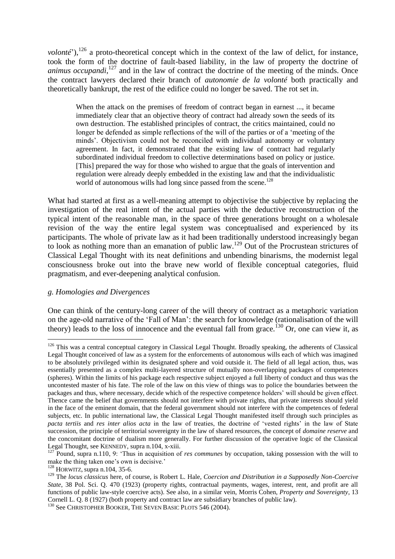*volonté*'),<sup>126</sup> a proto-theoretical concept which in the context of the law of delict, for instance, took the form of the doctrine of fault-based liability, in the law of property the doctrine of animus occupandi,<sup>127</sup> and in the law of contract the doctrine of the meeting of the minds. Once the contract lawyers declared their branch of *autonomie de la volonté* both practically and theoretically bankrupt, the rest of the edifice could no longer be saved. The rot set in.

When the attack on the premises of freedom of contract began in earnest ..., it became immediately clear that an objective theory of contract had already sown the seeds of its own destruction. The established principles of contract, the critics maintained, could no longer be defended as simple reflections of the will of the parties or of a 'meeting of the minds'. Objectivism could not be reconciled with individual autonomy or voluntary agreement. In fact, it demonstrated that the existing law of contract had regularly subordinated individual freedom to collective determinations based on policy or justice. [This] prepared the way for those who wished to argue that the goals of intervention and regulation were already deeply embedded in the existing law and that the individualistic world of autonomous wills had long since passed from the scene.<sup>128</sup>

What had started at first as a well-meaning attempt to objectivise the subjective by replacing the investigation of the real intent of the actual parties with the deductive reconstruction of the typical intent of the reasonable man, in the space of three generations brought on a wholesale revision of the way the entire legal system was conceptualised and experienced by its participants. The whole of private law as it had been traditionally understood increasingly began to look as nothing more than an emanation of public law.<sup>129</sup> Out of the Procrustean strictures of Classical Legal Thought with its neat definitions and unbending binarisms, the modernist legal consciousness broke out into the brave new world of flexible conceptual categories, fluid pragmatism, and ever-deepening analytical confusion.

## *g. Homologies and Divergences*

1

One can think of the century-long career of the will theory of contract as a metaphoric variation on the age-old narrative of the 'Fall of Man': the search for knowledge (rationalisation of the will theory) leads to the loss of innocence and the eventual fall from grace.<sup>130</sup> Or, one can view it, as

<sup>&</sup>lt;sup>126</sup> This was a central conceptual category in Classical Legal Thought. Broadly speaking, the adherents of Classical Legal Thought conceived of law as a system for the enforcements of autonomous wills each of which was imagined to be absolutely privileged within its designated sphere and void outside it. The field of all legal action, thus, was essentially presented as a complex multi-layered structure of mutually non-overlapping packages of competences (spheres). Within the limits of his package each respective subject enjoyed a full liberty of conduct and thus was the uncontested master of his fate. The role of the law on this view of things was to police the boundaries between the packages and thus, where necessary, decide which of the respective competence holders' will should be given effect. Thence came the belief that governments should not interfere with private rights, that private interests should yield in the face of the eminent domain, that the federal government should not interfere with the competences of federal subjects, etc. In public international law, the Classical Legal Thought manifested itself through such principles as *pacta tertiis* and *res inter alios acta* in the law of treaties, the doctrine of 'vested rights' in the law of State succession, the principle of territorial sovereignty in the law of shared resources, the concept of *domaine reserve* and the concomitant doctrine of dualism more generally. For further discussion of the operative logic of the Classical Legal Thought, see KENNEDY, supra n.104, x-xiii.

<sup>&</sup>lt;sup>127</sup> Pound, supra n.110, 9: 'Thus in acquisition of *res communes* by occupation, taking possession with the will to make the thing taken one's own is decisive.'

<sup>128</sup> HORWITZ, supra n.104, 35-6.

<sup>129</sup> The *locus classicus* here, of course, is Robert L. Hale, *Coercion and Distribution in a Supposedly Non-Coercive State*, 38 Pol. Sci. Q. 470 (1923) (property rights, contractual payments, wages, interest, rent, and profit are all functions of public law-style coercive acts). See also, in a similar vein, Morris Cohen, *Property and Sovereignty*, 13 Cornell L. Q. 8 (1927) (both property and contract law are subsidiary branches of public law).

<sup>&</sup>lt;sup>130</sup> See CHRISTOPHER BOOKER, THE SEVEN BASIC PLOTS 546 (2004).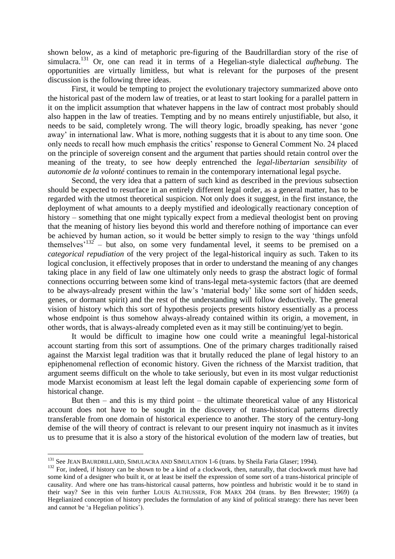shown below, as a kind of metaphoric pre-figuring of the Baudrillardian story of the rise of simulacra.<sup>131</sup> Or, one can read it in terms of a Hegelian-style dialectical *aufhebung*. The opportunities are virtually limitless, but what is relevant for the purposes of the present discussion is the following three ideas.

First, it would be tempting to project the evolutionary trajectory summarized above onto the historical past of the modern law of treaties, or at least to start looking for a parallel pattern in it on the implicit assumption that whatever happens in the law of contract most probably should also happen in the law of treaties. Tempting and by no means entirely unjustifiable, but also, it needs to be said, completely wrong. The will theory logic, broadly speaking, has never 'gone away' in international law. What is more, nothing suggests that it is about to any time soon. One only needs to recall how much emphasis the critics' response to General Comment No. 24 placed on the principle of sovereign consent and the argument that parties should retain control over the meaning of the treaty, to see how deeply entrenched the *legal-libertarian sensibility* of *autonomie de la volonté* continues to remain in the contemporary international legal psyche.

Second, the very idea that a pattern of such kind as described in the previous subsection should be expected to resurface in an entirely different legal order, as a general matter, has to be regarded with the utmost theoretical suspicion. Not only does it suggest, in the first instance, the deployment of what amounts to a deeply mystified and ideologically reactionary conception of history – something that one might typically expect from a medieval theologist bent on proving that the meaning of history lies beyond this world and therefore nothing of importance can ever be achieved by human action, so it would be better simply to resign to the way 'things unfold themselves<sup> $132$ </sup> – but also, on some very fundamental level, it seems to be premised on a *categorical repudiation* of the very project of the legal-historical inquiry as such. Taken to its logical conclusion, it effectively proposes that in order to understand the meaning of any changes taking place in any field of law one ultimately only needs to grasp the abstract logic of formal connections occurring between some kind of trans-legal meta-systemic factors (that are deemed to be always-already present within the law's 'material body' like some sort of hidden seeds, genes, or dormant spirit) and the rest of the understanding will follow deductively. The general vision of history which this sort of hypothesis projects presents history essentially as a process whose endpoint is thus somehow always-already contained within its origin, a movement, in other words, that is always-already completed even as it may still be continuing/yet to begin.

It would be difficult to imagine how one could write a meaningful legal-historical account starting from this sort of assumptions. One of the primary charges traditionally raised against the Marxist legal tradition was that it brutally reduced the plane of legal history to an epiphenomenal reflection of economic history. Given the richness of the Marxist tradition, that argument seems difficult on the whole to take seriously, but even in its most vulgar reductionist mode Marxist economism at least left the legal domain capable of experiencing *some* form of historical change.

But then  $-$  and this is my third point  $-$  the ultimate theoretical value of any Historical account does not have to be sought in the discovery of trans-historical patterns directly transferable from one domain of historical experience to another. The story of the century-long demise of the will theory of contract is relevant to our present inquiry not inasmuch as it invites us to presume that it is also a story of the historical evolution of the modern law of treaties, but

<sup>&</sup>lt;sup>131</sup> See JEAN BAURDRILLARD, SIMULACRA AND SIMULATION 1-6 (trans. by Sheila Faria Glaser; 1994).

 $132$  For, indeed, if history can be shown to be a kind of a clockwork, then, naturally, that clockwork must have had some kind of a designer who built it, or at least be itself the expression of some sort of a trans-historical principle of causality. And where one has trans-historical causal patterns, how pointless and hubristic would it be to stand in their way? See in this vein further LOUIS ALTHUSSER, FOR MARX 204 (trans. by Ben Brewster; 1969) (a Hegelianized conception of history precludes the formulation of any kind of political strategy: there has never been and cannot be 'a Hegelian politics').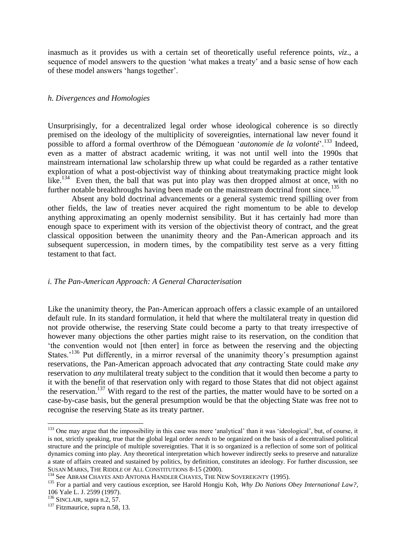inasmuch as it provides us with a certain set of theoretically useful reference points, *viz*., a sequence of model answers to the question 'what makes a treaty' and a basic sense of how each of these model answers 'hangs together'.

## *h. Divergences and Homologies*

Unsurprisingly, for a decentralized legal order whose ideological coherence is so directly premised on the ideology of the multiplicity of sovereignties, international law never found it possible to afford a formal overthrow of the Démoguean '*autonomie de la volonté*'.<sup>133</sup> Indeed, even as a matter of abstract academic writing, it was not until well into the 1990s that mainstream international law scholarship threw up what could be regarded as a rather tentative exploration of what a post-objectivist way of thinking about treatymaking practice might look like.<sup>134</sup> Even then, the ball that was put into play was then dropped almost at once, with no further notable breakthroughs having been made on the mainstream doctrinal front since.<sup>135</sup>

Absent any bold doctrinal advancements or a general systemic trend spilling over from other fields, the law of treaties never acquired the right momentum to be able to develop anything approximating an openly modernist sensibility. But it has certainly had more than enough space to experiment with its version of the objectivist theory of contract, and the great classical opposition between the unanimity theory and the Pan-American approach and its subsequent supercession, in modern times, by the compatibility test serve as a very fitting testament to that fact.

# *i. The Pan-American Approach: A General Characterisation*

Like the unanimity theory, the Pan-American approach offers a classic example of an untailored default rule. In its standard formulation, it held that where the multilateral treaty in question did not provide otherwise, the reserving State could become a party to that treaty irrespective of however many objections the other parties might raise to its reservation, on the condition that 'the convention would not [then enter] in force as between the reserving and the objecting States.<sup>136</sup> Put differently, in a mirror reversal of the unanimity theory's presumption against reservations, the Pan-American approach advocated that *any* contracting State could make *any* reservation to *any* multilateral treaty subject to the condition that it would then become a party to it with the benefit of that reservation only with regard to those States that did not object against the reservation.<sup>137</sup> With regard to the rest of the parties, the matter would have to be sorted on a case-by-case basis, but the general presumption would be that the objecting State was free not to recognise the reserving State as its treaty partner.

<sup>&</sup>lt;sup>133</sup> One may argue that the impossibility in this case was more 'analytical' than it was 'ideological', but, of course, it is not, strictly speaking, true that the global legal order *needs* to be organized on the basis of a decentralised political structure and the principle of multiple sovereignties. That it is so organized is a reflection of some sort of political dynamics coming into play. Any theoretical interpretation which however indirectly seeks to preserve and naturalize a state of affairs created and sustained by politics, by definition, constitutes an ideology. For further discussion, see SUSAN MARKS, THE RIDDLE OF ALL CONSTITUTIONS 8-15 (2000).

<sup>&</sup>lt;sup>134</sup> See ABRAM CHAYES AND ANTONIA HANDLER CHAYES, THE NEW SOVEREIGNTY (1995).

<sup>&</sup>lt;sup>135</sup> For a partial and very cautious exception, see Harold Hongju Koh, *Why Do Nations Obey International Law?*, 106 Yale L. J. 2599 (1997).

 $136$  SINCLAIR, supra n.2, 57.

<sup>&</sup>lt;sup>137</sup> Fitzmaurice, supra n.58, 13.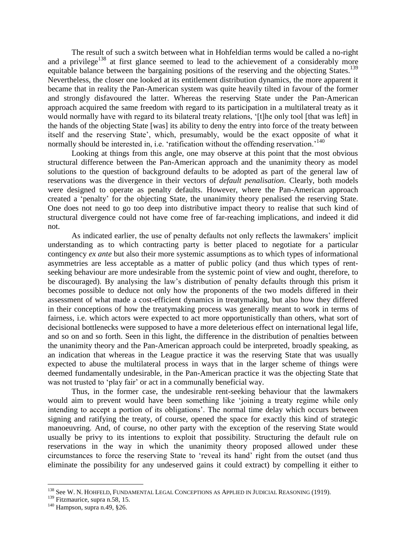The result of such a switch between what in Hohfeldian terms would be called a no-right and a privilege<sup>138</sup> at first glance seemed to lead to the achievement of a considerably more equitable balance between the bargaining positions of the reserving and the objecting States.<sup>139</sup> Nevertheless, the closer one looked at its entitlement distribution dynamics, the more apparent it became that in reality the Pan-American system was quite heavily tilted in favour of the former and strongly disfavoured the latter. Whereas the reserving State under the Pan-American approach acquired the same freedom with regard to its participation in a multilateral treaty as it would normally have with regard to its bilateral treaty relations, '[t]he only tool [that was left] in the hands of the objecting State [was] its ability to deny the entry into force of the treaty between itself and the reserving State', which, presumably, would be the exact opposite of what it normally should be interested in, i.e. 'ratification without the offending reservation.'<sup>140</sup>

Looking at things from this angle, one may observe at this point that the most obvious structural difference between the Pan-American approach and the unanimity theory as model solutions to the question of background defaults to be adopted as part of the general law of reservations was the divergence in their vectors of *default penalisation*. Clearly, both models were designed to operate as penalty defaults. However, where the Pan-American approach created a 'penalty' for the objecting State, the unanimity theory penalised the reserving State. One does not need to go too deep into distributive impact theory to realise that such kind of structural divergence could not have come free of far-reaching implications, and indeed it did not.

As indicated earlier, the use of penalty defaults not only reflects the lawmakers' implicit understanding as to which contracting party is better placed to negotiate for a particular contingency *ex ante* but also their more systemic assumptions as to which types of informational asymmetries are less acceptable as a matter of public policy (and thus which types of rentseeking behaviour are more undesirable from the systemic point of view and ought, therefore, to be discouraged). By analysing the law's distribution of penalty defaults through this prism it becomes possible to deduce not only how the proponents of the two models differed in their assessment of what made a cost-efficient dynamics in treatymaking, but also how they differed in their conceptions of how the treatymaking process was generally meant to work in terms of fairness, i.e. which actors were expected to act more opportunistically than others, what sort of decisional bottlenecks were supposed to have a more deleterious effect on international legal life, and so on and so forth. Seen in this light, the difference in the distribution of penalties between the unanimity theory and the Pan-American approach could be interpreted, broadly speaking, as an indication that whereas in the League practice it was the reserving State that was usually expected to abuse the multilateral process in ways that in the larger scheme of things were deemed fundamentally undesirable, in the Pan-American practice it was the objecting State that was not trusted to 'play fair' or act in a communally beneficial way.

Thus, in the former case, the undesirable rent-seeking behaviour that the lawmakers would aim to prevent would have been something like 'joining a treaty regime while only intending to accept a portion of its obligations'. The normal time delay which occurs between signing and ratifying the treaty, of course, opened the space for exactly this kind of strategic manoeuvring. And, of course, no other party with the exception of the reserving State would usually be privy to its intentions to exploit that possibility. Structuring the default rule on reservations in the way in which the unanimity theory proposed allowed under these circumstances to force the reserving State to 'reveal its hand' right from the outset (and thus eliminate the possibility for any undeserved gains it could extract) by compelling it either to

<u>.</u>

<sup>&</sup>lt;sup>138</sup> See W. N. HOHFELD, FUNDAMENTAL LEGAL CONCEPTIONS AS APPLIED IN JUDICIAL REASONING (1919).

<sup>&</sup>lt;sup>139</sup> Fitzmaurice, supra n.58, 15.

<sup>140</sup> Hampson, supra n.49, §26.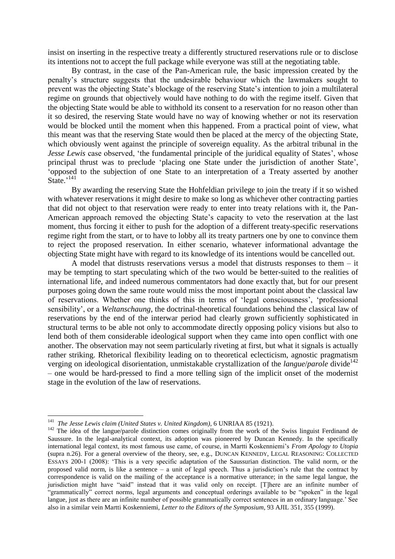insist on inserting in the respective treaty a differently structured reservations rule or to disclose its intentions not to accept the full package while everyone was still at the negotiating table.

By contrast, in the case of the Pan-American rule, the basic impression created by the penalty's structure suggests that the undesirable behaviour which the lawmakers sought to prevent was the objecting State's blockage of the reserving State's intention to join a multilateral regime on grounds that objectively would have nothing to do with the regime itself. Given that the objecting State would be able to withhold its consent to a reservation for no reason other than it so desired, the reserving State would have no way of knowing whether or not its reservation would be blocked until the moment when this happened. From a practical point of view, what this meant was that the reserving State would then be placed at the mercy of the objecting State, which obviously went against the principle of sovereign equality. As the arbitral tribunal in the *Jesse Lewis* case observed, 'the fundamental principle of the juridical equality of States', whose principal thrust was to preclude 'placing one State under the jurisdiction of another State', 'opposed to the subjection of one State to an interpretation of a Treaty asserted by another State.'<sup>141</sup>

By awarding the reserving State the Hohfeldian privilege to join the treaty if it so wished with whatever reservations it might desire to make so long as whichever other contracting parties that did not object to that reservation were ready to enter into treaty relations with it, the Pan-American approach removed the objecting State's capacity to veto the reservation at the last moment, thus forcing it either to push for the adoption of a different treaty-specific reservations regime right from the start, or to have to lobby all its treaty partners one by one to convince them to reject the proposed reservation. In either scenario, whatever informational advantage the objecting State might have with regard to its knowledge of its intentions would be cancelled out.

A model that distrusts reservations versus a model that distrusts responses to them – it may be tempting to start speculating which of the two would be better-suited to the realities of international life, and indeed numerous commentators had done exactly that, but for our present purposes going down the same route would miss the most important point about the classical law of reservations. Whether one thinks of this in terms of 'legal consciousness', 'professional sensibility', or a *Weltanschaung*, the doctrinal-theoretical foundations behind the classical law of reservations by the end of the interwar period had clearly grown sufficiently sophisticated in structural terms to be able not only to accommodate directly opposing policy visions but also to lend both of them considerable ideological support when they came into open conflict with one another. The observation may not seem particularly riveting at first, but what it signals is actually rather striking. Rhetorical flexibility leading on to theoretical eclecticism, agnostic pragmatism verging on ideological disorientation, unmistakable crystallization of the *langue/parole* divide<sup>142</sup> – one would be hard-pressed to find a more telling sign of the implicit onset of the modernist stage in the evolution of the law of reservations.

 141 *The Jesse Lewis claim (United States v. United Kingdom)*, 6 UNRIAA 85 (1921).

<sup>&</sup>lt;sup>142</sup> The idea of the langue/parole distinction comes originally from the work of the Swiss linguist Ferdinand de Saussure. In the legal-analytical context, its adoption was pioneered by Duncan Kennedy. In the specifically international legal context, its most famous use came, of course, in Martti Koskenniemi's *From Apology to Utopia* (supra n.26). For a general overview of the theory, see, e.g., DUNCAN KENNEDY, LEGAL REASONING: COLLECTED ESSAYS 200-1 (2008): 'This is a very specific adaptation of the Saussurian distinction. The valid norm, or the proposed valid norm, is like a sentence – a unit of legal speech. Thus a jurisdiction's rule that the contract by correspondence is valid on the mailing of the acceptance is a normative utterance; in the same legal langue, the jurisdiction might have "said" instead that it was valid only on receipt. [T]here are an infinite number of "grammatically" correct norms, legal arguments and conceptual orderings available to be "spoken" in the legal langue, just as there are an infinite number of possible grammatically correct sentences in an ordinary language.' See also in a similar vein Martti Koskenniemi, *Letter to the Editors of the Symposium*, 93 AJIL 351, 355 (1999).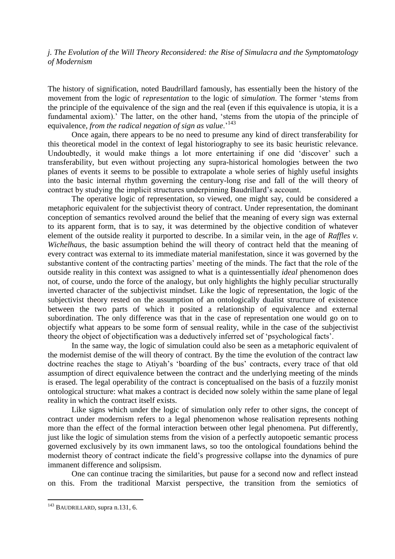*j. The Evolution of the Will Theory Reconsidered: the Rise of Simulacra and the Symptomatology of Modernism* 

The history of signification, noted Baudrillard famously, has essentially been the history of the movement from the logic of *representation* to the logic of *simulation*. The former 'stems from the principle of the equivalence of the sign and the real (even if this equivalence is utopia, it is a fundamental axiom).' The latter, on the other hand, 'stems from the utopia of the principle of equivalence, *from the radical negation of sign as value*.'<sup>143</sup>

Once again, there appears to be no need to presume any kind of direct transferability for this theoretical model in the context of legal historiography to see its basic heuristic relevance. Undoubtedly, it would make things a lot more entertaining if one did 'discover' such a transferability, but even without projecting any supra-historical homologies between the two planes of events it seems to be possible to extrapolate a whole series of highly useful insights into the basic internal rhythm governing the century-long rise and fall of the will theory of contract by studying the implicit structures underpinning Baudrillard's account.

The operative logic of representation, so viewed, one might say, could be considered a metaphoric equivalent for the subjectivist theory of contract. Under representation, the dominant conception of semantics revolved around the belief that the meaning of every sign was external to its apparent form, that is to say, it was determined by the objective condition of whatever element of the outside reality it purported to describe. In a similar vein, in the age of *Raffles v. Wichelhaus*, the basic assumption behind the will theory of contract held that the meaning of every contract was external to its immediate material manifestation, since it was governed by the substantive content of the contracting parties' meeting of the minds. The fact that the role of the outside reality in this context was assigned to what is a quintessentially *ideal* phenomenon does not, of course, undo the force of the analogy, but only highlights the highly peculiar structurally inverted character of the subjectivist mindset. Like the logic of representation, the logic of the subjectivist theory rested on the assumption of an ontologically dualist structure of existence between the two parts of which it posited a relationship of equivalence and external subordination. The only difference was that in the case of representation one would go on to objectify what appears to be some form of sensual reality, while in the case of the subjectivist theory the object of objectification was a deductively inferred set of 'psychological facts'.

In the same way, the logic of simulation could also be seen as a metaphoric equivalent of the modernist demise of the will theory of contract. By the time the evolution of the contract law doctrine reaches the stage to Atiyah's 'boarding of the bus' contracts, every trace of that old assumption of direct equivalence between the contract and the underlying meeting of the minds is erased. The legal operability of the contract is conceptualised on the basis of a fuzzily monist ontological structure: what makes a contract is decided now solely within the same plane of legal reality in which the contract itself exists.

Like signs which under the logic of simulation only refer to other signs, the concept of contract under modernism refers to a legal phenomenon whose realisation represents nothing more than the effect of the formal interaction between other legal phenomena. Put differently, just like the logic of simulation stems from the vision of a perfectly autopoetic semantic process governed exclusively by its own immanent laws, so too the ontological foundations behind the modernist theory of contract indicate the field's progressive collapse into the dynamics of pure immanent difference and solipsism.

One can continue tracing the similarities, but pause for a second now and reflect instead on this. From the traditional Marxist perspective, the transition from the semiotics of

<sup>&</sup>lt;sup>143</sup> BAUDRILLARD, supra n.131, 6.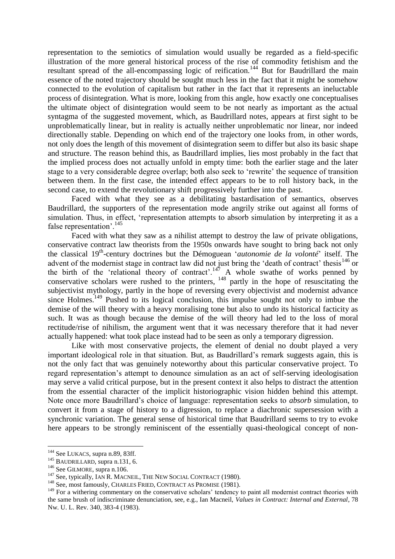representation to the semiotics of simulation would usually be regarded as a field-specific illustration of the more general historical process of the rise of commodity fetishism and the resultant spread of the all-encompassing logic of reification.<sup>144</sup> But for Baudrillard the main essence of the noted trajectory should be sought much less in the fact that it might be somehow connected to the evolution of capitalism but rather in the fact that it represents an ineluctable process of disintegration. What is more, looking from this angle, how exactly one conceptualises the ultimate object of disintegration would seem to be not nearly as important as the actual syntagma of the suggested movement, which, as Baudrillard notes, appears at first sight to be unproblematically linear, but in reality is actually neither unproblematic nor linear, nor indeed directionally stable. Depending on which end of the trajectory one looks from, in other words, not only does the length of this movement of disintegration seem to differ but also its basic shape and structure. The reason behind this, as Baudrillard implies, lies most probably in the fact that the implied process does not actually unfold in empty time: both the earlier stage and the later stage to a very considerable degree overlap; both also seek to 'rewrite' the sequence of transition between them. In the first case, the intended effect appears to be to roll history back, in the second case, to extend the revolutionary shift progressively further into the past.

Faced with what they see as a debilitating bastardisation of semantics, observes Baudrillard, the supporters of the representation mode angrily strike out against all forms of simulation. Thus, in effect, 'representation attempts to absorb simulation by interpreting it as a false representation'.<sup>145</sup>

Faced with what they saw as a nihilist attempt to destroy the law of private obligations, conservative contract law theorists from the 1950s onwards have sought to bring back not only the classical 19th -century doctrines but the Démoguean '*autonomie de la volonté*' itself. The advent of the modernist stage in contract law did not just bring the 'death of contract' thesis<sup>146</sup> or the birth of the 'relational theory of contract'.<sup>147</sup> A whole swathe of works penned by conservative scholars were rushed to the printers,  $148$  partly in the hope of resuscitating the subjectivist mythology, partly in the hope of reversing every objectivist and modernist advance since Holmes.<sup>149</sup> Pushed to its logical conclusion, this impulse sought not only to imbue the demise of the will theory with a heavy moralising tone but also to undo its historical facticity as such. It was as though because the demise of the will theory had led to the loss of moral rectitude/rise of nihilism, the argument went that it was necessary therefore that it had never actually happened: what took place instead had to be seen as only a temporary digression.

Like with most conservative projects, the element of denial no doubt played a very important ideological role in that situation. But, as Baudrillard's remark suggests again, this is not the only fact that was genuinely noteworthy about this particular conservative project. To regard representation's attempt to denounce simulation as an act of self-serving ideologisation may serve a valid critical purpose, but in the present context it also helps to distract the attention from the essential character of the implicit historiographic vision hidden behind this attempt. Note once more Baudrillard's choice of language: representation seeks to *absorb* simulation, to convert it from a stage of history to a digression, to replace a diachronic supersession with a synchronic variation. The general sense of historical time that Baudrillard seems to try to evoke here appears to be strongly reminiscent of the essentially quasi-theological concept of non-

<sup>1</sup> <sup>144</sup> See LUKACS, supra n.89, 83ff.

<sup>&</sup>lt;sup>145</sup> BAUDRILLARD, supra n.131, 6.

<sup>&</sup>lt;sup>146</sup> See GILMORE, supra n.106.

<sup>&</sup>lt;sup>147</sup> See, typically, IAN R. MACNEIL, THE NEW SOCIAL CONTRACT (1980).

<sup>&</sup>lt;sup>148</sup> See, most famously, CHARLES FRIED, CONTRACT AS PROMISE (1981).

<sup>&</sup>lt;sup>149</sup> For a withering commentary on the conservative scholars' tendency to paint all modernist contract theories with the same brush of indiscriminate denunciation, see, e.g., Ian Macneil, *Values in Contract: Internal and External*, 78 Nw. U. L. Rev. 340, 383-4 (1983).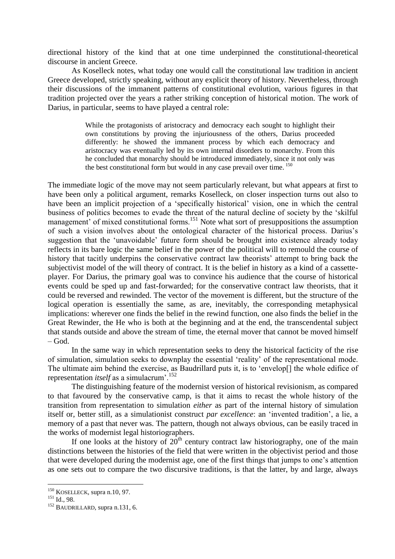directional history of the kind that at one time underpinned the constitutional-theoretical discourse in ancient Greece.

As Koselleck notes, what today one would call the constitutional law tradition in ancient Greece developed, strictly speaking, without any explicit theory of history. Nevertheless, through their discussions of the immanent patterns of constitutional evolution, various figures in that tradition projected over the years a rather striking conception of historical motion. The work of Darius, in particular, seems to have played a central role:

> While the protagonists of aristocracy and democracy each sought to highlight their own constitutions by proving the injuriousness of the others, Darius proceeded differently: he showed the immanent process by which each democracy and aristocracy was eventually led by its own internal disorders to monarchy. From this he concluded that monarchy should be introduced immediately, since it not only was the best constitutional form but would in any case prevail over time. <sup>150</sup>

The immediate logic of the move may not seem particularly relevant, but what appears at first to have been only a political argument, remarks Koselleck, on closer inspection turns out also to have been an implicit projection of a 'specifically historical' vision, one in which the central business of politics becomes to evade the threat of the natural decline of society by the 'skilful management' of mixed constitutional forms.<sup>151</sup> Note what sort of presuppositions the assumption of such a vision involves about the ontological character of the historical process. Darius's suggestion that the 'unavoidable' future form should be brought into existence already today reflects in its bare logic the same belief in the power of the political will to remould the course of history that tacitly underpins the conservative contract law theorists' attempt to bring back the subjectivist model of the will theory of contract. It is the belief in history as a kind of a cassetteplayer. For Darius, the primary goal was to convince his audience that the course of historical events could be sped up and fast-forwarded; for the conservative contract law theorists, that it could be reversed and rewinded. The vector of the movement is different, but the structure of the logical operation is essentially the same, as are, inevitably, the corresponding metaphysical implications: wherever one finds the belief in the rewind function, one also finds the belief in the Great Rewinder, the He who is both at the beginning and at the end, the transcendental subject that stands outside and above the stream of time, the eternal mover that cannot be moved himself  $-$  God.

In the same way in which representation seeks to deny the historical facticity of the rise of simulation, simulation seeks to downplay the essential 'reality' of the representational mode. The ultimate aim behind the exercise, as Baudrillard puts it, is to 'envelop[] the whole edifice of representation *itself* as a simulacrum<sup>'.152</sup>

The distinguishing feature of the modernist version of historical revisionism, as compared to that favoured by the conservative camp, is that it aims to recast the whole history of the transition from representation to simulation *either* as part of the internal history of simulation itself or, better still, as a simulationist construct *par excellence*: an 'invented tradition', a lie, a memory of a past that never was. The pattern, though not always obvious, can be easily traced in the works of modernist legal historiographers.

If one looks at the history of  $20<sup>th</sup>$  century contract law historiography, one of the main distinctions between the histories of the field that were written in the objectivist period and those that were developed during the modernist age, one of the first things that jumps to one's attention as one sets out to compare the two discursive traditions, is that the latter, by and large, always

<u>.</u>

<sup>&</sup>lt;sup>150</sup> KOSELLECK, supra n.10, 97.

<sup>151</sup> Id., 98.

<sup>152</sup> BAUDRILLARD, supra n.131, 6.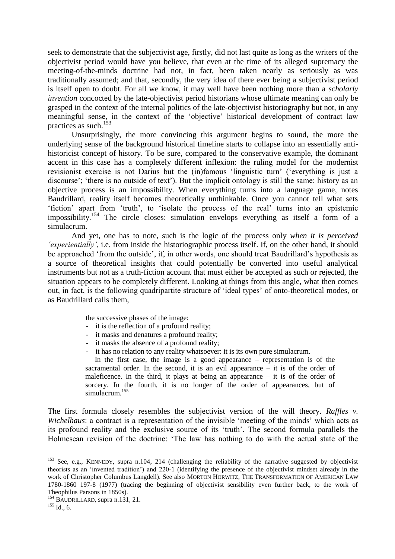seek to demonstrate that the subjectivist age, firstly, did not last quite as long as the writers of the objectivist period would have you believe, that even at the time of its alleged supremacy the meeting-of-the-minds doctrine had not, in fact, been taken nearly as seriously as was traditionally assumed; and that, secondly, the very idea of there ever being a subjectivist period is itself open to doubt. For all we know, it may well have been nothing more than a *scholarly invention* concocted by the late-objectivist period historians whose ultimate meaning can only be grasped in the context of the internal politics of the late-objectivist historiography but not, in any meaningful sense, in the context of the 'objective' historical development of contract law practices as such.<sup>153</sup>

Unsurprisingly, the more convincing this argument begins to sound, the more the underlying sense of the background historical timeline starts to collapse into an essentially antihistoricist concept of history. To be sure, compared to the conservative example, the dominant accent in this case has a completely different inflexion: the ruling model for the modernist revisionist exercise is not Darius but the (in)famous 'linguistic turn' ('everything is just a discourse'; 'there is no outside of text'). But the implicit ontology is still the same: history as an objective process is an impossibility. When everything turns into a language game, notes Baudrillard, reality itself becomes theoretically unthinkable. Once you cannot tell what sets 'fiction' apart from 'truth', to 'isolate the process of the real' turns into an epistemic impossibility.<sup>154</sup> The circle closes: simulation envelops everything as itself a form of a simulacrum.

And yet, one has to note, such is the logic of the process only *when it is perceived 'experientially'*, i.e. from inside the historiographic process itself. If, on the other hand, it should be approached 'from the outside', if, in other words, one should treat Baudrillard's hypothesis as a source of theoretical insights that could potentially be converted into useful analytical instruments but not as a truth-fiction account that must either be accepted as such or rejected, the situation appears to be completely different. Looking at things from this angle, what then comes out, in fact, is the following quadripartite structure of 'ideal types' of onto-theoretical modes, or as Baudrillard calls them,

the successive phases of the image:

- it is the reflection of a profound reality;
- it masks and denatures a profound reality;
- it masks the absence of a profound reality;
- it has no relation to any reality whatsoever: it is its own pure simulacrum.

In the first case, the image is a good appearance – representation is of the sacramental order. In the second, it is an evil appearance – it is of the order of maleficence. In the third, it plays at being an appearance  $-$  it is of the order of sorcery. In the fourth, it is no longer of the order of appearances, but of simulacrum.<sup>155</sup>

The first formula closely resembles the subjectivist version of the will theory. *Raffles v. Wichelhaus*: a contract is a representation of the invisible 'meeting of the minds' which acts as its profound reality and the exclusive source of its 'truth'. The second formula parallels the Holmesean revision of the doctrine: 'The law has nothing to do with the actual state of the

<sup>&</sup>lt;sup>153</sup> See, e.g., KENNEDY, supra n.104, 214 (challenging the reliability of the narrative suggested by objectivist theorists as an 'invented tradition') and 220-1 (identifying the presence of the objectivist mindset already in the work of Christopher Columbus Langdell). See also MORTON HORWITZ, THE TRANSFORMATION OF AMERICAN LAW 1780-1860 197-8 (1977) (tracing the beginning of objectivist sensibility even further back, to the work of Theophilus Parsons in 1850s).

 $^{154}$  BAUDRILLARD, supra n.131, 21.

 $^{155}$  Id., 6.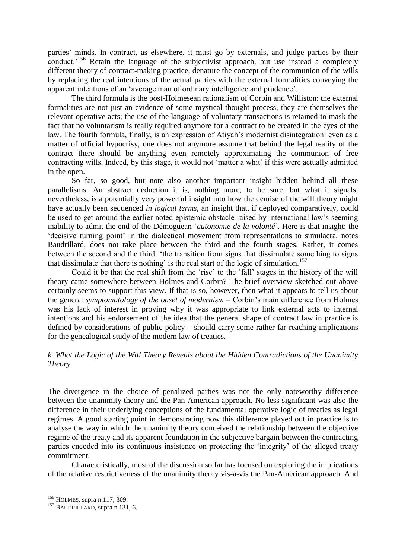parties' minds. In contract, as elsewhere, it must go by externals, and judge parties by their conduct.<sup>156</sup> Retain the language of the subjectivist approach, but use instead a completely different theory of contract-making practice, denature the concept of the communion of the wills by replacing the real intentions of the actual parties with the external formalities conveying the apparent intentions of an 'average man of ordinary intelligence and prudence'.

The third formula is the post-Holmesean rationalism of Corbin and Williston: the external formalities are not just an evidence of some mystical thought process, they are themselves the relevant operative acts; the use of the language of voluntary transactions is retained to mask the fact that no voluntarism is really required anymore for a contract to be created in the eyes of the law. The fourth formula, finally, is an expression of Atiyah's modernist disintegration: even as a matter of official hypocrisy, one does not anymore assume that behind the legal reality of the contract there should be anything even remotely approximating the communion of free contracting wills. Indeed, by this stage, it would not 'matter a whit' if this were actually admitted in the open.

So far, so good, but note also another important insight hidden behind all these parallelisms. An abstract deduction it is, nothing more, to be sure, but what it signals, nevertheless, is a potentially very powerful insight into how the demise of the will theory might have actually been sequenced *in logical terms*, an insight that, if deployed comparatively, could be used to get around the earlier noted epistemic obstacle raised by international law's seeming inability to admit the end of the Démoguean '*autonomie de la volonté*'. Here is that insight: the 'decisive turning point' in the dialectical movement from representations to simulacra, notes Baudrillard, does not take place between the third and the fourth stages. Rather, it comes between the second and the third: 'the transition from signs that dissimulate something to signs that dissimulate that there is nothing' is the real start of the logic of simulation.<sup>157</sup>

Could it be that the real shift from the 'rise' to the 'fall' stages in the history of the will theory came somewhere between Holmes and Corbin? The brief overview sketched out above certainly seems to support this view. If that is so, however, then what it appears to tell us about the general *symptomatology of the onset of modernism* – Corbin's main difference from Holmes was his lack of interest in proving why it was appropriate to link external acts to internal intentions and his endorsement of the idea that the general shape of contract law in practice is defined by considerations of public policy – should carry some rather far-reaching implications for the genealogical study of the modern law of treaties.

# *k. What the Logic of the Will Theory Reveals about the Hidden Contradictions of the Unanimity Theory*

The divergence in the choice of penalized parties was not the only noteworthy difference between the unanimity theory and the Pan-American approach. No less significant was also the difference in their underlying conceptions of the fundamental operative logic of treaties as legal regimes. A good starting point in demonstrating how this difference played out in practice is to analyse the way in which the unanimity theory conceived the relationship between the objective regime of the treaty and its apparent foundation in the subjective bargain between the contracting parties encoded into its continuous insistence on protecting the 'integrity' of the alleged treaty commitment.

Characteristically, most of the discussion so far has focused on exploring the implications of the relative restrictiveness of the unanimity theory vis-à-vis the Pan-American approach. And

<sup>156</sup> HOLMES, supra n.117, 309.

<sup>157</sup> BAUDRILLARD, supra n.131, 6.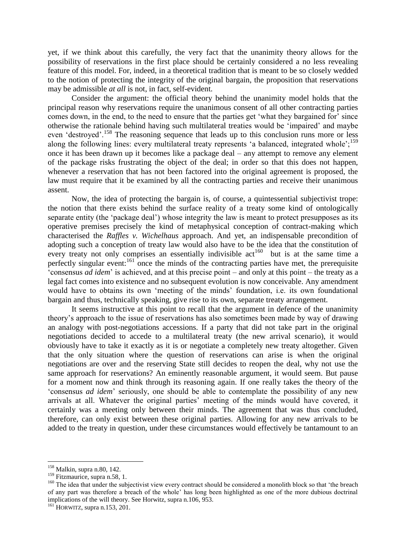yet, if we think about this carefully, the very fact that the unanimity theory allows for the possibility of reservations in the first place should be certainly considered a no less revealing feature of this model. For, indeed, in a theoretical tradition that is meant to be so closely wedded to the notion of protecting the integrity of the original bargain, the proposition that reservations may be admissible *at all* is not, in fact, self-evident.

Consider the argument: the official theory behind the unanimity model holds that the principal reason why reservations require the unanimous consent of all other contracting parties comes down, in the end, to the need to ensure that the parties get 'what they bargained for' since otherwise the rationale behind having such multilateral treaties would be 'impaired' and maybe even 'destroyed'.<sup>158</sup> The reasoning sequence that leads up to this conclusion runs more or less along the following lines: every multilateral treaty represents 'a balanced, integrated whole'; $^{159}$ once it has been drawn up it becomes like a package deal – any attempt to remove any element of the package risks frustrating the object of the deal; in order so that this does not happen, whenever a reservation that has not been factored into the original agreement is proposed, the law must require that it be examined by all the contracting parties and receive their unanimous assent.

Now, the idea of protecting the bargain is, of course, a quintessential subjectivist trope: the notion that there exists behind the surface reality of a treaty some kind of ontologically separate entity (the 'package deal') whose integrity the law is meant to protect presupposes as its operative premises precisely the kind of metaphysical conception of contract-making which characterised the *Raffles v. Wichelhaus* approach. And yet, an indispensable precondition of adopting such a conception of treaty law would also have to be the idea that the constitution of every treaty not only comprises an essentially indivisible  $act^{160}$  but is at the same time a perfectly singular event: $161$  once the minds of the contracting parties have met, the prerequisite 'consensus *ad idem*' is achieved, and at this precise point – and only at this point – the treaty as a legal fact comes into existence and no subsequent evolution is now conceivable. Any amendment would have to obtains its own 'meeting of the minds' foundation, i.e. its own foundational bargain and thus, technically speaking, give rise to its own, separate treaty arrangement.

It seems instructive at this point to recall that the argument in defence of the unanimity theory's approach to the issue of reservations has also sometimes been made by way of drawing an analogy with post-negotiations accessions. If a party that did not take part in the original negotiations decided to accede to a multilateral treaty (the new arrival scenario), it would obviously have to take it exactly as it is or negotiate a completely new treaty altogether. Given that the only situation where the question of reservations can arise is when the original negotiations are over and the reserving State still decides to reopen the deal, why not use the same approach for reservations? An eminently reasonable argument, it would seem. But pause for a moment now and think through its reasoning again. If one really takes the theory of the 'consensus *ad idem*' seriously, one should be able to contemplate the possibility of any new arrivals at all. Whatever the original parties' meeting of the minds would have covered, it certainly was a meeting only between their minds. The agreement that was thus concluded, therefore, can only exist between these original parties. Allowing for any new arrivals to be added to the treaty in question, under these circumstances would effectively be tantamount to an

<sup>&</sup>lt;sup>158</sup> Malkin, supra n.80, 142.

<sup>&</sup>lt;sup>159</sup> Fitzmaurice, supra n.58, 1.

<sup>&</sup>lt;sup>160</sup> The idea that under the subjectivist view every contract should be considered a monolith block so that 'the breach of any part was therefore a breach of the whole' has long been highlighted as one of the more dubious doctrinal implications of the will theory. See Horwitz, supra n.106, 953.

 $^{161}$  HORWITZ, supra n.153, 201.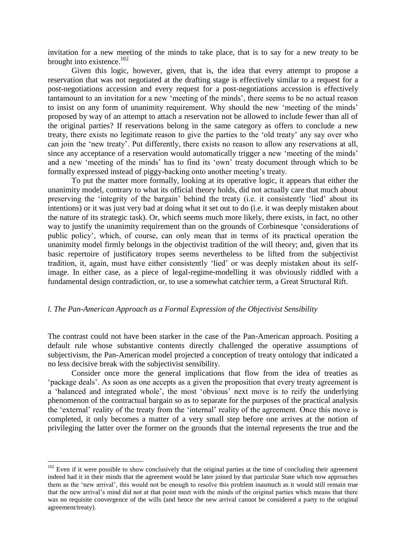invitation for a new meeting of the minds to take place, that is to say for a new *treaty* to be brought into existence.<sup>162</sup>

Given this logic, however, given, that is, the idea that every attempt to propose a reservation that was not negotiated at the drafting stage is effectively similar to a request for a post-negotiations accession and every request for a post-negotiations accession is effectively tantamount to an invitation for a new 'meeting of the minds', there seems to be no actual reason to insist on any form of unanimity requirement. Why should the new 'meeting of the minds' proposed by way of an attempt to attach a reservation not be allowed to include fewer than all of the original parties? If reservations belong in the same category as offers to conclude a new treaty, there exists no legitimate reason to give the parties to the 'old treaty' any say over who can join the 'new treaty'. Put differently, there exists no reason to allow any reservations at all, since any acceptance of a reservation would automatically trigger a new 'meeting of the minds' and a new 'meeting of the minds' has to find its 'own' treaty document through which to be formally expressed instead of piggy-backing onto another meeting's treaty.

To put the matter more formally, looking at its operative logic, it appears that either the unanimity model, contrary to what its official theory holds, did not actually care that much about preserving the 'integrity of the bargain' behind the treaty (i.e. it consistently 'lied' about its intentions) or it was just very bad at doing what it set out to do (i.e. it was deeply mistaken about the nature of its strategic task). Or, which seems much more likely, there exists, in fact, no other way to justify the unanimity requirement than on the grounds of Corbinesque 'considerations of public policy', which, of course, can only mean that in terms of its practical operation the unanimity model firmly belongs in the objectivist tradition of the will theory; and, given that its basic repertoire of justificatory tropes seems nevertheless to be lifted from the subjectivist tradition, it, again, must have either consistently 'lied' or was deeply mistaken about its selfimage. In either case, as a piece of legal-regime-modelling it was obviously riddled with a fundamental design contradiction, or, to use a somewhat catchier term, a Great Structural Rift.

#### *l. The Pan-American Approach as a Formal Expression of the Objectivist Sensibility*

The contrast could not have been starker in the case of the Pan-American approach. Positing a default rule whose substantive contents directly challenged the operative assumptions of subjectivism, the Pan-American model projected a conception of treaty ontology that indicated a no less decisive break with the subjectivist sensibility.

Consider once more the general implications that flow from the idea of treaties as 'package deals'. As soon as one accepts as a given the proposition that every treaty agreement is a 'balanced and integrated whole', the most 'obvious' next move is to reify the underlying phenomenon of the contractual bargain so as to separate for the purposes of the practical analysis the 'external' reality of the treaty from the 'internal' reality of the agreement. Once this move is completed, it only becomes a matter of a very small step before one arrives at the notion of privileging the latter over the former on the grounds that the internal represents the true and the

 $162$  Even if it were possible to show conclusively that the original parties at the time of concluding their agreement indeed had it in their minds that the agreement would be later joined by that particular State which now approaches them as the 'new arrival', this would not be enough to resolve this problem inasmuch as it would still remain true that the new arrival's mind did not at that point meet with the minds of the original parties which means that there was no requisite convergence of the wills (and hence the new arrival cannot be considered a party to the original agreement/treaty).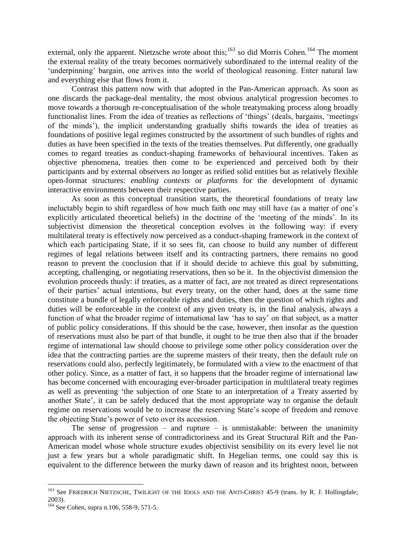external, only the apparent. Nietzsche wrote about this;<sup>163</sup> so did Morris Cohen.<sup>164</sup> The moment the external reality of the treaty becomes normatively subordinated to the internal reality of the 'underpinning' bargain, one arrives into the world of theological reasoning. Enter natural law and everything else that flows from it.

Contrast this pattern now with that adopted in the Pan-American approach. As soon as one discards the package-deal mentality, the most obvious analytical progression becomes to move towards a thorough re-conceptualisation of the whole treatymaking process along broadly functionalist lines. From the idea of treaties as reflections of 'things' (deals, bargains, 'meetings of the minds'), the implicit understanding gradually shifts towards the idea of treaties as foundations of positive legal regimes constructed by the assortment of such bundles of rights and duties as have been specified in the texts of the treaties themselves. Put differently, one gradually comes to regard treaties as conduct-shaping frameworks of behavioural incentives. Taken as objective phenomena, treaties then come to be experienced and perceived both by their participants and by external observers no longer as reified solid entities but as relatively flexible open-format structures: *enabling contexts* or *platforms* for the development of dynamic interactive environments between their respective parties.

As soon as this conceptual transition starts, the theoretical foundations of treaty law ineluctably begin to shift regardless of how much faith one may still have (as a matter of one's explicitly articulated theoretical beliefs) in the doctrine of the 'meeting of the minds'. In its subjectivist dimension the theoretical conception evolves in the following way: if every multilateral treaty is effectively now perceived as a conduct-shaping framework in the context of which each participating State, if it so sees fit, can choose to build any number of different regimes of legal relations between itself and its contracting partners, there remains no good reason to prevent the conclusion that if it should decide to achieve this goal by submitting, accepting, challenging, or negotiating reservations, then so be it. In the objectivist dimension the evolution proceeds thusly: if treaties, as a matter of fact, are not treated as direct representations of their parties' actual intentions, but every treaty, on the other hand, does at the same time constitute a bundle of legally enforceable rights and duties, then the question of which rights and duties will be enforceable in the context of any given treaty is, in the final analysis, always a function of what the broader regime of international law 'has to say' on that subject, as a matter of public policy considerations. If this should be the case, however, then insofar as the question of reservations must also be part of that bundle, it ought to be true then also that if the broader regime of international law should choose to privilege some other policy consideration over the idea that the contracting parties are the supreme masters of their treaty, then the default rule on reservations could also, perfectly legitimately, be formulated with a view to the enactment of that other policy. Since, as a matter of fact, it so happens that the broader regime of international law has become concerned with encouraging ever-broader participation in multilateral treaty regimes as well as preventing 'the subjection of one State to an interpretation of a Treaty asserted by another State', it can be safely deduced that the most appropriate way to organise the default regime on reservations would be to increase the reserving State's scope of freedom and remove the objecting State's power of veto over its accession.

The sense of progression – and rupture – is unmistakable: between the unanimity approach with its inherent sense of contradictoriness and its Great Structural Rift and the Pan-American model whose whole structure exudes objectivist sensibility on its every level lie not just a few years but a whole paradigmatic shift. In Hegelian terms, one could say this is equivalent to the difference between the murky dawn of reason and its brightest noon, between

<u>.</u>

<sup>&</sup>lt;sup>163</sup> See FRIEDRICH NIETZSCHE, TWILIGHT OF THE IDOLS AND THE ANTI-CHRIST 45-9 (trans. by R. J. Hollingdale; 2003).

<sup>164</sup> See Cohen, supra n.106, 558-9, 571-5.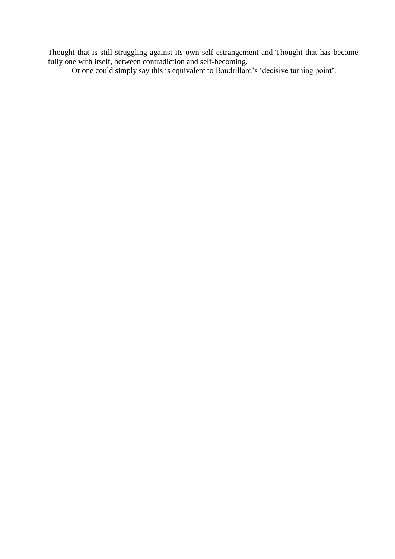Thought that is still struggling against its own self-estrangement and Thought that has become fully one with itself, between contradiction and self-becoming.

Or one could simply say this is equivalent to Baudrillard's 'decisive turning point'.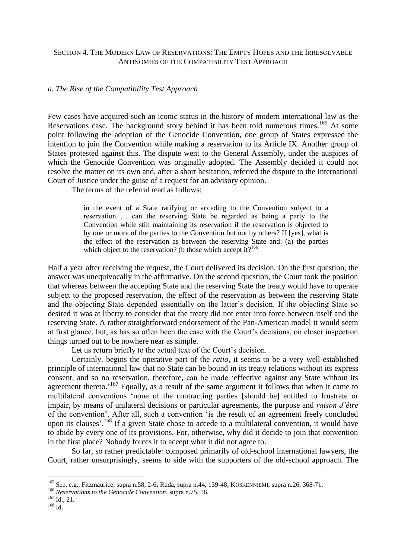# SECTION 4. THE MODERN LAW OF RESERVATIONS: THE EMPTY HOPES AND THE IRRESOLVABLE ANTINOMIES OF THE COMPATIBILITY TEST APPROACH

## *a. The Rise of the Compatibility Test Approach*

Few cases have acquired such an iconic status in the history of modern international law as the Reservations case. The background story behind it has been told numerous times.<sup>165</sup> At some point following the adoption of the Genocide Convention, one group of States expressed the intention to join the Convention while making a reservation to its Article IX. Another group of States protested against this. The dispute went to the General Assembly, under the auspices of which the Genocide Convention was originally adopted. The Assembly decided it could not resolve the matter on its own and, after a short hesitation, referred the dispute to the International Court of Justice under the guise of a request for an advisory opinion.

The terms of the referral read as follows:

in the event of a State ratifying or acceding to the Convention subject to a reservation … can the reserving State be regarded as being a party to the Convention while still maintaining its reservation if the reservation is objected to by one or more of the parties to the Convention but not by others? If [yes], what is the effect of the reservation as between the reserving State and: (a) the parties which object to the reservation? (b those which accept it? $166$ 

Half a year after receiving the request, the Court delivered its decision. On the first question, the answer was unequivocally in the affirmative. On the second question, the Court took the position that whereas between the accepting State and the reserving State the treaty would have to operate subject to the proposed reservation, the effect of the reservation as between the reserving State and the objecting State depended essentially on the latter's decision. If the objecting State so desired it was at liberty to consider that the treaty did not enter into force between itself and the reserving State. A rather straightforward endorsement of the Pan-American model it would seem at first glance, but, as has so often been the case with the Court's decisions, on closer inspection things turned out to be nowhere near as simple.

Let us return briefly to the actual text of the Court's decision.

Certainly, begins the operative part of the *ratio*, it seems to be a very well-established principle of international law that no State can be bound in its treaty relations without its express consent, and so no reservation, therefore, can be made 'effective against any State without its agreement thereto.<sup>'167</sup> Equally, as a result of the same argument it follows that when it came to multilateral conventions 'none of the contracting parties [should be] entitled to frustrate or impair, by means of unilateral decisions or particular agreements, the purpose and *raison d'être* of the convention'. After all, such a convention 'is the result of an agreement freely concluded upon its clauses'.<sup>168</sup> If a given State chose to accede to a multilateral convention, it would have to abide by every one of its provisions. For, otherwise, why did it decide to join that convention in the first place? Nobody forces it to accept what it did not agree to.

So far, so rather predictable: composed primarily of old-school international lawyers, the Court, rather unsurprisingly, seems to side with the supporters of the old-school approach. The

<sup>&</sup>lt;sup>165</sup> See, e.g., Fitzmaurice, supra n.58, 2-6; Ruda, supra n.44, 139-48; KOSKENNIEMI, supra n.26, 368-71.

<sup>166</sup> *Reservations to the Genocide Convention*, supra n.75, 16.

 $^{167}$  Id., 21.

<sup>168</sup> Id.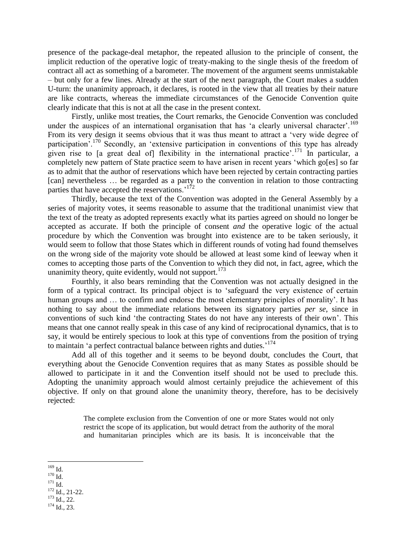presence of the package-deal metaphor, the repeated allusion to the principle of consent, the implicit reduction of the operative logic of treaty-making to the single thesis of the freedom of contract all act as something of a barometer. The movement of the argument seems unmistakable – but only for a few lines. Already at the start of the next paragraph, the Court makes a sudden U-turn: the unanimity approach, it declares, is rooted in the view that all treaties by their nature are like contracts, whereas the immediate circumstances of the Genocide Convention quite clearly indicate that this is not at all the case in the present context.

Firstly, unlike most treaties, the Court remarks, the Genocide Convention was concluded under the auspices of an international organisation that has 'a clearly universal character'.<sup>169</sup> From its very design it seems obvious that it was thus meant to attract a 'very wide degree of participation'.<sup>170</sup> Secondly, an 'extensive participation in conventions of this type has already given rise to [a great deal of] flexibility in the international practice'.<sup>171</sup> In particular, a completely new pattern of State practice seem to have arisen in recent years 'which go[es] so far as to admit that the author of reservations which have been rejected by certain contracting parties [can] nevertheless ... be regarded as a party to the convention in relation to those contracting parties that have accepted the reservations.<sup>'172</sup>

Thirdly, because the text of the Convention was adopted in the General Assembly by a series of majority votes, it seems reasonable to assume that the traditional unanimist view that the text of the treaty as adopted represents exactly what its parties agreed on should no longer be accepted as accurate. If both the principle of consent *and* the operative logic of the actual procedure by which the Convention was brought into existence are to be taken seriously, it would seem to follow that those States which in different rounds of voting had found themselves on the wrong side of the majority vote should be allowed at least some kind of leeway when it comes to accepting those parts of the Convention to which they did not, in fact, agree, which the unanimity theory, quite evidently, would not support.<sup>173</sup>

Fourthly, it also bears reminding that the Convention was not actually designed in the form of a typical contract. Its principal object is to 'safeguard the very existence of certain human groups and ... to confirm and endorse the most elementary principles of morality'. It has nothing to say about the immediate relations between its signatory parties *per se*, since in conventions of such kind 'the contracting States do not have any interests of their own'. This means that one cannot really speak in this case of any kind of reciprocational dynamics, that is to say, it would be entirely specious to look at this type of conventions from the position of trying to maintain 'a perfect contractual balance between rights and duties.' 174

Add all of this together and it seems to be beyond doubt, concludes the Court, that everything about the Genocide Convention requires that as many States as possible should be allowed to participate in it and the Convention itself should not be used to preclude this. Adopting the unanimity approach would almost certainly prejudice the achievement of this objective. If only on that ground alone the unanimity theory, therefore, has to be decisively rejected:

> The complete exclusion from the Convention of one or more States would not only restrict the scope of its application, but would detract from the authority of the moral and humanitarian principles which are its basis. It is inconceivable that the

<sup>169</sup> Id.

 $^{170}$  Id.

 $171$  Id.

<sup>172</sup> Id., 21-22.

 $173$  Id., 22.

<sup>174</sup> Id., 23.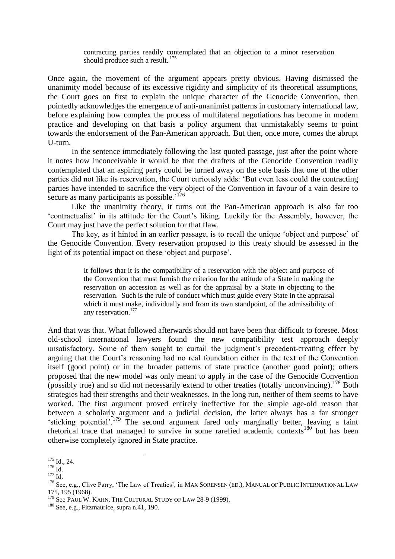contracting parties readily contemplated that an objection to a minor reservation should produce such a result.<sup>175</sup>

Once again, the movement of the argument appears pretty obvious. Having dismissed the unanimity model because of its excessive rigidity and simplicity of its theoretical assumptions, the Court goes on first to explain the unique character of the Genocide Convention, then pointedly acknowledges the emergence of anti-unanimist patterns in customary international law, before explaining how complex the process of multilateral negotiations has become in modern practice and developing on that basis a policy argument that unmistakably seems to point towards the endorsement of the Pan-American approach. But then, once more, comes the abrupt U-turn.

In the sentence immediately following the last quoted passage, just after the point where it notes how inconceivable it would be that the drafters of the Genocide Convention readily contemplated that an aspiring party could be turned away on the sole basis that one of the other parties did not like its reservation, the Court curiously adds: 'But even less could the contracting parties have intended to sacrifice the very object of the Convention in favour of a vain desire to secure as many participants as possible.<sup>176</sup>

Like the unanimity theory, it turns out the Pan-American approach is also far too 'contractualist' in its attitude for the Court's liking. Luckily for the Assembly, however, the Court may just have the perfect solution for that flaw.

The key, as it hinted in an earlier passage, is to recall the unique 'object and purpose' of the Genocide Convention. Every reservation proposed to this treaty should be assessed in the light of its potential impact on these 'object and purpose'.

> It follows that it is the compatibility of a reservation with the object and purpose of the Convention that must furnish the criterion for the attitude of a State in making the reservation on accession as well as for the appraisal by a State in objecting to the reservation. Such is the rule of conduct which must guide every State in the appraisal which it must make, individually and from its own standpoint, of the admissibility of any reservation.<sup>177</sup>

And that was that. What followed afterwards should not have been that difficult to foresee. Most old-school international lawyers found the new compatibility test approach deeply unsatisfactory. Some of them sought to curtail the judgment's precedent-creating effect by arguing that the Court's reasoning had no real foundation either in the text of the Convention itself (good point) or in the broader patterns of state practice (another good point); others proposed that the new model was only meant to apply in the case of the Genocide Convention (possibly true) and so did not necessarily extend to other treaties (totally unconvincing).  $^{178}$  Both strategies had their strengths and their weaknesses. In the long run, neither of them seems to have worked. The first argument proved entirely ineffective for the simple age-old reason that between a scholarly argument and a judicial decision, the latter always has a far stronger 'sticking potential'.<sup>179</sup> The second argument fared only marginally better, leaving a faint rhetorical trace that managed to survive in some rarefied academic contexts<sup>180</sup> but has been otherwise completely ignored in State practice.

<sup>1</sup>  $175$  Id., 24.

 $176$  Id.

<sup>177</sup> Id.

<sup>&</sup>lt;sup>178</sup> See, e.g., Clive Parry, 'The Law of Treaties', in MAX SORENSEN (ED.), MANUAL OF PUBLIC INTERNATIONAL LAW 175, 195 (1968).

<sup>&</sup>lt;sup>179</sup> See PAUL W. KAHN, THE CULTURAL STUDY OF LAW 28-9 (1999).

<sup>&</sup>lt;sup>180</sup> See, e.g., Fitzmaurice, supra n.41, 190.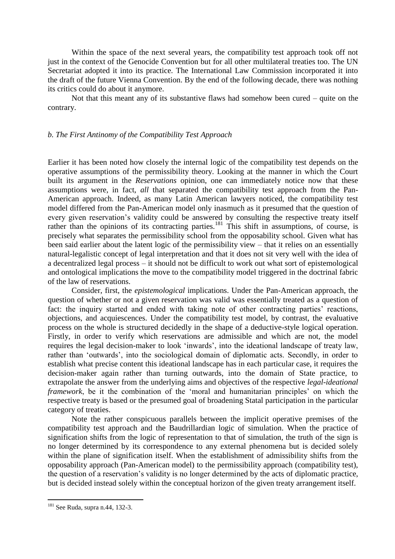Within the space of the next several years, the compatibility test approach took off not just in the context of the Genocide Convention but for all other multilateral treaties too. The UN Secretariat adopted it into its practice. The International Law Commission incorporated it into the draft of the future Vienna Convention. By the end of the following decade, there was nothing its critics could do about it anymore.

Not that this meant any of its substantive flaws had somehow been cured – quite on the contrary.

# *b. The First Antinomy of the Compatibility Test Approach*

Earlier it has been noted how closely the internal logic of the compatibility test depends on the operative assumptions of the permissibility theory. Looking at the manner in which the Court built its argument in the *Reservations* opinion, one can immediately notice now that these assumptions were, in fact, *all* that separated the compatibility test approach from the Pan-American approach. Indeed, as many Latin American lawyers noticed, the compatibility test model differed from the Pan-American model only inasmuch as it presumed that the question of every given reservation's validity could be answered by consulting the respective treaty itself rather than the opinions of its contracting parties.<sup>181</sup> This shift in assumptions, of course, is precisely what separates the permissibility school from the opposability school. Given what has been said earlier about the latent logic of the permissibility view – that it relies on an essentially natural-legalistic concept of legal interpretation and that it does not sit very well with the idea of a decentralized legal process – it should not be difficult to work out what sort of epistemological and ontological implications the move to the compatibility model triggered in the doctrinal fabric of the law of reservations.

Consider, first, the *epistemological* implications. Under the Pan-American approach, the question of whether or not a given reservation was valid was essentially treated as a question of fact: the inquiry started and ended with taking note of other contracting parties' reactions, objections, and acquiescences. Under the compatibility test model, by contrast, the evaluative process on the whole is structured decidedly in the shape of a deductive-style logical operation. Firstly, in order to verify which reservations are admissible and which are not, the model requires the legal decision-maker to look 'inwards', into the ideational landscape of treaty law, rather than 'outwards', into the sociological domain of diplomatic acts. Secondly, in order to establish what precise content this ideational landscape has in each particular case, it requires the decision-maker again rather than turning outwards, into the domain of State practice, to extrapolate the answer from the underlying aims and objectives of the respective *legal-ideational framework*, be it the combination of the 'moral and humanitarian principles' on which the respective treaty is based or the presumed goal of broadening Statal participation in the particular category of treaties.

Note the rather conspicuous parallels between the implicit operative premises of the compatibility test approach and the Baudrillardian logic of simulation. When the practice of signification shifts from the logic of representation to that of simulation, the truth of the sign is no longer determined by its correspondence to any external phenomena but is decided solely within the plane of signification itself. When the establishment of admissibility shifts from the opposability approach (Pan-American model) to the permissibility approach (compatibility test), the question of a reservation's validity is no longer determined by the acts of diplomatic practice, but is decided instead solely within the conceptual horizon of the given treaty arrangement itself.

 $181$  See Ruda, supra n.44, 132-3.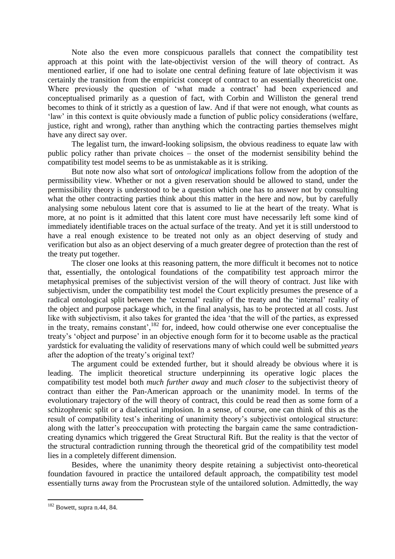Note also the even more conspicuous parallels that connect the compatibility test approach at this point with the late-objectivist version of the will theory of contract. As mentioned earlier, if one had to isolate one central defining feature of late objectivism it was certainly the transition from the empiricist concept of contract to an essentially theoreticist one. Where previously the question of 'what made a contract' had been experienced and conceptualised primarily as a question of fact, with Corbin and Williston the general trend becomes to think of it strictly as a question of law. And if that were not enough, what counts as 'law' in this context is quite obviously made a function of public policy considerations (welfare, justice, right and wrong), rather than anything which the contracting parties themselves might have any direct say over.

The legalist turn, the inward-looking solipsism, the obvious readiness to equate law with public policy rather than private choices – the onset of the modernist sensibility behind the compatibility test model seems to be as unmistakable as it is striking.

But note now also what sort of *ontological* implications follow from the adoption of the permissibility view. Whether or not a given reservation should be allowed to stand, under the permissibility theory is understood to be a question which one has to answer not by consulting what the other contracting parties think about this matter in the here and now, but by carefully analysing some nebulous latent core that is assumed to lie at the heart of the treaty. What is more, at no point is it admitted that this latent core must have necessarily left some kind of immediately identifiable traces on the actual surface of the treaty. And yet it is still understood to have a real enough existence to be treated not only as an object deserving of study and verification but also as an object deserving of a much greater degree of protection than the rest of the treaty put together.

The closer one looks at this reasoning pattern, the more difficult it becomes not to notice that, essentially, the ontological foundations of the compatibility test approach mirror the metaphysical premises of the subjectivist version of the will theory of contract. Just like with subjectivism, under the compatibility test model the Court explicitly presumes the presence of a radical ontological split between the 'external' reality of the treaty and the 'internal' reality of the object and purpose package which, in the final analysis, has to be protected at all costs. Just like with subjectivism, it also takes for granted the idea 'that the will of the parties, as expressed in the treaty, remains constant',<sup>182</sup> for, indeed, how could otherwise one ever conceptualise the treaty's 'object and purpose' in an objective enough form for it to become usable as the practical yardstick for evaluating the validity of reservations many of which could well be submitted *years* after the adoption of the treaty's original text?

The argument could be extended further, but it should already be obvious where it is leading. The implicit theoretical structure underpinning its operative logic places the compatibility test model both *much further away* and *much closer* to the subjectivist theory of contract than either the Pan-American approach or the unanimity model. In terms of the evolutionary trajectory of the will theory of contract, this could be read then as some form of a schizophrenic split or a dialectical implosion. In a sense, of course, one can think of this as the result of compatibility test's inheriting of unanimity theory's subjectivist ontological structure: along with the latter's preoccupation with protecting the bargain came the same contradictioncreating dynamics which triggered the Great Structural Rift. But the reality is that the vector of the structural contradiction running through the theoretical grid of the compatibility test model lies in a completely different dimension.

Besides, where the unanimity theory despite retaining a subjectivist onto-theoretical foundation favoured in practice the untailored default approach, the compatibility test model essentially turns away from the Procrustean style of the untailored solution. Admittedly, the way

 $182$  Bowett, supra n.44, 84.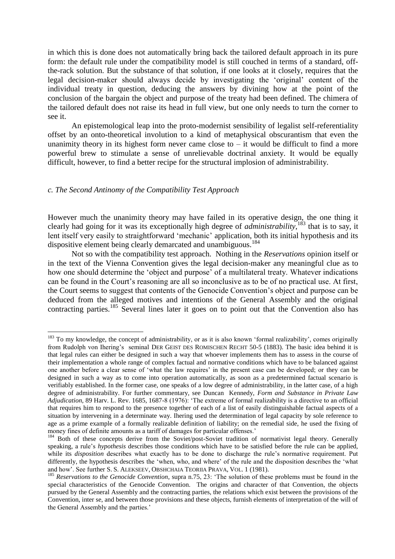in which this is done does not automatically bring back the tailored default approach in its pure form: the default rule under the compatibility model is still couched in terms of a standard, offthe-rack solution. But the substance of that solution, if one looks at it closely, requires that the legal decision-maker should always decide by investigating the 'original' content of the individual treaty in question, deducing the answers by divining how at the point of the conclusion of the bargain the object and purpose of the treaty had been defined. The chimera of the tailored default does not raise its head in full view, but one only needs to turn the corner to see it.

An epistemological leap into the proto-modernist sensibility of legalist self-referentiality offset by an onto-theoretical involution to a kind of metaphysical obscurantism that even the unanimity theory in its highest form never came close to  $-$  it would be difficult to find a more powerful brew to stimulate a sense of unrelievable doctrinal anxiety. It would be equally difficult, however, to find a better recipe for the structural implosion of administrability.

## *c. The Second Antinomy of the Compatibility Test Approach*

1

However much the unanimity theory may have failed in its operative design, the one thing it clearly had going for it was its exceptionally high degree of *administrability*, <sup>183</sup> that is to say, it lent itself very easily to straightforward 'mechanic' application, both its initial hypothesis and its dispositive element being clearly demarcated and unambiguous.<sup>184</sup>

Not so with the compatibility test approach. Nothing in the *Reservations* opinion itself or in the text of the Vienna Convention gives the legal decision-maker any meaningful clue as to how one should determine the 'object and purpose' of a multilateral treaty. Whatever indications can be found in the Court's reasoning are all so inconclusive as to be of no practical use. At first, the Court seems to suggest that contents of the Genocide Convention's object and purpose can be deduced from the alleged motives and intentions of the General Assembly and the original contracting parties.<sup>185</sup> Several lines later it goes on to point out that the Convention also has

 $183$  To my knowledge, the concept of administrability, or as it is also known 'formal realizability', comes originally from Rudolph von Ihering's seminal DER GEIST DES ROMISCHEN RECHT 50-5 (1883). The basic idea behind it is that legal rules can either be designed in such a way that whoever implements them has to assess in the course of their implementation a whole range of complex factual and normative conditions which have to be balanced against one another before a clear sense of 'what the law requires' in the present case can be developed; or they can be designed in such a way as to come into operation automatically, as soon as a predetermined factual scenario is verifiably established. In the former case, one speaks of a low degree of administrability, in the latter case, of a high degree of administrability. For further commentary, see Duncan Kennedy, *Form and Substance in Private Law Adjudication*, 89 Harv. L. Rev. 1685, 1687-8 (1976): 'The extreme of formal realizability is a directive to an official that requires him to respond to the presence together of each of a list of easily distinguishable factual aspects of a situation by intervening in a determinate way. Ihering used the determination of legal capacity by sole reference to age as a prime example of a formally realizable definition of liability; on the remedial side, he used the fixing of money fines of definite amounts as a tariff of damages for particular offenses.'

<sup>&</sup>lt;sup>184</sup> Both of these concepts derive from the Soviet/post-Soviet tradition of normativist legal theory. Generally speaking, a rule's *hypothesis* describes those conditions which have to be satisfied before the rule can be applied, while its *disposition* describes what exactly has to be done to discharge the rule's normative requirement. Put differently, the hypothesis describes the 'when, who, and where' of the rule and the disposition describes the 'what and how'. See further S. S. ALEKSEEV, OBSHCHAIA TEORIIA PRAVA, VOL. 1 (1981).

<sup>&</sup>lt;sup>185</sup> Reservations to the Genocide Convention, supra n.75, 23: 'The solution of these problems must be found in the special characteristics of the Genocide Convention. The origins and character of that Convention, the objects pursued by the General Assembly and the contracting parties, the relations which exist between the provisions of the Convention, inter se, and between those provisions and these objects, furnish elements of interpretation of the will of the General Assembly and the parties.'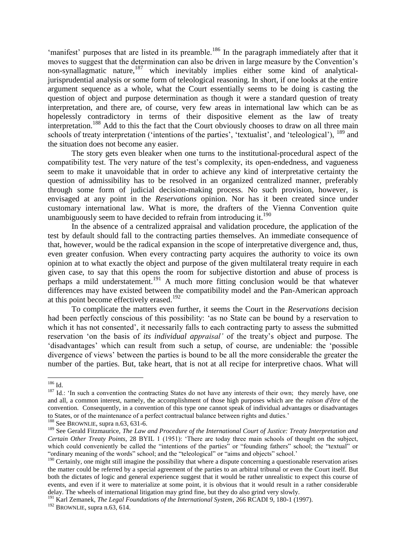'manifest' purposes that are listed in its preamble.<sup>186</sup> In the paragraph immediately after that it moves to suggest that the determination can also be driven in large measure by the Convention's non-synallagmatic nature,  $187$  which inevitably implies either some kind of analyticaljurisprudential analysis or some form of teleological reasoning. In short, if one looks at the entire argument sequence as a whole, what the Court essentially seems to be doing is casting the question of object and purpose determination as though it were a standard question of treaty interpretation, and there are, of course, very few areas in international law which can be as hopelessly contradictory in terms of their dispositive element as the law of treaty interpretation.<sup>188</sup> Add to this the fact that the Court obviously chooses to draw on all three main schools of treaty interpretation ('intentions of the parties', 'textualist', and 'teleological'), <sup>189</sup> and the situation does not become any easier.

The story gets even bleaker when one turns to the institutional-procedural aspect of the compatibility test. The very nature of the test's complexity, its open-endedness, and vagueness seem to make it unavoidable that in order to achieve any kind of interpretative certainty the question of admissibility has to be resolved in an organized centralized manner, preferably through some form of judicial decision-making process. No such provision, however, is envisaged at any point in the *Reservations* opinion. Nor has it been created since under customary international law. What is more, the drafters of the Vienna Convention quite unambiguously seem to have decided to refrain from introducing it.<sup>190</sup>

In the absence of a centralized appraisal and validation procedure, the application of the test by default should fall to the contracting parties themselves. An immediate consequence of that, however, would be the radical expansion in the scope of interpretative divergence and, thus, even greater confusion. When every contracting party acquires the authority to voice its own opinion at to what exactly the object and purpose of the given multilateral treaty require in each given case, to say that this opens the room for subjective distortion and abuse of process is perhaps a mild understatement.<sup>191</sup> A much more fitting conclusion would be that whatever differences may have existed between the compatibility model and the Pan-American approach at this point become effectively erased.<sup>192</sup>

To complicate the matters even further, it seems the Court in the *Reservations* decision had been perfectly conscious of this possibility: 'as no State can be bound by a reservation to which it has not consented', it necessarily falls to each contracting party to assess the submitted reservation 'on the basis of *its individual appraisal'* of the treaty's object and purpose. The 'disadvantages' which can result from such a setup, of course, are undeniable: the 'possible divergence of views' between the parties is bound to be all the more considerable the greater the number of the parties. But, take heart, that is not at all recipe for interpretive chaos. What will

<sup>186</sup> Id.

<sup>&</sup>lt;sup>187</sup> Id.: 'In such a convention the contracting States do not have any interests of their own; they merely have, one and all, a common interest, namely, the accomplishment of those high purposes which are the *raison d'être* of the convention. Consequently, in a convention of this type one cannot speak of individual advantages or disadvantages to States, or of the maintenance of a perfect contractual balance between rights and duties.'

<sup>&</sup>lt;sup>188</sup> See BROWNLIE, supra n.63, 631-6.

<sup>189</sup> See Gerald Fitzmaurice, *The Law and Procedure of the International Court of Justice: Treaty Interpretation and Certain Other Treaty Points*, 28 BYIL 1 (1951): 'There are today three main schools of thought on the subject, which could conveniently be called the "intentions of the parties" or "founding fathers" school; the "textual" or "ordinary meaning of the words" school; and the "teleological" or "aims and objects" school.'

<sup>&</sup>lt;sup>190</sup> Certainly, one might still imagine the possibility that where a dispute concerning a questionable reservation arises the matter could be referred by a special agreement of the parties to an arbitral tribunal or even the Court itself. But both the dictates of logic and general experience suggest that it would be rather unrealistic to expect this course of events, and even if it were to materialize at some point, it is obvious that it would result in a rather considerable delay. The wheels of international litigation may grind fine, but they do also grind very slowly.

<sup>191</sup> Karl Zemanek, *The Legal Foundations of the International System*, 266 RCADI 9, 180-1 (1997).

 $192$  BROWNLIE, supra n.63, 614.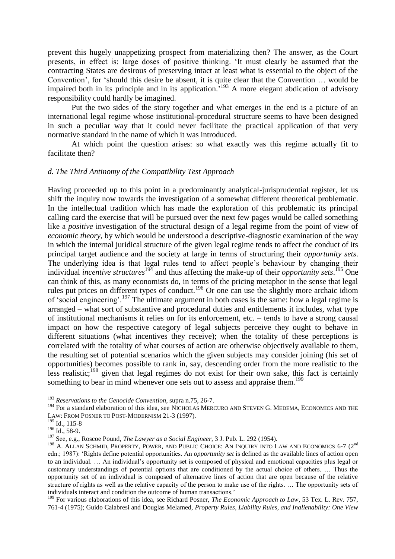prevent this hugely unappetizing prospect from materializing then? The answer, as the Court presents, in effect is: large doses of positive thinking. 'It must clearly be assumed that the contracting States are desirous of preserving intact at least what is essential to the object of the Convention', for 'should this desire be absent, it is quite clear that the Convention … would be impaired both in its principle and in its application.<sup>193</sup> A more elegant abdication of advisory responsibility could hardly be imagined.

Put the two sides of the story together and what emerges in the end is a picture of an international legal regime whose institutional-procedural structure seems to have been designed in such a peculiar way that it could never facilitate the practical application of that very normative standard in the name of which it was introduced.

At which point the question arises: so what exactly was this regime actually fit to facilitate then?

## *d. The Third Antinomy of the Compatibility Test Approach*

Having proceeded up to this point in a predominantly analytical-jurisprudential register, let us shift the inquiry now towards the investigation of a somewhat different theoretical problematic. In the intellectual tradition which has made the exploration of this problematic its principal calling card the exercise that will be pursued over the next few pages would be called something like a *positive* investigation of the structural design of a legal regime from the point of view of *economic theory*, by which would be understood a descriptive-diagnostic examination of the way in which the internal juridical structure of the given legal regime tends to affect the conduct of its principal target audience and the society at large in terms of structuring their *opportunity sets*. The underlying idea is that legal rules tend to affect people's behaviour by changing their individual *incentive structures*<sup>194</sup> and thus affecting the make-up of their *opportunity sets*. <sup>195</sup> One can think of this, as many economists do, in terms of the pricing metaphor in the sense that legal rules put prices on different types of conduct.<sup>196</sup> Or one can use the slightly more archaic idiom of 'social engineering'.<sup>197</sup> The ultimate argument in both cases is the same: how a legal regime is arranged – what sort of substantive and procedural duties and entitlements it includes, what type of institutional mechanisms it relies on for its enforcement, etc. – tends to have a strong causal impact on how the respective category of legal subjects perceive they ought to behave in different situations (what incentives they receive); when the totality of these perceptions is correlated with the totality of what courses of action are otherwise objectively available to them, the resulting set of potential scenarios which the given subjects may consider joining (his set of opportunities) becomes possible to rank in, say, descending order from the more realistic to the less realistic;<sup>198</sup> given that legal regimes do not exist for their own sake, this fact is certainly something to bear in mind whenever one sets out to assess and appraise them.<sup>199</sup>

<u>.</u>

<sup>193</sup> *Reservations to the Genocide Convention*, supra n.75, 26-7.

<sup>&</sup>lt;sup>194</sup> For a standard elaboration of this idea, see NICHOLAS MERCURO AND STEVEN G. MEDEMA, ECONOMICS AND THE LAW: FROM POSNER TO POST-MODERNISM 21-3 (1997).

 $195$  Id., 115-8

<sup>&</sup>lt;sup>196</sup> Id., 58-9.

<sup>197</sup> See, e.g., Roscoe Pound, *The Lawyer as a Social Engineer*, 3 J. Pub. L. 292 (1954).

<sup>&</sup>lt;sup>198</sup> A. ALLAN SCHMID, PROPERTY, POWER, AND PUBLIC CHOICE: AN INQUIRY INTO LAW AND ECONOMICS 6-7 (2<sup>nd</sup> edn.; 1987): 'Rights define potential opportunities. An *opportunity set* is defined as the available lines of action open to an individual. … An individual's opportunity set is composed of physical and emotional capacities plus legal or customary understandings of potential options that are conditioned by the actual choice of others. … Thus the opportunity set of an individual is composed of alternative lines of action that are open because of the relative structure of rights as well as the relative capacity of the person to make use of the rights. … The opportunity sets of individuals interact and condition the outcome of human transactions.'

<sup>&</sup>lt;sup>199</sup> For various elaborations of this idea, see Richard Posner, *The Economic Approach to Law*, 53 Tex. L. Rev. 757, 761-4 (1975); Guido Calabresi and Douglas Melamed, *Property Rules, Liability Rules, and Inalienability: One View*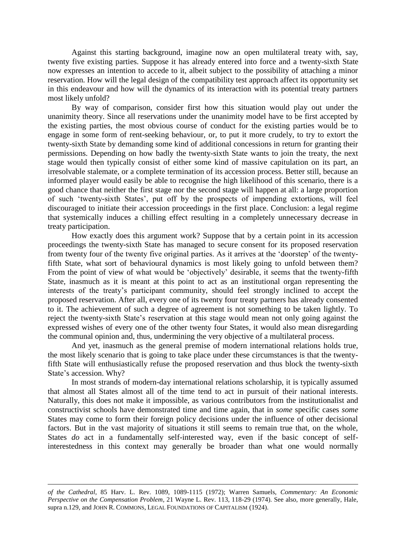Against this starting background, imagine now an open multilateral treaty with, say, twenty five existing parties. Suppose it has already entered into force and a twenty-sixth State now expresses an intention to accede to it, albeit subject to the possibility of attaching a minor reservation. How will the legal design of the compatibility test approach affect its opportunity set in this endeavour and how will the dynamics of its interaction with its potential treaty partners most likely unfold?

By way of comparison, consider first how this situation would play out under the unanimity theory. Since all reservations under the unanimity model have to be first accepted by the existing parties, the most obvious course of conduct for the existing parties would be to engage in some form of rent-seeking behaviour, or, to put it more crudely, to try to extort the twenty-sixth State by demanding some kind of additional concessions in return for granting their permissions. Depending on how badly the twenty-sixth State wants to join the treaty, the next stage would then typically consist of either some kind of massive capitulation on its part, an irresolvable stalemate, or a complete termination of its accession process. Better still, because an informed player would easily be able to recognise the high likelihood of this scenario, there is a good chance that neither the first stage nor the second stage will happen at all: a large proportion of such 'twenty-sixth States', put off by the prospects of impending extortions, will feel discouraged to initiate their accession proceedings in the first place. Conclusion: a legal regime that systemically induces a chilling effect resulting in a completely unnecessary decrease in treaty participation.

How exactly does this argument work? Suppose that by a certain point in its accession proceedings the twenty-sixth State has managed to secure consent for its proposed reservation from twenty four of the twenty five original parties. As it arrives at the 'doorstep' of the twentyfifth State, what sort of behavioural dynamics is most likely going to unfold between them? From the point of view of what would be 'objectively' desirable, it seems that the twenty-fifth State, inasmuch as it is meant at this point to act as an institutional organ representing the interests of the treaty's participant community, should feel strongly inclined to accept the proposed reservation. After all, every one of its twenty four treaty partners has already consented to it. The achievement of such a degree of agreement is not something to be taken lightly. To reject the twenty-sixth State's reservation at this stage would mean not only going against the expressed wishes of every one of the other twenty four States, it would also mean disregarding the communal opinion and, thus, undermining the very objective of a multilateral process.

And yet, inasmuch as the general premise of modern international relations holds true, the most likely scenario that is going to take place under these circumstances is that the twentyfifth State will enthusiastically refuse the proposed reservation and thus block the twenty-sixth State's accession. Why?

In most strands of modern-day international relations scholarship, it is typically assumed that almost all States almost all of the time tend to act in pursuit of their national interests. Naturally, this does not make it impossible, as various contributors from the institutionalist and constructivist schools have demonstrated time and time again, that in *some* specific cases *some* States may come to form their foreign policy decisions under the influence of other decisional factors. But in the vast majority of situations it still seems to remain true that, on the whole, States *do* act in a fundamentally self-interested way, even if the basic concept of selfinterestedness in this context may generally be broader than what one would normally

<u>.</u>

*of the Cathedral*, 85 Harv. L. Rev. 1089, 1089-1115 (1972); Warren Samuels, *Commentary: An Economic Perspective on the Compensation Problem*, 21 Wayne L. Rev. 113, 118-29 (1974). See also, more generally, Hale, supra n.129, and JOHN R. COMMONS, LEGAL FOUNDATIONS OF CAPITALISM (1924).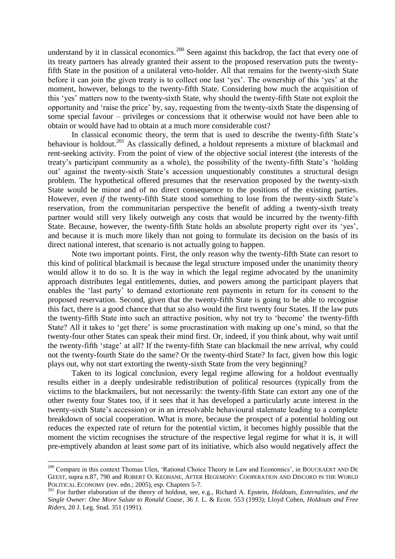understand by it in classical economics.<sup>200</sup> Seen against this backdrop, the fact that every one of its treaty partners has already granted their assent to the proposed reservation puts the twentyfifth State in the position of a unilateral veto-holder. All that remains for the twenty-sixth State before it can join the given treaty is to collect one last 'yes'. The ownership of this 'yes' at the moment, however, belongs to the twenty-fifth State. Considering how much the acquisition of this 'yes' matters now to the twenty-sixth State, why should the twenty-fifth State not exploit the opportunity and 'raise the price' by, say, requesting from the twenty-sixth State the dispensing of some special favour – privileges or concessions that it otherwise would not have been able to obtain or would have had to obtain at a much more considerable cost?

In classical economic theory, the term that is used to describe the twenty-fifth State's behaviour is holdout.<sup>201</sup> As classically defined, a holdout represents a mixture of blackmail and rent-seeking activity. From the point of view of the objective social interest (the interests of the treaty's participant community as a whole), the possibility of the twenty-fifth State's 'holding out' against the twenty-sixth State's accession unquestionably constitutes a structural design problem. The hypothetical offered presumes that the reservation proposed by the twenty-sixth State would be minor and of no direct consequence to the positions of the existing parties. However, even *if* the twenty-fifth State stood something to lose from the twenty-sixth State's reservation, from the communitarian perspective the benefit of adding a twenty-sixth treaty partner would still very likely outweigh any costs that would be incurred by the twenty-fifth State. Because, however, the twenty-fifth State holds an absolute property right over its 'yes', and because it is much more likely than not going to formulate its decision on the basis of its direct national interest, that scenario is not actually going to happen.

Note two important points. First, the only reason why the twenty-fifth State can resort to this kind of political blackmail is because the legal structure imposed under the unanimity theory would allow it to do so. It is the way in which the legal regime advocated by the unanimity approach distributes legal entitlements, duties, and powers among the participant players that enables the 'last party' to demand extortionate rent payments in return for its consent to the proposed reservation. Second, given that the twenty-fifth State is going to be able to recognise this fact, there is a good chance that that so also would the first twenty four States. If the law puts the twenty-fifth State into such an attractive position, why not try to 'become' the twenty-fifth State? All it takes to 'get there' is some procrastination with making up one's mind, so that the twenty-four other States can speak their mind first. Or, indeed, if you think about, why wait until the twenty-fifth 'stage' at all? If the twenty-fifth State can blackmail the new arrival, why could not the twenty-fourth State do the same? Or the twenty-third State? In fact, given how this logic plays out, why not start extorting the twenty-sixth State from the very beginning?

Taken to its logical conclusion, every legal regime allowing for a holdout eventually results either in a deeply undesirable redistribution of political resources (typically from the victims to the blackmailers, but not necessarily: the twenty-fifth State can extort any one of the other twenty four States too, if it sees that it has developed a particularly acute interest in the twenty-sixth State's accession) or in an irresolvable behavioural stalemate leading to a complete breakdown of social cooperation. What is more, because the prospect of a potential holding out reduces the expected rate of return for the potential victim, it becomes highly possible that the moment the victim recognises the structure of the respective legal regime for what it is, it will pre-emptively abandon at least *some* part of its initiative, which also would negatively affect the

<sup>&</sup>lt;sup>200</sup> Compare in this context Thomas Ulen, 'Rational Choice Theory in Law and Economics', in BOUCKAERT AND DE GEEST, supra n.87, 790 and ROBERT O. KEOHANE, AFTER HEGEMONY: COOPERATION AND DISCORD IN THE WORLD POLITICAL ECONOMY (rev. edn.; 2005), esp. Chapters 5-7.

<sup>201</sup> For further elaboration of the theory of holdout, see, e.g., Richard A. Epstein, *Holdouts, Externalities, and the Single Owner: One More Salute to Ronald Coase*, 36 J. L. & Econ. 553 (1993); Lloyd Cohen, *Holdouts and Free Riders*, 20 J. Leg. Stud. 351 (1991).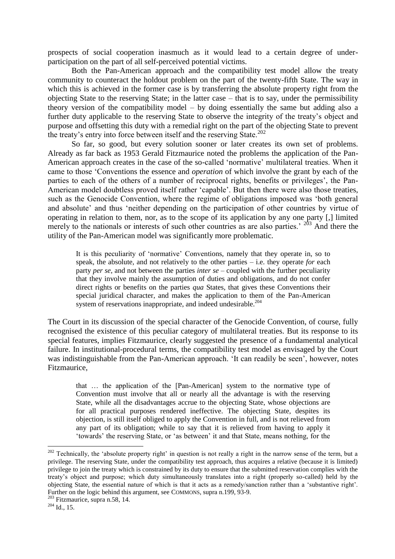prospects of social cooperation inasmuch as it would lead to a certain degree of underparticipation on the part of all self-perceived potential victims.

Both the Pan-American approach and the compatibility test model allow the treaty community to counteract the holdout problem on the part of the twenty-fifth State. The way in which this is achieved in the former case is by transferring the absolute property right from the objecting State to the reserving State; in the latter case – that is to say, under the permissibility theory version of the compatibility model – by doing essentially the same but adding also a further duty applicable to the reserving State to observe the integrity of the treaty's object and purpose and offsetting this duty with a remedial right on the part of the objecting State to prevent the treaty's entry into force between itself and the reserving State.<sup>202</sup>

So far, so good, but every solution sooner or later creates its own set of problems. Already as far back as 1953 Gerald Fitzmaurice noted the problems the application of the Pan-American approach creates in the case of the so-called 'normative' multilateral treaties. When it came to those 'Conventions the essence and *operation* of which involve the grant by each of the parties to each of the others of a number of reciprocal rights, benefits or privileges', the Pan-American model doubtless proved itself rather 'capable'. But then there were also those treaties, such as the Genocide Convention, where the regime of obligations imposed was 'both general and absolute' and thus 'neither depending on the participation of other countries by virtue of operating in relation to them, nor, as to the scope of its application by any one party [,] limited merely to the nationals or interests of such other countries as are also parties.<sup>'</sup>  $2^{03}$  And there the utility of the Pan-American model was significantly more problematic.

It is this peculiarity of 'normative' Conventions, namely that they operate in, so to speak, the absolute, and not relatively to the other parties – i.e. they operate *for* each party *per se*, and not between the parties *inter se* – coupled with the further peculiarity that they involve mainly the assumption of duties and obligations, and do not confer direct rights or benefits on the parties *qua* States, that gives these Conventions their special juridical character, and makes the application to them of the Pan-American system of reservations inappropriate, and indeed undesirable.<sup>204</sup>

The Court in its discussion of the special character of the Genocide Convention, of course, fully recognised the existence of this peculiar category of multilateral treaties. But its response to its special features, implies Fitzmaurice, clearly suggested the presence of a fundamental analytical failure. In institutional-procedural terms, the compatibility test model as envisaged by the Court was indistinguishable from the Pan-American approach. 'It can readily be seen', however, notes Fitzmaurice,

that … the application of the [Pan-American] system to the normative type of Convention must involve that all or nearly all the advantage is with the reserving State, while all the disadvantages accrue to the objecting State, whose objections are for all practical purposes rendered ineffective. The objecting State, despites its objection, is still itself obliged to apply the Convention in full, and is not relieved from any part of its obligation; while to say that it is relieved from having to apply it 'towards' the reserving State, or 'as between' it and that State, means nothing, for the

<sup>&</sup>lt;sup>202</sup> Technically, the 'absolute property right' in question is not really a right in the narrow sense of the term, but a privilege. The reserving State, under the compatibility test approach, thus acquires a relative (because it is limited) privilege to join the treaty which is constrained by its duty to ensure that the submitted reservation complies with the treaty's object and purpose; which duty simultaneously translates into a right (properly so-called) held by the objecting State, the essential nature of which is that it acts as a remedy/sanction rather than a 'substantive right'. Further on the logic behind this argument, see COMMONS, supra n.199, 93-9.

 $203$  Fitzmaurice, supra n.58, 14.

 $204$  Id., 15.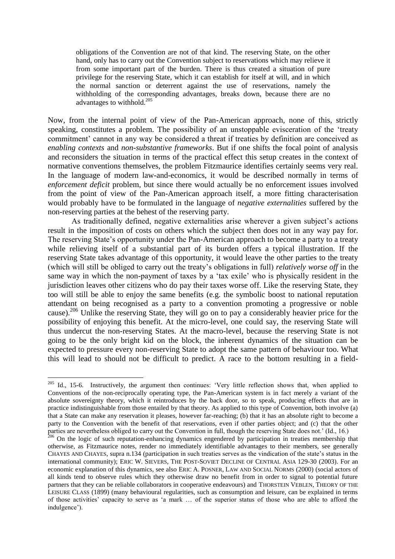obligations of the Convention are not of that kind. The reserving State, on the other hand, only has to carry out the Convention subject to reservations which may relieve it from some important part of the burden. There is thus created a situation of pure privilege for the reserving State, which it can establish for itself at will, and in which the normal sanction or deterrent against the use of reservations, namely the withholding of the corresponding advantages, breaks down, because there are no advantages to withhold.<sup>205</sup>

Now, from the internal point of view of the Pan-American approach, none of this, strictly speaking, constitutes a problem. The possibility of an unstoppable evisceration of the 'treaty commitment' cannot in any way be considered a threat if treaties by definition are conceived as *enabling contexts* and *non-substantive frameworks*. But if one shifts the focal point of analysis and reconsiders the situation in terms of the practical effect this setup creates in the context of normative conventions themselves, the problem Fitzmaurice identifies certainly seems very real. In the language of modern law-and-economics, it would be described normally in terms of *enforcement deficit* problem, but since there would actually be no enforcement issues involved from the point of view of the Pan-American approach itself, a more fitting characterisation would probably have to be formulated in the language of *negative externalities* suffered by the non-reserving parties at the behest of the reserving party.

As traditionally defined, negative externalities arise wherever a given subject's actions result in the imposition of costs on others which the subject then does not in any way pay for. The reserving State's opportunity under the Pan-American approach to become a party to a treaty while relieving itself of a substantial part of its burden offers a typical illustration. If the reserving State takes advantage of this opportunity, it would leave the other parties to the treaty (which will still be obliged to carry out the treaty's obligations in full) *relatively worse off* in the same way in which the non-payment of taxes by a 'tax exile' who is physically resident in the jurisdiction leaves other citizens who do pay their taxes worse off. Like the reserving State, they too will still be able to enjoy the same benefits (e.g. the symbolic boost to national reputation attendant on being recognised as a party to a convention promoting a progressive or noble cause).<sup>206</sup> Unlike the reserving State, they will go on to pay a considerably heavier price for the possibility of enjoying this benefit. At the micro-level, one could say, the reserving State will thus undercut the non-reserving States. At the macro-level, because the reserving State is not going to be the only bright kid on the block, the inherent dynamics of the situation can be expected to pressure every non-reserving State to adopt the same pattern of behaviour too. What this will lead to should not be difficult to predict. A race to the bottom resulting in a field-

 $205$  Id., 15-6. Instructively, the argument then continues: 'Very little reflection shows that, when applied to Conventions of the non-reciprocally operating type, the Pan-American system is in fact merely a variant of the absolute sovereignty theory, which it reintroduces by the back door, so to speak, producing effects that are in practice indistinguishable from those entailed by that theory. As applied to this type of Convention, both involve (a) that a State can make any reservation it pleases, however far-reaching; (b) that it has an absolute right to become a party to the Convention with the benefit of that reservations, even if other parties object; and (c) that the other parties are nevertheless obliged to carry out the Convention in full, though the reserving State does not.' (Id., 16.)

<sup>&</sup>lt;sup>206</sup> On the logic of such reputation-enhancing dynamics engendered by participation in treaties membership that otherwise, as Fitzmaurice notes, render no immediately identifiable advantages to their members, see generally CHAYES AND CHAYES, supra n.134 (participation in such treaties serves as the vindication of the state's status in the international community); ERIC W. SIEVERS, THE POST-SOVIET DECLINE OF CENTRAL ASIA 129-30 (2003). For an economic explanation of this dynamics, see also ERIC A. POSNER, LAW AND SOCIAL NORMS (2000) (social actors of all kinds tend to observe rules which they otherwise draw no benefit from in order to signal to potential future partners that they can be reliable collaborators in cooperative endeavours) and THORSTEIN VEBLEN, THEORY OF THE LEISURE CLASS (1899) (many behavioural regularities, such as consumption and leisure, can be explained in terms of those activities' capacity to serve as 'a mark … of the superior status of those who are able to afford the indulgence').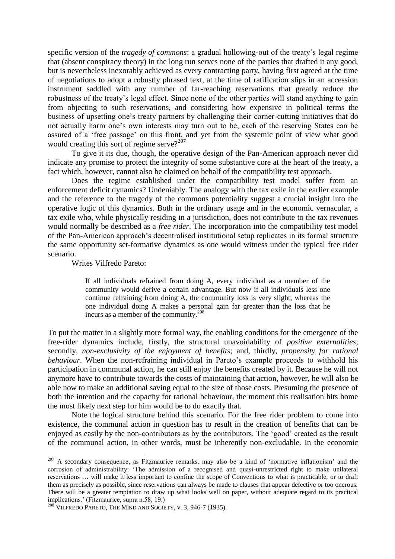specific version of the *tragedy of commons*: a gradual hollowing-out of the treaty's legal regime that (absent conspiracy theory) in the long run serves none of the parties that drafted it any good, but is nevertheless inexorably achieved as every contracting party, having first agreed at the time of negotiations to adopt a robustly phrased text, at the time of ratification slips in an accession instrument saddled with any number of far-reaching reservations that greatly reduce the robustness of the treaty's legal effect. Since none of the other parties will stand anything to gain from objecting to such reservations, and considering how expensive in political terms the business of upsetting one's treaty partners by challenging their corner-cutting initiatives that do not actually harm one's own interests may turn out to be, each of the reserving States can be assured of a 'free passage' on this front, and yet from the systemic point of view what good would creating this sort of regime serve?<sup>207</sup>

To give it its due, though, the operative design of the Pan-American approach never did indicate any promise to protect the integrity of some substantive core at the heart of the treaty, a fact which, however, cannot also be claimed on behalf of the compatibility test approach.

Does the regime established under the compatibility test model suffer from an enforcement deficit dynamics? Undeniably. The analogy with the tax exile in the earlier example and the reference to the tragedy of the commons potentiality suggest a crucial insight into the operative logic of this dynamics. Both in the ordinary usage and in the economic vernacular, a tax exile who, while physically residing in a jurisdiction, does not contribute to the tax revenues would normally be described as a *free rider*. The incorporation into the compatibility test model of the Pan-American approach's decentralised institutional setup replicates in its formal structure the same opportunity set-formative dynamics as one would witness under the typical free rider scenario.

Writes Vilfredo Pareto:

1

If all individuals refrained from doing A, every individual as a member of the community would derive a certain advantage. But now if all individuals less one continue refraining from doing A, the community loss is very slight, whereas the one individual doing A makes a personal gain far greater than the loss that he incurs as a member of the community.<sup>208</sup>

To put the matter in a slightly more formal way, the enabling conditions for the emergence of the free-rider dynamics include, firstly, the structural unavoidability of *positive externalities*; secondly, *non-exclusivity of the enjoyment of benefits*; and, thirdly, *propensity for rational behaviour*. When the non-refraining individual in Pareto's example proceeds to withhold his participation in communal action, he can still enjoy the benefits created by it. Because he will not anymore have to contribute towards the costs of maintaining that action, however, he will also be able now to make an additional saving equal to the size of those costs. Presuming the presence of both the intention and the capacity for rational behaviour, the moment this realisation hits home the most likely next step for him would be to do exactly that.

Note the logical structure behind this scenario. For the free rider problem to come into existence, the communal action in question has to result in the creation of benefits that can be enjoyed as easily by the non-contributors as by the contributors. The 'good' created as the result of the communal action, in other words, must be inherently non-excludable. In the economic

<sup>&</sup>lt;sup>207</sup> A secondary consequence, as Fitzmaurice remarks, may also be a kind of 'normative inflationism' and the corrosion of administrability: 'The admission of a recognised and quasi-unrestricted right to make unilateral reservations … will make it less important to confine the scope of Conventions to what is practicable, or to draft them as precisely as possible, since reservations can always be made to clauses that appear defective or too onerous. There will be a greater temptation to draw up what looks well on paper, without adequate regard to its practical implications.' (Fitzmaurice, supra n.58, 19.)

 $^{208}$ VILFREDO PARETO, THE MIND AND SOCIETY, v. 3, 946-7 (1935).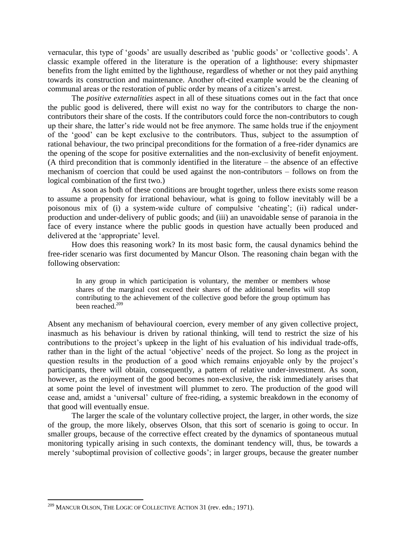vernacular, this type of 'goods' are usually described as 'public goods' or 'collective goods'. A classic example offered in the literature is the operation of a lighthouse: every shipmaster benefits from the light emitted by the lighthouse, regardless of whether or not they paid anything towards its construction and maintenance. Another oft-cited example would be the cleaning of communal areas or the restoration of public order by means of a citizen's arrest.

The *positive externalities* aspect in all of these situations comes out in the fact that once the public good is delivered, there will exist no way for the contributors to charge the noncontributors their share of the costs. If the contributors could force the non-contributors to cough up their share, the latter's ride would not be free anymore. The same holds true if the enjoyment of the 'good' can be kept exclusive to the contributors. Thus, subject to the assumption of rational behaviour, the two principal preconditions for the formation of a free-rider dynamics are the opening of the scope for positive externalities and the non-exclusivity of benefit enjoyment. (A third precondition that is commonly identified in the literature – the absence of an effective mechanism of coercion that could be used against the non-contributors – follows on from the logical combination of the first two.)

As soon as both of these conditions are brought together, unless there exists some reason to assume a propensity for irrational behaviour, what is going to follow inevitably will be a poisonous mix of (i) a system-wide culture of compulsive 'cheating'; (ii) radical underproduction and under-delivery of public goods; and (iii) an unavoidable sense of paranoia in the face of every instance where the public goods in question have actually been produced and delivered at the 'appropriate' level.

How does this reasoning work? In its most basic form, the causal dynamics behind the free-rider scenario was first documented by Mancur Olson. The reasoning chain began with the following observation:

In any group in which participation is voluntary, the member or members whose shares of the marginal cost exceed their shares of the additional benefits will stop contributing to the achievement of the collective good before the group optimum has been reached.<sup>209</sup>

Absent any mechanism of behavioural coercion, every member of any given collective project, inasmuch as his behaviour is driven by rational thinking, will tend to restrict the size of his contributions to the project's upkeep in the light of his evaluation of his individual trade-offs, rather than in the light of the actual 'objective' needs of the project. So long as the project in question results in the production of a good which remains enjoyable only by the project's participants, there will obtain, consequently, a pattern of relative under-investment. As soon, however, as the enjoyment of the good becomes non-exclusive, the risk immediately arises that at some point the level of investment will plummet to zero. The production of the good will cease and, amidst a 'universal' culture of free-riding, a systemic breakdown in the economy of that good will eventually ensue.

The larger the scale of the voluntary collective project, the larger, in other words, the size of the group, the more likely, observes Olson, that this sort of scenario is going to occur. In smaller groups, because of the corrective effect created by the dynamics of spontaneous mutual monitoring typically arising in such contexts, the dominant tendency will, thus, be towards a merely 'suboptimal provision of collective goods'; in larger groups, because the greater number

<sup>&</sup>lt;sup>209</sup> MANCUR OLSON, THE LOGIC OF COLLECTIVE ACTION 31 (rev. edn.; 1971).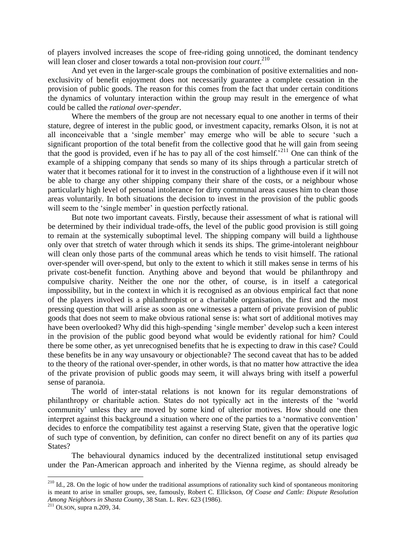of players involved increases the scope of free-riding going unnoticed, the dominant tendency will lean closer and closer towards a total non-provision *tout court*.<sup>210</sup>

And yet even in the larger-scale groups the combination of positive externalities and nonexclusivity of benefit enjoyment does not necessarily guarantee a complete cessation in the provision of public goods. The reason for this comes from the fact that under certain conditions the dynamics of voluntary interaction within the group may result in the emergence of what could be called the *rational over-spender*.

Where the members of the group are not necessary equal to one another in terms of their stature, degree of interest in the public good, or investment capacity, remarks Olson, it is not at all inconceivable that a 'single member' may emerge who will be able to secure 'such a significant proportion of the total benefit from the collective good that he will gain from seeing that the good is provided, even if he has to pay all of the cost himself.<sup>211</sup> One can think of the example of a shipping company that sends so many of its ships through a particular stretch of water that it becomes rational for it to invest in the construction of a lighthouse even if it will not be able to charge any other shipping company their share of the costs, or a neighbour whose particularly high level of personal intolerance for dirty communal areas causes him to clean those areas voluntarily. In both situations the decision to invest in the provision of the public goods will seem to the 'single member' in question perfectly rational.

But note two important caveats. Firstly, because their assessment of what is rational will be determined by their individual trade-offs, the level of the public good provision is still going to remain at the systemically suboptimal level. The shipping company will build a lighthouse only over that stretch of water through which it sends its ships. The grime-intolerant neighbour will clean only those parts of the communal areas which he tends to visit himself. The rational over-spender will over-spend, but only to the extent to which it still makes sense in terms of his private cost-benefit function. Anything above and beyond that would be philanthropy and compulsive charity. Neither the one nor the other, of course, is in itself a categorical impossibility, but in the context in which it is recognised as an obvious empirical fact that none of the players involved is a philanthropist or a charitable organisation, the first and the most pressing question that will arise as soon as one witnesses a pattern of private provision of public goods that does not seem to make obvious rational sense is: what sort of additional motives may have been overlooked? Why did this high-spending 'single member' develop such a keen interest in the provision of the public good beyond what would be evidently rational for him? Could there be some other, as yet unrecognised benefits that he is expecting to draw in this case? Could these benefits be in any way unsavoury or objectionable? The second caveat that has to be added to the theory of the rational over-spender, in other words, is that no matter how attractive the idea of the private provision of public goods may seem, it will always bring with itself a powerful sense of paranoia.

The world of inter-statal relations is not known for its regular demonstrations of philanthropy or charitable action. States do not typically act in the interests of the 'world community' unless they are moved by some kind of ulterior motives. How should one then interpret against this background a situation where one of the parties to a 'normative convention' decides to enforce the compatibility test against a reserving State, given that the operative logic of such type of convention, by definition, can confer no direct benefit on any of its parties *qua* States?

The behavioural dynamics induced by the decentralized institutional setup envisaged under the Pan-American approach and inherited by the Vienna regime, as should already be

 $2^{10}$  Id., 28. On the logic of how under the traditional assumptions of rationality such kind of spontaneous monitoring is meant to arise in smaller groups, see, famously, Robert C. Ellickson, *Of Coase and Cattle: Dispute Resolution Among Neighbors in Shasta County*, 38 Stan. L. Rev. 623 (1986).

 $^{211}$  OLSON, supra n.209, 34.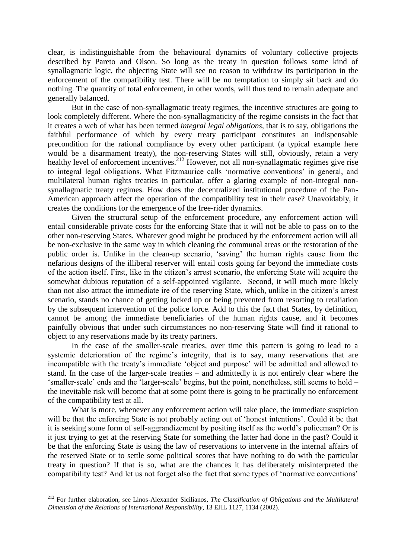clear, is indistinguishable from the behavioural dynamics of voluntary collective projects described by Pareto and Olson. So long as the treaty in question follows some kind of synallagmatic logic, the objecting State will see no reason to withdraw its participation in the enforcement of the compatibility test. There will be no temptation to simply sit back and do nothing. The quantity of total enforcement, in other words, will thus tend to remain adequate and generally balanced.

But in the case of non-synallagmatic treaty regimes, the incentive structures are going to look completely different. Where the non-synallagmaticity of the regime consists in the fact that it creates a web of what has been termed *integral legal obligations*, that is to say, obligations the faithful performance of which by every treaty participant constitutes an indispensable precondition for the rational compliance by every other participant (a typical example here would be a disarmament treaty), the non-reserving States will still, obviously, retain a very healthy level of enforcement incentives.<sup>212</sup> However, not all non-synallagmatic regimes give rise to integral legal obligations. What Fitzmaurice calls 'normative conventions' in general, and multilateral human rights treaties in particular, offer a glaring example of non-integral nonsynallagmatic treaty regimes. How does the decentralized institutional procedure of the Pan-American approach affect the operation of the compatibility test in their case? Unavoidably, it creates the conditions for the emergence of the free-rider dynamics.

Given the structural setup of the enforcement procedure, any enforcement action will entail considerable private costs for the enforcing State that it will not be able to pass on to the other non-reserving States. Whatever good might be produced by the enforcement action will all be non-exclusive in the same way in which cleaning the communal areas or the restoration of the public order is. Unlike in the clean-up scenario, 'saving' the human rights cause from the nefarious designs of the illiberal reserver will entail costs going far beyond the immediate costs of the action itself. First, like in the citizen's arrest scenario, the enforcing State will acquire the somewhat dubious reputation of a self-appointed vigilante. Second, it will much more likely than not also attract the immediate ire of the reserving State, which, unlike in the citizen's arrest scenario, stands no chance of getting locked up or being prevented from resorting to retaliation by the subsequent intervention of the police force. Add to this the fact that States, by definition, cannot be among the immediate beneficiaries of the human rights cause, and it becomes painfully obvious that under such circumstances no non-reserving State will find it rational to object to any reservations made by its treaty partners.

In the case of the smaller-scale treaties, over time this pattern is going to lead to a systemic deterioration of the regime's integrity, that is to say, many reservations that are incompatible with the treaty's immediate 'object and purpose' will be admitted and allowed to stand. In the case of the larger-scale treaties – and admittedly it is not entirely clear where the 'smaller-scale' ends and the 'larger-scale' begins, but the point, nonetheless, still seems to hold – the inevitable risk will become that at some point there is going to be practically no enforcement of the compatibility test at all.

What is more, whenever any enforcement action will take place, the immediate suspicion will be that the enforcing State is not probably acting out of 'honest intentions'. Could it be that it is seeking some form of self-aggrandizement by positing itself as the world's policeman? Or is it just trying to get at the reserving State for something the latter had done in the past? Could it be that the enforcing State is using the law of reservations to intervene in the internal affairs of the reserved State or to settle some political scores that have nothing to do with the particular treaty in question? If that is so, what are the chances it has deliberately misinterpreted the compatibility test? And let us not forget also the fact that some types of 'normative conventions'

<sup>212</sup> For further elaboration, see Linos-Alexander Sicilianos, *The Classification of Obligations and the Multilateral Dimension of the Relations of International Responsibility*, 13 EJIL 1127, 1134 (2002).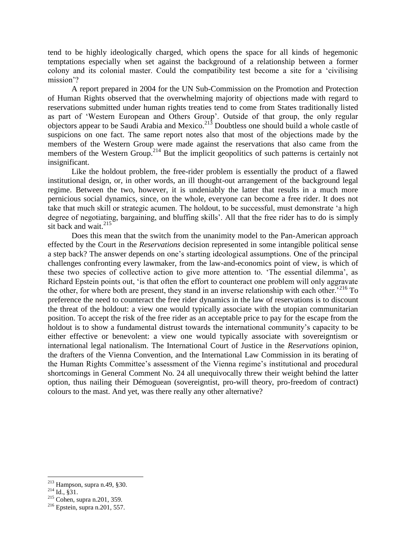tend to be highly ideologically charged, which opens the space for all kinds of hegemonic temptations especially when set against the background of a relationship between a former colony and its colonial master. Could the compatibility test become a site for a 'civilising mission'?

A report prepared in 2004 for the UN Sub-Commission on the Promotion and Protection of Human Rights observed that the overwhelming majority of objections made with regard to reservations submitted under human rights treaties tend to come from States traditionally listed as part of 'Western European and Others Group'. Outside of that group, the only regular objectors appear to be Saudi Arabia and Mexico.<sup>213</sup> Doubtless one should build a whole castle of suspicions on one fact. The same report notes also that most of the objections made by the members of the Western Group were made against the reservations that also came from the members of the Western Group.<sup>214</sup> But the implicit geopolitics of such patterns is certainly not insignificant.

Like the holdout problem, the free-rider problem is essentially the product of a flawed institutional design, or, in other words, an ill thought-out arrangement of the background legal regime. Between the two, however, it is undeniably the latter that results in a much more pernicious social dynamics, since, on the whole, everyone can become a free rider. It does not take that much skill or strategic acumen. The holdout, to be successful, must demonstrate 'a high degree of negotiating, bargaining, and bluffing skills'. All that the free rider has to do is simply sit back and wait.<sup>215</sup>

Does this mean that the switch from the unanimity model to the Pan-American approach effected by the Court in the *Reservations* decision represented in some intangible political sense a step back? The answer depends on one's starting ideological assumptions. One of the principal challenges confronting every lawmaker, from the law-and-economics point of view, is which of these two species of collective action to give more attention to. 'The essential dilemma', as Richard Epstein points out, 'is that often the effort to counteract one problem will only aggravate the other, for where both are present, they stand in an inverse relationship with each other.<sup>216</sup> To preference the need to counteract the free rider dynamics in the law of reservations is to discount the threat of the holdout: a view one would typically associate with the utopian communitarian position. To accept the risk of the free rider as an acceptable price to pay for the escape from the holdout is to show a fundamental distrust towards the international community's capacity to be either effective or benevolent: a view one would typically associate with sovereigntism or international legal nationalism. The International Court of Justice in the *Reservations* opinion, the drafters of the Vienna Convention, and the International Law Commission in its berating of the Human Rights Committee's assessment of the Vienna regime's institutional and procedural shortcomings in General Comment No. 24 all unequivocally threw their weight behind the latter option, thus nailing their Démoguean (sovereigntist, pro-will theory, pro-freedom of contract) colours to the mast. And yet, was there really any other alternative?

 $213$  Hampson, supra n.49, §30.

 $^{214}$  Id., §31.

<sup>215</sup> Cohen, supra n.201, 359.

<sup>216</sup> Epstein, supra n.201, 557.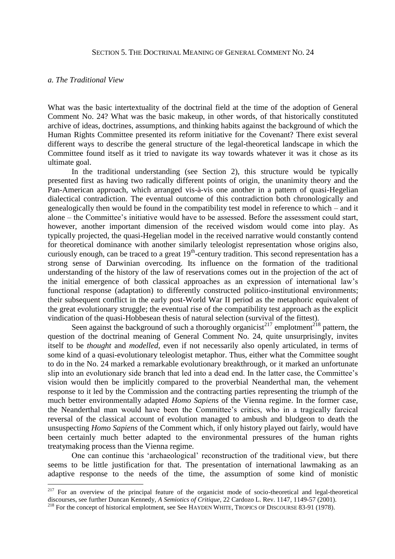#### SECTION 5. THE DOCTRINAL MEANING OF GENERAL COMMENT NO. 24

#### *a. The Traditional View*

<u>.</u>

What was the basic intertextuality of the doctrinal field at the time of the adoption of General Comment No. 24? What was the basic makeup, in other words, of that historically constituted archive of ideas, doctrines, assumptions, and thinking habits against the background of which the Human Rights Committee presented its reform initiative for the Covenant? There exist several different ways to describe the general structure of the legal-theoretical landscape in which the Committee found itself as it tried to navigate its way towards whatever it was it chose as its ultimate goal.

In the traditional understanding (see Section 2), this structure would be typically presented first as having two radically different points of origin, the unanimity theory and the Pan-American approach, which arranged vis-à-vis one another in a pattern of quasi-Hegelian dialectical contradiction. The eventual outcome of this contradiction both chronologically and genealogically then would be found in the compatibility test model in reference to which – and it alone – the Committee's initiative would have to be assessed. Before the assessment could start, however, another important dimension of the received wisdom would come into play. As typically projected, the quasi-Hegelian model in the received narrative would constantly contend for theoretical dominance with another similarly teleologist representation whose origins also, curiously enough, can be traced to a great  $19<sup>th</sup>$ -century tradition. This second representation has a strong sense of Darwinian overcoding. Its influence on the formation of the traditional understanding of the history of the law of reservations comes out in the projection of the act of the initial emergence of both classical approaches as an expression of international law's functional response (adaptation) to differently constructed politico-institutional environments; their subsequent conflict in the early post-World War II period as the metaphoric equivalent of the great evolutionary struggle; the eventual rise of the compatibility test approach as the explicit vindication of the quasi-Hobbesean thesis of natural selection (survival of the fittest).

Seen against the background of such a thoroughly organicist<sup>217</sup> emplotment<sup>218</sup> pattern, the question of the doctrinal meaning of General Comment No. 24, quite unsurprisingly, invites itself to be *thought* and *modelled*, even if not necessarily also openly articulated, in terms of some kind of a quasi-evolutionary teleologist metaphor. Thus, either what the Committee sought to do in the No. 24 marked a remarkable evolutionary breakthrough, or it marked an unfortunate slip into an evolutionary side branch that led into a dead end. In the latter case, the Committee's vision would then be implicitly compared to the proverbial Neanderthal man, the vehement response to it led by the Commission and the contracting parties representing the triumph of the much better environmentally adapted *Homo Sapiens* of the Vienna regime. In the former case, the Neanderthal man would have been the Committee's critics, who in a tragically farcical reversal of the classical account of evolution managed to ambush and bludgeon to death the unsuspecting *Homo Sapiens* of the Comment which, if only history played out fairly, would have been certainly much better adapted to the environmental pressures of the human rights treatymaking process than the Vienna regime.

One can continue this 'archaeological' reconstruction of the traditional view, but there seems to be little justification for that. The presentation of international lawmaking as an adaptive response to the needs of the time, the assumption of some kind of monistic

 $2^{17}$  For an overview of the principal feature of the organicist mode of socio-theoretical and legal-theoretical discourses, see further Duncan Kennedy, *A Semiotics of Critique*, 22 Cardozo L. Rev. 1147, 1149-57 (2001).

<sup>&</sup>lt;sup>218</sup> For the concept of historical emplotment, see See HAYDEN WHITE, TROPICS OF DISCOURSE 83-91 (1978).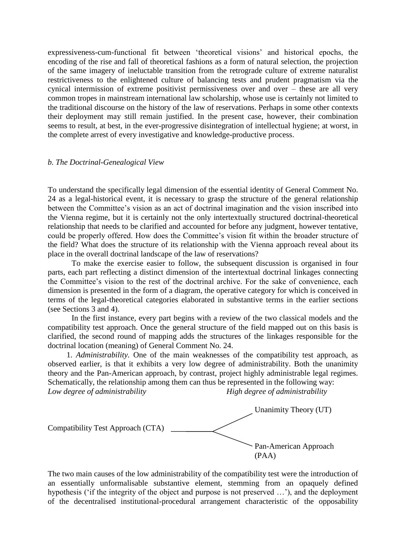expressiveness-cum-functional fit between 'theoretical visions' and historical epochs, the encoding of the rise and fall of theoretical fashions as a form of natural selection, the projection of the same imagery of ineluctable transition from the retrograde culture of extreme naturalist restrictiveness to the enlightened culture of balancing tests and prudent pragmatism via the cynical intermission of extreme positivist permissiveness over and over – these are all very common tropes in mainstream international law scholarship, whose use is certainly not limited to the traditional discourse on the history of the law of reservations. Perhaps in some other contexts their deployment may still remain justified. In the present case, however, their combination seems to result, at best, in the ever-progressive disintegration of intellectual hygiene; at worst, in the complete arrest of every investigative and knowledge-productive process.

#### *b. The Doctrinal-Genealogical View*

To understand the specifically legal dimension of the essential identity of General Comment No. 24 as a legal-historical event, it is necessary to grasp the structure of the general relationship between the Committee's vision as an act of doctrinal imagination and the vision inscribed into the Vienna regime, but it is certainly not the only intertextually structured doctrinal-theoretical relationship that needs to be clarified and accounted for before any judgment, however tentative, could be properly offered. How does the Committee's vision fit within the broader structure of the field? What does the structure of its relationship with the Vienna approach reveal about its place in the overall doctrinal landscape of the law of reservations?

To make the exercise easier to follow, the subsequent discussion is organised in four parts, each part reflecting a distinct dimension of the intertextual doctrinal linkages connecting the Committee's vision to the rest of the doctrinal archive. For the sake of convenience, each dimension is presented in the form of a diagram, the operative category for which is conceived in terms of the legal-theoretical categories elaborated in substantive terms in the earlier sections (see Sections 3 and 4).

In the first instance, every part begins with a review of the two classical models and the compatibility test approach. Once the general structure of the field mapped out on this basis is clarified, the second round of mapping adds the structures of the linkages responsible for the doctrinal location (meaning) of General Comment No. 24.

1. *Administrability.* One of the main weaknesses of the compatibility test approach, as observed earlier, is that it exhibits a very low degree of administrability. Both the unanimity theory and the Pan-American approach, by contrast, project highly administrable legal regimes. Schematically, the relationship among them can thus be represented in the following way: *Low degree of administrability High degree of administrability*



The two main causes of the low administrability of the compatibility test were the introduction of an essentially unformalisable substantive element, stemming from an opaquely defined hypothesis ('if the integrity of the object and purpose is not preserved …'), and the deployment of the decentralised institutional-procedural arrangement characteristic of the opposability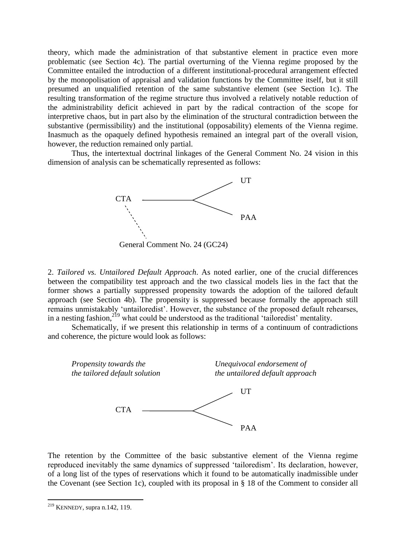theory, which made the administration of that substantive element in practice even more problematic (see Section 4c). The partial overturning of the Vienna regime proposed by the Committee entailed the introduction of a different institutional-procedural arrangement effected by the monopolisation of appraisal and validation functions by the Committee itself, but it still presumed an unqualified retention of the same substantive element (see Section 1c). The resulting transformation of the regime structure thus involved a relatively notable reduction of the administrability deficit achieved in part by the radical contraction of the scope for interpretive chaos, but in part also by the elimination of the structural contradiction between the substantive (permissibility) and the institutional (opposability) elements of the Vienna regime. Inasmuch as the opaquely defined hypothesis remained an integral part of the overall vision, however, the reduction remained only partial.

Thus, the intertextual doctrinal linkages of the General Comment No. 24 vision in this dimension of analysis can be schematically represented as follows:



General Comment No. 24 (GC24)

2. *Tailored vs. Untailored Default Approach*. As noted earlier, one of the crucial differences between the compatibility test approach and the two classical models lies in the fact that the former shows a partially suppressed propensity towards the adoption of the tailored default approach (see Section 4b). The propensity is suppressed because formally the approach still remains unmistakably 'untailoredist'. However, the substance of the proposed default rehearses, in a nesting fashion,<sup>219</sup> what could be understood as the traditional 'tailoredist' mentality.

Schematically, if we present this relationship in terms of a continuum of contradictions and coherence, the picture would look as follows:



The retention by the Committee of the basic substantive element of the Vienna regime reproduced inevitably the same dynamics of suppressed 'tailoredism'. Its declaration, however, of a long list of the types of reservations which it found to be automatically inadmissible under the Covenant (see Section 1c), coupled with its proposal in § 18 of the Comment to consider all

 $219$  KENNEDY, supra n.142, 119.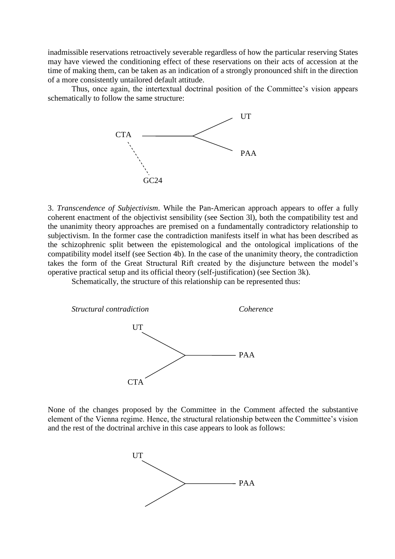inadmissible reservations retroactively severable regardless of how the particular reserving States may have viewed the conditioning effect of these reservations on their acts of accession at the time of making them, can be taken as an indication of a strongly pronounced shift in the direction of a more consistently untailored default attitude.

Thus, once again, the intertextual doctrinal position of the Committee's vision appears schematically to follow the same structure:



3. *Transcendence of Subjectivism*. While the Pan-American approach appears to offer a fully coherent enactment of the objectivist sensibility (see Section 3l), both the compatibility test and the unanimity theory approaches are premised on a fundamentally contradictory relationship to subjectivism. In the former case the contradiction manifests itself in what has been described as the schizophrenic split between the epistemological and the ontological implications of the compatibility model itself (see Section 4b). In the case of the unanimity theory, the contradiction takes the form of the Great Structural Rift created by the disjuncture between the model's operative practical setup and its official theory (self-justification) (see Section 3k).

Schematically, the structure of this relationship can be represented thus:



None of the changes proposed by the Committee in the Comment affected the substantive element of the Vienna regime. Hence, the structural relationship between the Committee's vision and the rest of the doctrinal archive in this case appears to look as follows:

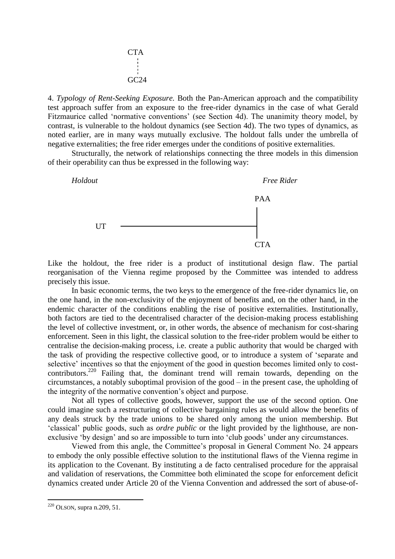

4. *Typology of Rent-Seeking Exposure.* Both the Pan-American approach and the compatibility test approach suffer from an exposure to the free-rider dynamics in the case of what Gerald Fitzmaurice called 'normative conventions' (see Section 4d). The unanimity theory model, by contrast, is vulnerable to the holdout dynamics (see Section 4d). The two types of dynamics, as noted earlier, are in many ways mutually exclusive. The holdout falls under the umbrella of negative externalities; the free rider emerges under the conditions of positive externalities.

Structurally, the network of relationships connecting the three models in this dimension of their operability can thus be expressed in the following way:



Like the holdout, the free rider is a product of institutional design flaw. The partial reorganisation of the Vienna regime proposed by the Committee was intended to address precisely this issue.

In basic economic terms, the two keys to the emergence of the free-rider dynamics lie, on the one hand, in the non-exclusivity of the enjoyment of benefits and, on the other hand, in the endemic character of the conditions enabling the rise of positive externalities. Institutionally, both factors are tied to the decentralised character of the decision-making process establishing the level of collective investment, or, in other words, the absence of mechanism for cost-sharing enforcement. Seen in this light, the classical solution to the free-rider problem would be either to centralise the decision-making process, i.e. create a public authority that would be charged with the task of providing the respective collective good, or to introduce a system of 'separate and selective' incentives so that the enjoyment of the good in question becomes limited only to costcontributors.<sup>220</sup> Failing that, the dominant trend will remain towards, depending on the circumstances, a notably suboptimal provision of the good – in the present case, the upholding of the integrity of the normative convention's object and purpose.

Not all types of collective goods, however, support the use of the second option. One could imagine such a restructuring of collective bargaining rules as would allow the benefits of any deals struck by the trade unions to be shared only among the union membership. But 'classical' public goods, such as *ordre public* or the light provided by the lighthouse, are nonexclusive 'by design' and so are impossible to turn into 'club goods' under any circumstances.

Viewed from this angle, the Committee's proposal in General Comment No. 24 appears to embody the only possible effective solution to the institutional flaws of the Vienna regime in its application to the Covenant. By instituting a de facto centralised procedure for the appraisal and validation of reservations, the Committee both eliminated the scope for enforcement deficit dynamics created under Article 20 of the Vienna Convention and addressed the sort of abuse-of-

 $220$  OLSON, supra n.209, 51.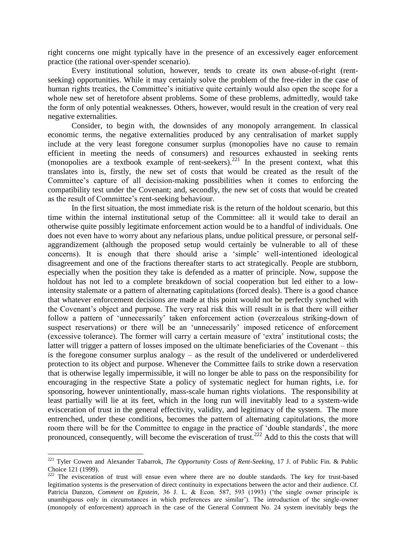right concerns one might typically have in the presence of an excessively eager enforcement practice (the rational over-spender scenario).

Every institutional solution, however, tends to create its own abuse-of-right (rentseeking) opportunities. While it may certainly solve the problem of the free-rider in the case of human rights treaties, the Committee's initiative quite certainly would also open the scope for a whole new set of heretofore absent problems. Some of these problems, admittedly, would take the form of only potential weaknesses. Others, however, would result in the creation of very real negative externalities.

Consider, to begin with, the downsides of any monopoly arrangement. In classical economic terms, the negative externalities produced by any centralisation of market supply include at the very least foregone consumer surplus (monopolies have no cause to remain efficient in meeting the needs of consumers) and resources exhausted in seeking rents (monopolies are a textbook example of rent-seekers).<sup>221</sup> In the present context, what this translates into is, firstly, the new set of costs that would be created as the result of the Committee's capture of all decision-making possibilities when it comes to enforcing the compatibility test under the Covenant; and, secondly, the new set of costs that would be created as the result of Committee's rent-seeking behaviour.

In the first situation, the most immediate risk is the return of the holdout scenario, but this time within the internal institutional setup of the Committee: all it would take to derail an otherwise quite possibly legitimate enforcement action would be to a handful of individuals. One does not even have to worry about any nefarious plans, undue political pressure, or personal selfaggrandizement (although the proposed setup would certainly be vulnerable to all of these concerns). It is enough that there should arise a 'simple' well-intentioned ideological disagreement and one of the fractions thereafter starts to act strategically. People are stubborn, especially when the position they take is defended as a matter of principle. Now, suppose the holdout has not led to a complete breakdown of social cooperation but led either to a lowintensity stalemate or a pattern of alternating capitulations (forced deals). There is a good chance that whatever enforcement decisions are made at this point would not be perfectly synched with the Covenant's object and purpose. The very real risk this will result in is that there will either follow a pattern of 'unnecessarily' taken enforcement action (overzealous striking-down of suspect reservations) or there will be an 'unnecessarily' imposed reticence of enforcement (excessive tolerance). The former will carry a certain measure of 'extra' institutional costs; the latter will trigger a pattern of losses imposed on the ultimate beneficiaries of the Covenant – this is the foregone consumer surplus analogy – as the result of the undelivered or underdelivered protection to its object and purpose. Whenever the Committee fails to strike down a reservation that is otherwise legally impermissible, it will no longer be able to pass on the responsibility for encouraging in the respective State a policy of systematic neglect for human rights, i.e. for sponsoring, however unintentionally, mass-scale human rights violations. The responsibility at least partially will lie at its feet, which in the long run will inevitably lead to a system-wide evisceration of trust in the general effectivity, validity, and legitimacy of the system. The more entrenched, under these conditions, becomes the pattern of alternating capitulations, the more room there will be for the Committee to engage in the practice of 'double standards', the more pronounced, consequently, will become the evisceration of trust.<sup>222</sup> Add to this the costs that will

<sup>221</sup> Tyler Cowen and Alexander Tabarrok, *The Opportunity Costs of Rent-Seeking*, 17 J. of Public Fin. & Public Choice 121 (1999).

<sup>&</sup>lt;sup>222</sup> The evisceration of trust will ensue even where there are no double standards. The key for trust-based legitimation systems is the preservation of direct continuity in expectations between the actor and their audience. Cf. Patricia Danzon, *Comment on Epstein*, 36 J. L. & Econ. 587, 593 (1993) ('the single owner principle is unambiguous only in circumstances in which preferences are similar'). The introduction of the single-owner (monopoly of enforcement) approach in the case of the General Comment No. 24 system inevitably begs the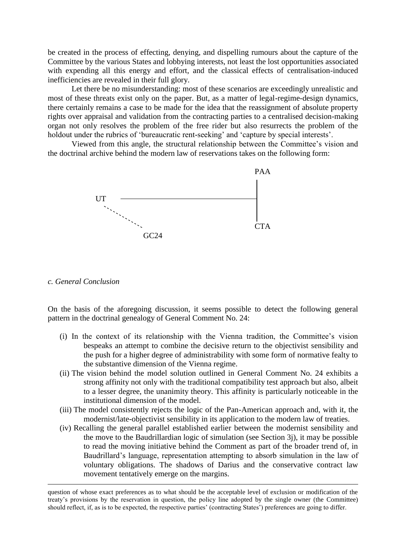be created in the process of effecting, denying, and dispelling rumours about the capture of the Committee by the various States and lobbying interests, not least the lost opportunities associated with expending all this energy and effort, and the classical effects of centralisation-induced inefficiencies are revealed in their full glory.

Let there be no misunderstanding: most of these scenarios are exceedingly unrealistic and most of these threats exist only on the paper. But, as a matter of legal-regime-design dynamics, there certainly remains a case to be made for the idea that the reassignment of absolute property rights over appraisal and validation from the contracting parties to a centralised decision-making organ not only resolves the problem of the free rider but also resurrects the problem of the holdout under the rubrics of 'bureaucratic rent-seeking' and 'capture by special interests'.

Viewed from this angle, the structural relationship between the Committee's vision and the doctrinal archive behind the modern law of reservations takes on the following form:



*c. General Conclusion*

<u>.</u>

On the basis of the aforegoing discussion, it seems possible to detect the following general pattern in the doctrinal genealogy of General Comment No. 24:

- (i) In the context of its relationship with the Vienna tradition, the Committee's vision bespeaks an attempt to combine the decisive return to the objectivist sensibility and the push for a higher degree of administrability with some form of normative fealty to the substantive dimension of the Vienna regime.
- (ii) The vision behind the model solution outlined in General Comment No. 24 exhibits a strong affinity not only with the traditional compatibility test approach but also, albeit to a lesser degree, the unanimity theory. This affinity is particularly noticeable in the institutional dimension of the model.
- (iii) The model consistently rejects the logic of the Pan-American approach and, with it, the modernist/late-objectivist sensibility in its application to the modern law of treaties.
- (iv) Recalling the general parallel established earlier between the modernist sensibility and the move to the Baudrillardian logic of simulation (see Section 3j), it may be possible to read the moving initiative behind the Comment as part of the broader trend of, in Baudrillard's language, representation attempting to absorb simulation in the law of voluntary obligations. The shadows of Darius and the conservative contract law movement tentatively emerge on the margins.

question of whose exact preferences as to what should be the acceptable level of exclusion or modification of the treaty's provisions by the reservation in question, the policy line adopted by the single owner (the Committee) should reflect, if, as is to be expected, the respective parties' (contracting States') preferences are going to differ.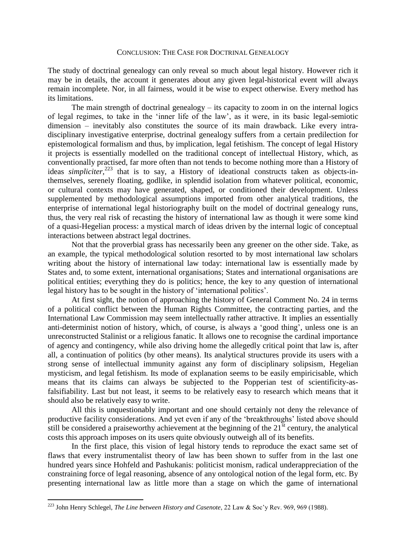## CONCLUSION: THE CASE FOR DOCTRINAL GENEALOGY

The study of doctrinal genealogy can only reveal so much about legal history. However rich it may be in details, the account it generates about any given legal-historical event will always remain incomplete. Nor, in all fairness, would it be wise to expect otherwise. Every method has its limitations.

The main strength of doctrinal genealogy – its capacity to zoom in on the internal logics of legal regimes, to take in the 'inner life of the law', as it were, in its basic legal-semiotic dimension – inevitably also constitutes the source of its main drawback. Like every intradisciplinary investigative enterprise, doctrinal genealogy suffers from a certain predilection for epistemological formalism and thus, by implication, legal fetishism. The concept of legal History it projects is essentially modelled on the traditional concept of intellectual History, which, as conventionally practised, far more often than not tends to become nothing more than a History of ideas *simpliciter*,<sup>223</sup> that is to say, a History of ideational constructs taken as objects-inthemselves, serenely floating, godlike, in splendid isolation from whatever political, economic, or cultural contexts may have generated, shaped, or conditioned their development. Unless supplemented by methodological assumptions imported from other analytical traditions, the enterprise of international legal historiography built on the model of doctrinal genealogy runs, thus, the very real risk of recasting the history of international law as though it were some kind of a quasi-Hegelian process: a mystical march of ideas driven by the internal logic of conceptual interactions between abstract legal doctrines.

Not that the proverbial grass has necessarily been any greener on the other side. Take, as an example, the typical methodological solution resorted to by most international law scholars writing about the history of international law today: international law is essentially made by States and, to some extent, international organisations; States and international organisations are political entities; everything they do is politics; hence, the key to any question of international legal history has to be sought in the history of 'international politics'.

At first sight, the notion of approaching the history of General Comment No. 24 in terms of a political conflict between the Human Rights Committee, the contracting parties, and the International Law Commission may seem intellectually rather attractive. It implies an essentially anti-determinist notion of history, which, of course, is always a 'good thing', unless one is an unreconstructed Stalinist or a religious fanatic. It allows one to recognise the cardinal importance of agency and contingency, while also driving home the allegedly critical point that law is, after all, a continuation of politics (by other means). Its analytical structures provide its users with a strong sense of intellectual immunity against any form of disciplinary solipsism, Hegelian mysticism, and legal fetishism. Its mode of explanation seems to be easily empiricisable, which means that its claims can always be subjected to the Popperian test of scientificity-asfalsifiability. Last but not least, it seems to be relatively easy to research which means that it should also be relatively easy to write.

All this is unquestionably important and one should certainly not deny the relevance of productive facility considerations. And yet even if any of the 'breakthroughs' listed above should still be considered a praiseworthy achievement at the beginning of the  $21<sup>st</sup>$  century, the analytical costs this approach imposes on its users quite obviously outweigh all of its benefits.

In the first place, this vision of legal history tends to reproduce the exact same set of flaws that every instrumentalist theory of law has been shown to suffer from in the last one hundred years since Hohfeld and Pashukanis: politicist monism, radical underappreciation of the constraining force of legal reasoning, absence of any ontological notion of the legal form, etc. By presenting international law as little more than a stage on which the game of international

1

<sup>223</sup> John Henry Schlegel, *The Line between History and Casenote*, 22 Law & Soc'y Rev. 969, 969 (1988).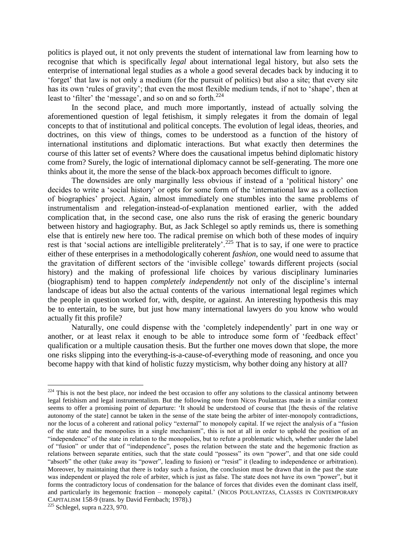politics is played out, it not only prevents the student of international law from learning how to recognise that which is specifically *legal* about international legal history, but also sets the enterprise of international legal studies as a whole a good several decades back by inducing it to 'forget' that law is not only a medium (for the pursuit of politics) but also a site; that every site has its own 'rules of gravity'; that even the most flexible medium tends, if not to 'shape', then at least to 'filter' the 'message', and so on and so forth.<sup>224</sup>

In the second place, and much more importantly, instead of actually solving the aforementioned question of legal fetishism, it simply relegates it from the domain of legal concepts to that of institutional and political concepts. The evolution of legal ideas, theories, and doctrines, on this view of things, comes to be understood as a function of the history of international institutions and diplomatic interactions. But what exactly then determines the course of this latter set of events? Where does the causational impetus behind diplomatic history come from? Surely, the logic of international diplomacy cannot be self-generating. The more one thinks about it, the more the sense of the black-box approach becomes difficult to ignore.

The downsides are only marginally less obvious if instead of a 'political history' one decides to write a 'social history' or opts for some form of the 'international law as a collection of biographies' project. Again, almost immediately one stumbles into the same problems of instrumentalism and relegation-instead-of-explanation mentioned earlier, with the added complication that, in the second case, one also runs the risk of erasing the generic boundary between history and hagiography. But, as Jack Schlegel so aptly reminds us, there is something else that is entirely new here too. The radical premise on which both of these modes of inquiry rest is that 'social actions are intelligible preliterately'.<sup>225</sup> That is to say, if one were to practice either of these enterprises in a methodologically coherent *fashion*, one would need to assume that the gravitation of different sectors of the 'invisible college' towards different projects (social history) and the making of professional life choices by various disciplinary luminaries (biographism) tend to happen *completely independently* not only of the discipline's internal landscape of ideas but also the actual contents of the various international legal regimes which the people in question worked for, with, despite, or against. An interesting hypothesis this may be to entertain, to be sure, but just how many international lawyers do you know who would actually fit this profile?

Naturally, one could dispense with the 'completely independently' part in one way or another, or at least relax it enough to be able to introduce some form of 'feedback effect' qualification or a multiple causation thesis. But the further one moves down that slope, the more one risks slipping into the everything-is-a-cause-of-everything mode of reasoning, and once you become happy with that kind of holistic fuzzy mysticism, why bother doing any history at all?

1

 $224$  This is not the best place, nor indeed the best occasion to offer any solutions to the classical antinomy between legal fetishism and legal instrumentalism. But the following note from Nicos Poulantzas made in a similar context seems to offer a promising point of departure: 'It should be understood of course that [the thesis of the relative autonomy of the state] cannot be taken in the sense of the state being the arbiter of inter-monopoly contradictions, nor the locus of a coherent and rational policy "external" to monopoly capital. If we reject the analysis of a "fusion of the state and the monopolies in a single mechanism", this is not at all in order to uphold the position of an "independence" of the state in relation to the monopolies, but to refute a problematic which, whether under the label of "fusion" or under that of "independence", poses the relation between the state and the hegemonic fraction as relations between separate entities, such that the state could "possess" its own "power", and that one side could "absorb" the other (take away its "power", leading to fusion) or "resist" it (leading to independence or arbitration). Moreover, by maintaining that there is today such a fusion, the conclusion must be drawn that in the past the state was independent or played the role of arbiter, which is just as false. The state does not have its own "power", but it forms the contradictory locus of condensation for the balance of forces that divides even the dominant class itself, and particularly its hegemonic fraction – monopoly capital.' (NICOS POULANTZAS, CLASSES IN CONTEMPORARY CAPITALISM 158-9 (trans. by David Fernbach; 1978).)

<sup>225</sup> Schlegel, supra n.223, 970.